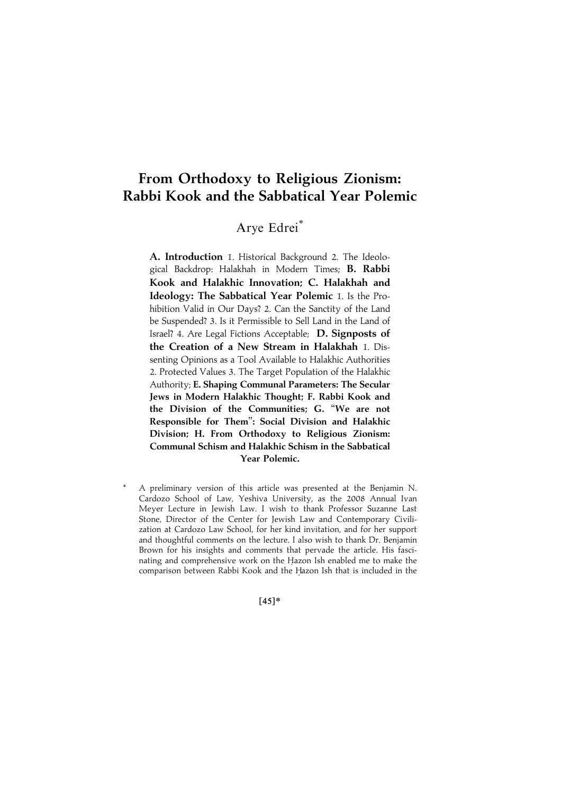# From Orthodoxy to Religious Zionism: Rabbi Kook and the Sabbatical Year Polemic

## Arye Edrei\*

A. Introduction 1. Historical Background 2. The Ideological Backdrop: Halakhah in Modern Times; B. Rabbi Kook and Halakhic Innovation; C. Halakhah and Ideology: The Sabbatical Year Polemic 1. Is the Prohibition Valid in Our Days? 2. Can the Sanctity of the Land be Suspended? 3. Is it Permissible to Sell Land in the Land of Israel? 4. Are Legal Fictions Acceptable; D. Signposts of the Creation of a New Stream in Halakhah 1. Dissenting Opinions as a Tool Available to Halakhic Authorities 2. Protected Values 3. The Target Population of the Halakhic Authority; E. Shaping Communal Parameters: The Secular Jews in Modern Halakhic Thought; F. Rabbi Kook and the Division of the Communities; G. ''We are not Responsible for Them'': Social Division and Halakhic Division; H. From Orthodoxy to Religious Zionism: Communal Schism and Halakhic Schism in the Sabbatical Year Polemic.

A preliminary version of this article was presented at the Benjamin N. Cardozo School of Law, Yeshiva University, as the 2008 Annual Ivan Meyer Lecture in Jewish Law. I wish to thank Professor Suzanne Last Stone, Director of the Center for Jewish Law and Contemporary Civilization at Cardozo Law School, for her kind invitation, and for her support and thoughtful comments on the lecture. I also wish to thank Dr. Benjamin Brown for his insights and comments that pervade the article. His fascinating and comprehensive work on the Hazon Ish enabled me to make the comparison between Rabbi Kook and the Hazon Ish that is included in the

 $[45]*$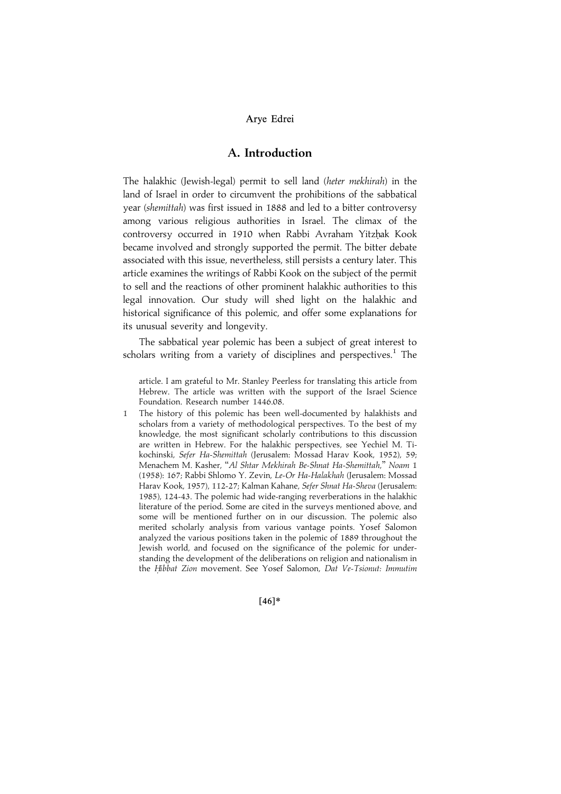## A. Introduction

The halakhic (Jewish-legal) permit to sell land (heter mekhirah) in the land of Israel in order to circumvent the prohibitions of the sabbatical year (shemittah) was first issued in 1888 and led to a bitter controversy among various religious authorities in Israel. The climax of the controversy occurred in 1910 when Rabbi Avraham Yitzhak Kook became involved and strongly supported the permit. The bitter debate associated with this issue, nevertheless, still persists a century later. This article examines the writings of Rabbi Kook on the subject of the permit to sell and the reactions of other prominent halakhic authorities to this legal innovation. Our study will shed light on the halakhic and historical significance of this polemic, and offer some explanations for its unusual severity and longevity.

The sabbatical year polemic has been a subject of great interest to scholars writing from a variety of disciplines and perspectives.<sup>1</sup> The

article. I am grateful to Mr. Stanley Peerless for translating this article from Hebrew. The article was written with the support of the Israel Science Foundation. Research number 1446.08.

1 The history of this polemic has been well-documented by halakhists and scholars from a variety of methodological perspectives. To the best of my knowledge, the most significant scholarly contributions to this discussion are written in Hebrew. For the halakhic perspectives, see Yechiel M. Tikochinski, Sefer Ha-Shemittah (Jerusalem: Mossad Harav Kook, 1952), 59; Menachem M. Kasher, ''Al Shtar Mekhirah Be-Shnat Ha-Shemittah,'' Noam 1 (1958): 167; Rabbi Shlomo Y. Zevin, Le-Or Ha-Halakhah (Jerusalem: Mossad Harav Kook, 1957), 112-27; Kalman Kahane, Sefer Shnat Ha-Sheva (Jerusalem: 1985), 124-43. The polemic had wide-ranging reverberations in the halakhic literature of the period. Some are cited in the surveys mentioned above, and some will be mentioned further on in our discussion. The polemic also merited scholarly analysis from various vantage points. Yosef Salomon analyzed the various positions taken in the polemic of 1889 throughout the Jewish world, and focused on the significance of the polemic for understanding the development of the deliberations on religion and nationalism in the Hibbat Zion movement. See Yosef Salomon, Dat Ve-Tsionut: Immutim

 $[46]*$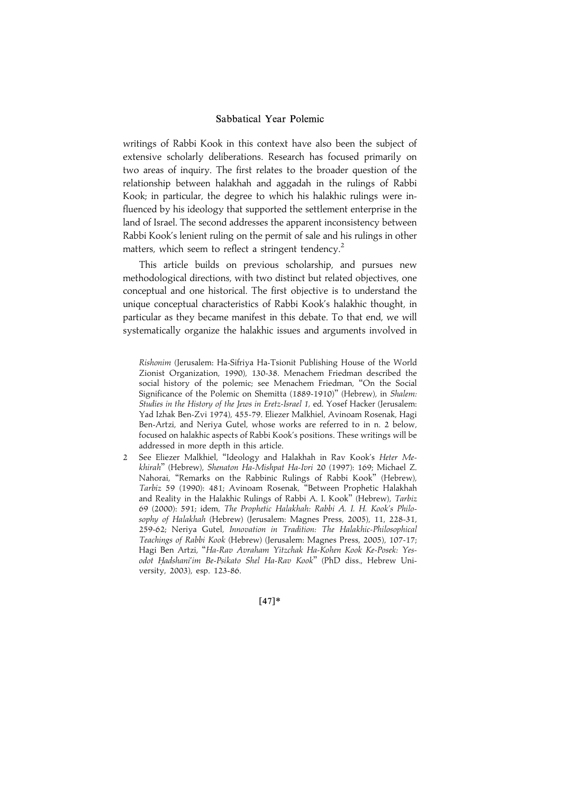writings of Rabbi Kook in this context have also been the subject of extensive scholarly deliberations. Research has focused primarily on two areas of inquiry. The first relates to the broader question of the relationship between halakhah and aggadah in the rulings of Rabbi Kook; in particular, the degree to which his halakhic rulings were influenced by his ideology that supported the settlement enterprise in the land of Israel. The second addresses the apparent inconsistency between Rabbi Kook's lenient ruling on the permit of sale and his rulings in other matters, which seem to reflect a stringent tendency.<sup>2</sup>

This article builds on previous scholarship, and pursues new methodological directions, with two distinct but related objectives, one conceptual and one historical. The first objective is to understand the unique conceptual characteristics of Rabbi Kook's halakhic thought, in particular as they became manifest in this debate. To that end, we will systematically organize the halakhic issues and arguments involved in

2 See Eliezer Malkhiel, "Ideology and Halakhah in Rav Kook's Heter Mekhirah'' (Hebrew), Shenaton Ha-Mishpat Ha-Ivri 20 (1997): 169; Michael Z. Nahorai, ''Remarks on the Rabbinic Rulings of Rabbi Kook'' (Hebrew), Tarbiz 59 (1990): 481; Avinoam Rosenak, ''Between Prophetic Halakhah and Reality in the Halakhic Rulings of Rabbi A. I. Kook'' (Hebrew), Tarbiz 69 (2000): 591; idem, The Prophetic Halakhah: Rabbi A. I. H. Kook's Philosophy of Halakhah (Hebrew) (Jerusalem: Magnes Press, 2005), 11, 228-31, 259-62; Neriya Gutel, Innovation in Tradition: The Halakhic-Philosophical Teachings of Rabbi Kook (Hebrew) (Jerusalem: Magnes Press, 2005), 107-17; Hagi Ben Artzi, ''Ha-Rav Avraham Yitzchak Ha-Kohen Kook Ke-Posek: Yesodot Hadshani'im Be-Psikato Shel Ha-Rav Kook" (PhD diss., Hebrew University, 2003), esp. 123-86.

 $[47]*$ 

Rishonim (Jerusalem: Ha-Sifriya Ha-Tsionit Publishing House of the World Zionist Organization, 1990), 130-38. Menachem Friedman described the social history of the polemic; see Menachem Friedman, ''On the Social Significance of the Polemic on Shemitta (1889-1910)'' (Hebrew), in Shalem: Studies in the History of the Jews in Eretz-Israel 1, ed. Yosef Hacker (Jerusalem: Yad Izhak Ben-Zvi 1974), 455-79. Eliezer Malkhiel, Avinoam Rosenak, Hagi Ben-Artzi, and Neriya Gutel, whose works are referred to in n. 2 below, focused on halakhic aspects of Rabbi Kook's positions. These writings will be addressed in more depth in this article.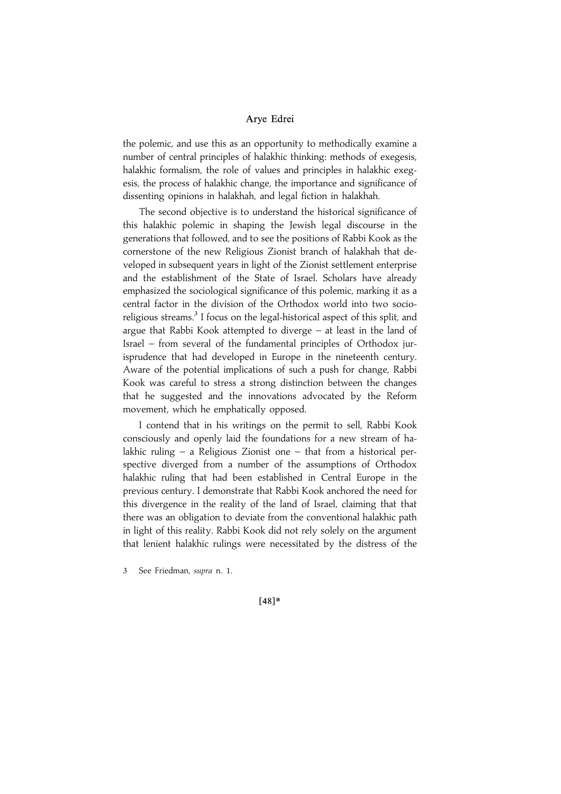the polemic, and use this as an opportunity to methodically examine a number of central principles of halakhic thinking: methods of exegesis, halakhic formalism, the role of values and principles in halakhic exegesis, the process of halakhic change, the importance and significance of dissenting opinions in halakhah, and legal fiction in halakhah.

The second objective is to understand the historical significance of this halakhic polemic in shaping the Jewish legal discourse in the generations that followed, and to see the positions of Rabbi Kook as the cornerstone of the new Religious Zionist branch of halakhah that developed in subsequent years in light of the Zionist settlement enterprise and the establishment of the State of Israel. Scholars have already emphasized the sociological significance of this polemic, marking it as a central factor in the division of the Orthodox world into two socioreligious streams.<sup>3</sup> I focus on the legal-historical aspect of this split, and argue that Rabbi Kook attempted to diverge – at least in the land of Israel – from several of the fundamental principles of Orthodox jurisprudence that had developed in Europe in the nineteenth century. Aware of the potential implications of such a push for change, Rabbi Kook was careful to stress a strong distinction between the changes that he suggested and the innovations advocated by the Reform movement, which he emphatically opposed.

I contend that in his writings on the permit to sell, Rabbi Kook consciously and openly laid the foundations for a new stream of halakhic ruling – a Religious Zionist one – that from a historical perspective diverged from a number of the assumptions of Orthodox halakhic ruling that had been established in Central Europe in the previous century. I demonstrate that Rabbi Kook anchored the need for this divergence in the reality of the land of Israel, claiming that that there was an obligation to deviate from the conventional halakhic path in light of this reality. Rabbi Kook did not rely solely on the argument that lenient halakhic rulings were necessitated by the distress of the

3 See Friedman, supra n. 1.

 $[48]*$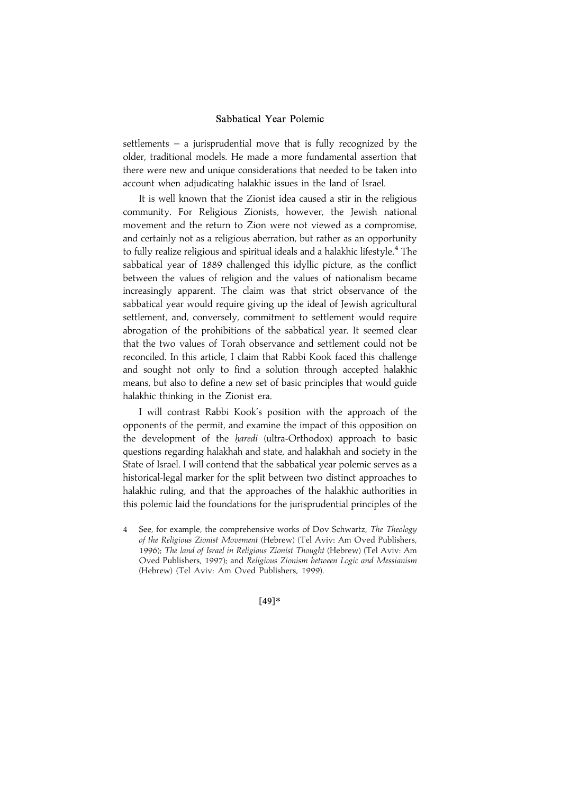settlements – a jurisprudential move that is fully recognized by the older, traditional models. He made a more fundamental assertion that there were new and unique considerations that needed to be taken into account when adjudicating halakhic issues in the land of Israel.

It is well known that the Zionist idea caused a stir in the religious community. For Religious Zionists, however, the Jewish national movement and the return to Zion were not viewed as a compromise, and certainly not as a religious aberration, but rather as an opportunity to fully realize religious and spiritual ideals and a halakhic lifestyle. $^4$  The sabbatical year of 1889 challenged this idyllic picture, as the conflict between the values of religion and the values of nationalism became increasingly apparent. The claim was that strict observance of the sabbatical year would require giving up the ideal of Jewish agricultural settlement, and, conversely, commitment to settlement would require abrogation of the prohibitions of the sabbatical year. It seemed clear that the two values of Torah observance and settlement could not be reconciled. In this article, I claim that Rabbi Kook faced this challenge and sought not only to find a solution through accepted halakhic means, but also to define a new set of basic principles that would guide halakhic thinking in the Zionist era.

I will contrast Rabbi Kook's position with the approach of the opponents of the permit, and examine the impact of this opposition on the development of the *haredi* (ultra-Orthodox) approach to basic questions regarding halakhah and state, and halakhah and society in the State of Israel. I will contend that the sabbatical year polemic serves as a historical-legal marker for the split between two distinct approaches to halakhic ruling, and that the approaches of the halakhic authorities in this polemic laid the foundations for the jurisprudential principles of the

 $[49]*$ 

<sup>4</sup> See, for example, the comprehensive works of Dov Schwartz, The Theology of the Religious Zionist Movement (Hebrew) (Tel Aviv: Am Oved Publishers, 1996); The land of Israel in Religious Zionist Thought (Hebrew) (Tel Aviv: Am Oved Publishers, 1997); and Religious Zionism between Logic and Messianism (Hebrew) (Tel Aviv: Am Oved Publishers, 1999).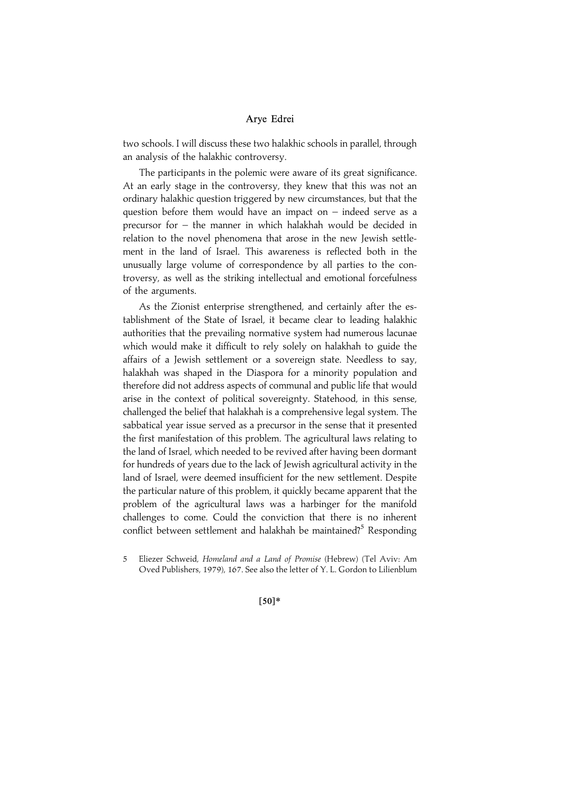two schools. I will discuss these two halakhic schools in parallel, through an analysis of the halakhic controversy.

The participants in the polemic were aware of its great significance. At an early stage in the controversy, they knew that this was not an ordinary halakhic question triggered by new circumstances, but that the question before them would have an impact on – indeed serve as a precursor for – the manner in which halakhah would be decided in relation to the novel phenomena that arose in the new Jewish settlement in the land of Israel. This awareness is reflected both in the unusually large volume of correspondence by all parties to the controversy, as well as the striking intellectual and emotional forcefulness of the arguments.

As the Zionist enterprise strengthened, and certainly after the establishment of the State of Israel, it became clear to leading halakhic authorities that the prevailing normative system had numerous lacunae which would make it difficult to rely solely on halakhah to guide the affairs of a Jewish settlement or a sovereign state. Needless to say, halakhah was shaped in the Diaspora for a minority population and therefore did not address aspects of communal and public life that would arise in the context of political sovereignty. Statehood, in this sense, challenged the belief that halakhah is a comprehensive legal system. The sabbatical year issue served as a precursor in the sense that it presented the first manifestation of this problem. The agricultural laws relating to the land of Israel, which needed to be revived after having been dormant for hundreds of years due to the lack of Jewish agricultural activity in the land of Israel, were deemed insufficient for the new settlement. Despite the particular nature of this problem, it quickly became apparent that the problem of the agricultural laws was a harbinger for the manifold challenges to come. Could the conviction that there is no inherent conflict between settlement and halakhah be maintained?<sup>5</sup> Responding

 $[50]*$ 

<sup>5</sup> Eliezer Schweid, Homeland and a Land of Promise (Hebrew) (Tel Aviv: Am Oved Publishers, 1979), 167. See also the letter of Y. L. Gordon to Lilienblum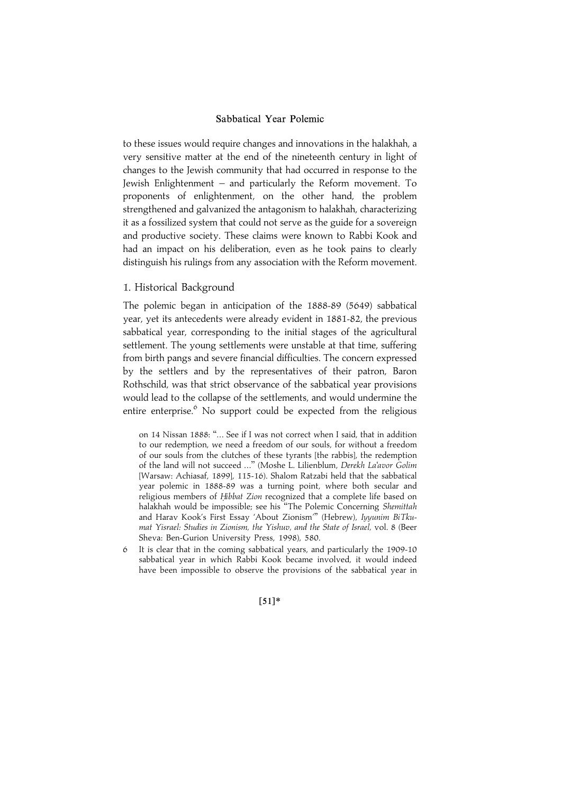to these issues would require changes and innovations in the halakhah, a very sensitive matter at the end of the nineteenth century in light of changes to the Jewish community that had occurred in response to the Jewish Enlightenment – and particularly the Reform movement. To proponents of enlightenment, on the other hand, the problem strengthened and galvanized the antagonism to halakhah, characterizing it as a fossilized system that could not serve as the guide for a sovereign and productive society. These claims were known to Rabbi Kook and had an impact on his deliberation, even as he took pains to clearly distinguish his rulings from any association with the Reform movement.

## 1. Historical Background

The polemic began in anticipation of the 1888-89 (5649) sabbatical year, yet its antecedents were already evident in 1881-82, the previous sabbatical year, corresponding to the initial stages of the agricultural settlement. The young settlements were unstable at that time, suffering from birth pangs and severe financial difficulties. The concern expressed by the settlers and by the representatives of their patron, Baron Rothschild, was that strict observance of the sabbatical year provisions would lead to the collapse of the settlements, and would undermine the entire enterprise.<sup>6</sup> No support could be expected from the religious

on 14 Nissan 1888: ''... See if I was not correct when I said, that in addition to our redemption, we need a freedom of our souls, for without a freedom of our souls from the clutches of these tyrants [the rabbis], the redemption of the land will not succeed ...'' (Moshe L. Lilienblum, Derekh La'avor Golim [Warsaw: Achiasaf, 1899], 115-16). Shalom Ratzabi held that the sabbatical year polemic in 1888-89 was a turning point, where both secular and religious members of Hibbat Zion recognized that a complete life based on halakhah would be impossible; see his "The Polemic Concerning Shemittah and Harav Kook's First Essay 'About Zionism''' (Hebrew), Iyyunim BiTkumat Yisrael: Studies in Zionism, the Yishuv, and the State of Israel, vol. 8 (Beer Sheva: Ben-Gurion University Press, 1998), 580.

6 It is clear that in the coming sabbatical years, and particularly the 1909-10 sabbatical year in which Rabbi Kook became involved, it would indeed have been impossible to observe the provisions of the sabbatical year in

#### $[51]*$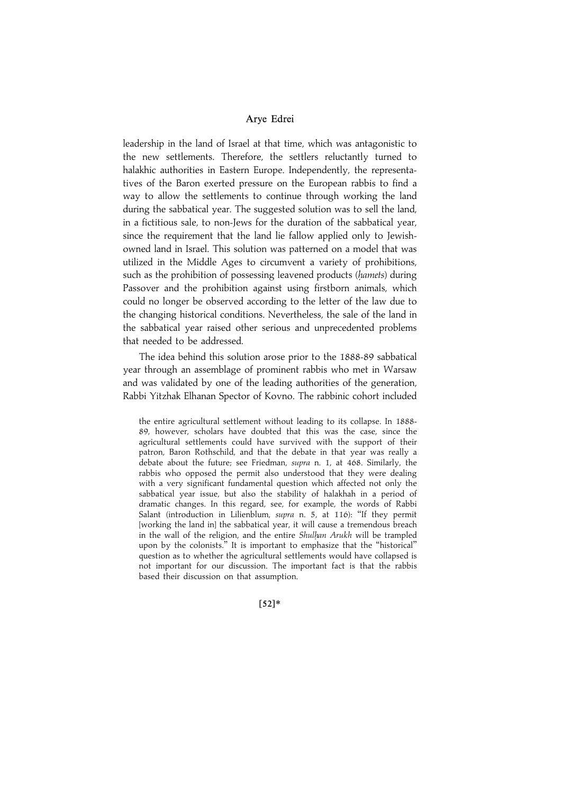leadership in the land of Israel at that time, which was antagonistic to the new settlements. Therefore, the settlers reluctantly turned to halakhic authorities in Eastern Europe. Independently, the representatives of the Baron exerted pressure on the European rabbis to find a way to allow the settlements to continue through working the land during the sabbatical year. The suggested solution was to sell the land, in a fictitious sale, to non-Jews for the duration of the sabbatical year, since the requirement that the land lie fallow applied only to Jewishowned land in Israel. This solution was patterned on a model that was utilized in the Middle Ages to circumvent a variety of prohibitions, such as the prohibition of possessing leavened products (hamets) during Passover and the prohibition against using firstborn animals, which could no longer be observed according to the letter of the law due to the changing historical conditions. Nevertheless, the sale of the land in the sabbatical year raised other serious and unprecedented problems that needed to be addressed.

The idea behind this solution arose prior to the 1888-89 sabbatical year through an assemblage of prominent rabbis who met in Warsaw and was validated by one of the leading authorities of the generation, Rabbi Yitzhak Elhanan Spector of Kovno. The rabbinic cohort included

the entire agricultural settlement without leading to its collapse. In 1888- 89, however, scholars have doubted that this was the case, since the agricultural settlements could have survived with the support of their patron, Baron Rothschild, and that the debate in that year was really a debate about the future; see Friedman, supra n. 1, at 468. Similarly, the rabbis who opposed the permit also understood that they were dealing with a very significant fundamental question which affected not only the sabbatical year issue, but also the stability of halakhah in a period of dramatic changes. In this regard, see, for example, the words of Rabbi Salant (introduction in Lilienblum, supra n. 5, at 116): "If they permit [working the land in] the sabbatical year, it will cause a tremendous breach in the wall of the religion, and the entire Shulhan Arukh will be trampled upon by the colonists.'' It is important to emphasize that the ''historical'' question as to whether the agricultural settlements would have collapsed is not important for our discussion. The important fact is that the rabbis based their discussion on that assumption.

 $[52]*$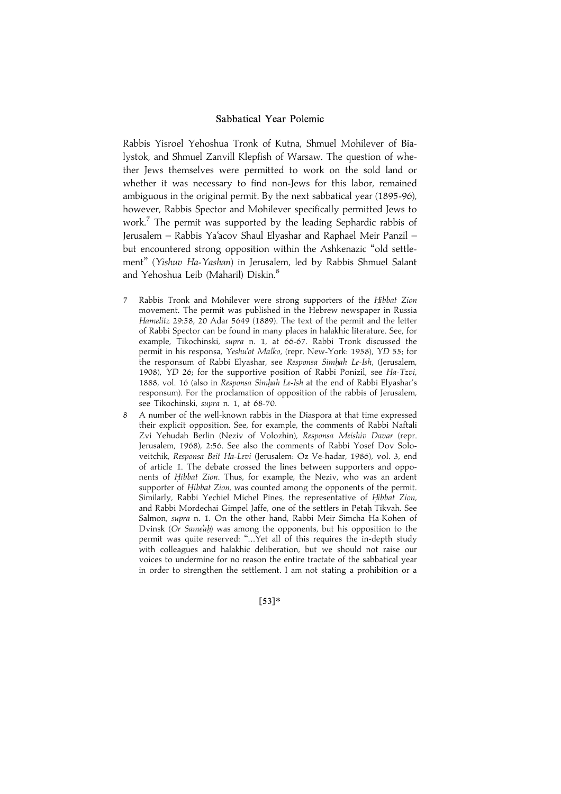Rabbis Yisroel Yehoshua Tronk of Kutna, Shmuel Mohilever of Bialystok, and Shmuel Zanvill Klepfish of Warsaw. The question of whether Jews themselves were permitted to work on the sold land or whether it was necessary to find non-Jews for this labor, remained ambiguous in the original permit. By the next sabbatical year (1895-96), however, Rabbis Spector and Mohilever specifically permitted Jews to work.<sup>7</sup> The permit was supported by the leading Sephardic rabbis of Jerusalem – Rabbis Ya'acov Shaul Elyashar and Raphael Meir Panzil – but encountered strong opposition within the Ashkenazic ''old settlement'' (Yishuv Ha-Yashan) in Jerusalem, led by Rabbis Shmuel Salant and Yehoshua Leib (Maharil) Diskin.<sup>8</sup>

- 7 Rabbis Tronk and Mohilever were strong supporters of the Hibbat Zion movement. The permit was published in the Hebrew newspaper in Russia Hamelitz 29:58, 20 Adar 5649 (1889). The text of the permit and the letter of Rabbi Spector can be found in many places in halakhic literature. See, for example, Tikochinski, supra n. 1, at 66-67. Rabbi Tronk discussed the permit in his responsa, Yeshu'ot Malko, (repr. New-York: 1958), YD 55; for the responsum of Rabbi Elyashar, see Responsa Simhah Le-Ish, (Jerusalem, 1908), YD 26; for the supportive position of Rabbi Ponizil, see Ha-Tzvi, 1888, vol. 16 (also in Responsa Simhah Le-Ish at the end of Rabbi Elyashar's responsum). For the proclamation of opposition of the rabbis of Jerusalem, see Tikochinski, supra n. 1, at 68-70.
- 8 A number of the well-known rabbis in the Diaspora at that time expressed their explicit opposition. See, for example, the comments of Rabbi Naftali Zvi Yehudah Berlin (Neziv of Volozhin), Responsa Meishiv Davar (repr. Jerusalem, 1968), 2:56. See also the comments of Rabbi Yosef Dov Soloveitchik, Responsa Beit Ha-Levi (Jerusalem: Oz Ve-hadar, 1986), vol. 3, end of article 1. The debate crossed the lines between supporters and opponents of Hibbat Zion. Thus, for example, the Neziv, who was an ardent supporter of Hibbat Zion, was counted among the opponents of the permit. Similarly, Rabbi Yechiel Michel Pines, the representative of Hibbat Zion, and Rabbi Mordechai Gimpel Jaffe, one of the settlers in Petah Tikvah. See Salmon, supra n. 1. On the other hand, Rabbi Meir Simcha Ha-Kohen of Dvinsk (Or Same'ah) was among the opponents, but his opposition to the permit was quite reserved: "...Yet all of this requires the in-depth study with colleagues and halakhic deliberation, but we should not raise our voices to undermine for no reason the entire tractate of the sabbatical year in order to strengthen the settlement. I am not stating a prohibition or a

 $[53]*$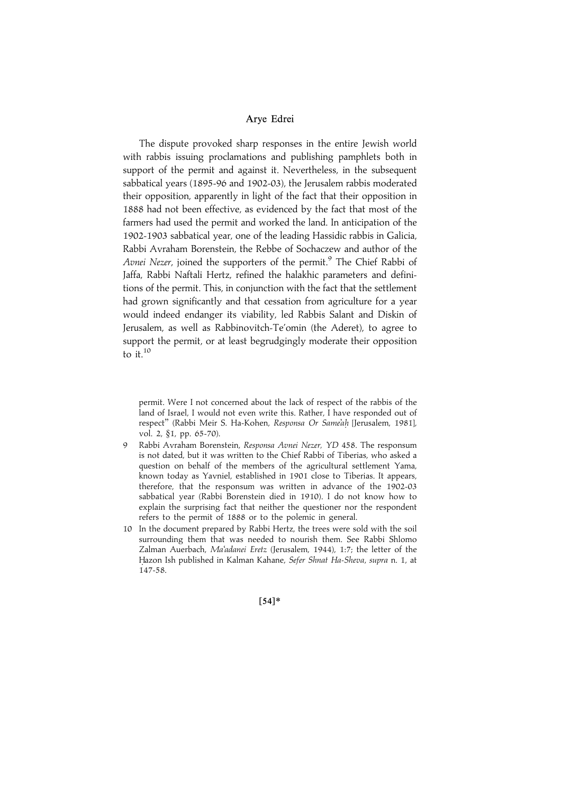The dispute provoked sharp responses in the entire Jewish world with rabbis issuing proclamations and publishing pamphlets both in support of the permit and against it. Nevertheless, in the subsequent sabbatical years (1895-96 and 1902-03), the Jerusalem rabbis moderated their opposition, apparently in light of the fact that their opposition in 1888 had not been effective, as evidenced by the fact that most of the farmers had used the permit and worked the land. In anticipation of the 1902-1903 sabbatical year, one of the leading Hassidic rabbis in Galicia, Rabbi Avraham Borenstein, the Rebbe of Sochaczew and author of the Avnei Nezer, joined the supporters of the permit.<sup>9</sup> The Chief Rabbi of Jaffa, Rabbi Naftali Hertz, refined the halakhic parameters and definitions of the permit. This, in conjunction with the fact that the settlement had grown significantly and that cessation from agriculture for a year would indeed endanger its viability, led Rabbis Salant and Diskin of Jerusalem, as well as Rabbinovitch-Te'omin (the Aderet), to agree to support the permit, or at least begrudgingly moderate their opposition to it. $^{10}$ 

permit. Were I not concerned about the lack of respect of the rabbis of the land of Israel, I would not even write this. Rather, I have responded out of respect" (Rabbi Meir S. Ha-Kohen, Responsa Or Same'ah [Jerusalem, 1981], vol. 2, §1, pp. 65-70).

- 9 Rabbi Avraham Borenstein, Responsa Avnei Nezer, YD 458. The responsum is not dated, but it was written to the Chief Rabbi of Tiberias, who asked a question on behalf of the members of the agricultural settlement Yama, known today as Yavniel, established in 1901 close to Tiberias. It appears, therefore, that the responsum was written in advance of the 1902-03 sabbatical year (Rabbi Borenstein died in 1910). I do not know how to explain the surprising fact that neither the questioner nor the respondent refers to the permit of 1888 or to the polemic in general.
- 10 In the document prepared by Rabbi Hertz, the trees were sold with the soil surrounding them that was needed to nourish them. See Rabbi Shlomo Zalman Auerbach, Ma'adanei Eretz (Jerusalem, 1944), 1:7; the letter of the Hazon Ish published in Kalman Kahane, Sefer Shnat Ha-Sheva, supra n. 1, at 147-58.

 $[54]*$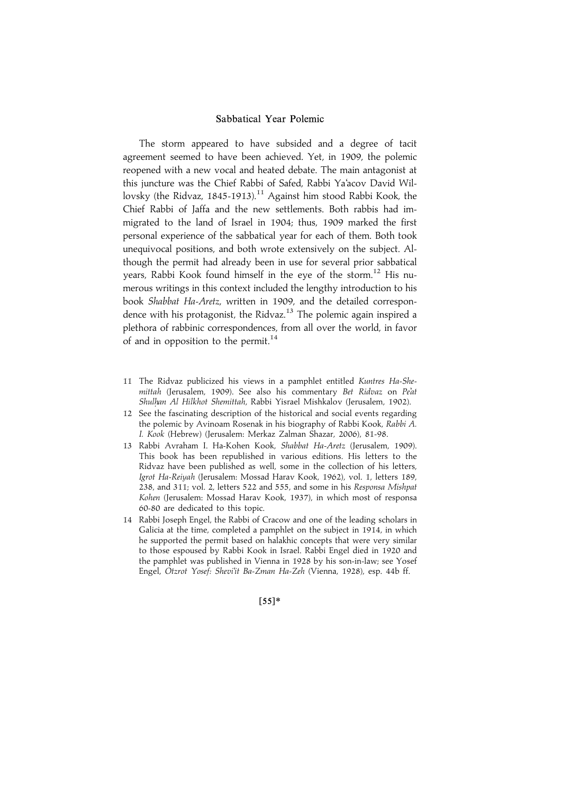The storm appeared to have subsided and a degree of tacit agreement seemed to have been achieved. Yet, in 1909, the polemic reopened with a new vocal and heated debate. The main antagonist at this juncture was the Chief Rabbi of Safed, Rabbi Ya'acov David Willovsky (the Ridvaz, 1845-1913).<sup>11</sup> Against him stood Rabbi Kook, the Chief Rabbi of Jaffa and the new settlements. Both rabbis had immigrated to the land of Israel in 1904; thus, 1909 marked the first personal experience of the sabbatical year for each of them. Both took unequivocal positions, and both wrote extensively on the subject. Although the permit had already been in use for several prior sabbatical years, Rabbi Kook found himself in the eye of the storm.<sup>12</sup> His numerous writings in this context included the lengthy introduction to his book Shabbat Ha-Aretz, written in 1909, and the detailed correspondence with his protagonist, the Ridvaz.<sup>13</sup> The polemic again inspired a plethora of rabbinic correspondences, from all over the world, in favor of and in opposition to the permit.<sup>14</sup>

- 11 The Ridvaz publicized his views in a pamphlet entitled Kuntres Ha-Shemittah (Jerusalem, 1909). See also his commentary Bet Ridvaz on Pe'at Shulhan Al Hilkhot Shemittah, Rabbi Yisrael Mishkalov (Jerusalem, 1902).
- 12 See the fascinating description of the historical and social events regarding the polemic by Avinoam Rosenak in his biography of Rabbi Kook, Rabbi A. I. Kook (Hebrew) (Jerusalem: Merkaz Zalman Shazar, 2006), 81-98.
- 13 Rabbi Avraham I. Ha-Kohen Kook, Shabbat Ha-Aretz (Jerusalem, 1909). This book has been republished in various editions. His letters to the Ridvaz have been published as well, some in the collection of his letters, Igrot Ha-Reiyah (Jerusalem: Mossad Harav Kook, 1962), vol. 1, letters 189, 238, and 311; vol. 2, letters 522 and 555, and some in his Responsa Mishpat Kohen (Jerusalem: Mossad Harav Kook, 1937), in which most of responsa 60-80 are dedicated to this topic.
- 14 Rabbi Joseph Engel, the Rabbi of Cracow and one of the leading scholars in Galicia at the time, completed a pamphlet on the subject in 1914, in which he supported the permit based on halakhic concepts that were very similar to those espoused by Rabbi Kook in Israel. Rabbi Engel died in 1920 and the pamphlet was published in Vienna in 1928 by his son-in-law; see Yosef Engel, Otzrot Yosef: Shevi'it Ba-Zman Ha-Zeh (Vienna, 1928), esp. 44b ff.

 $[55]$ \*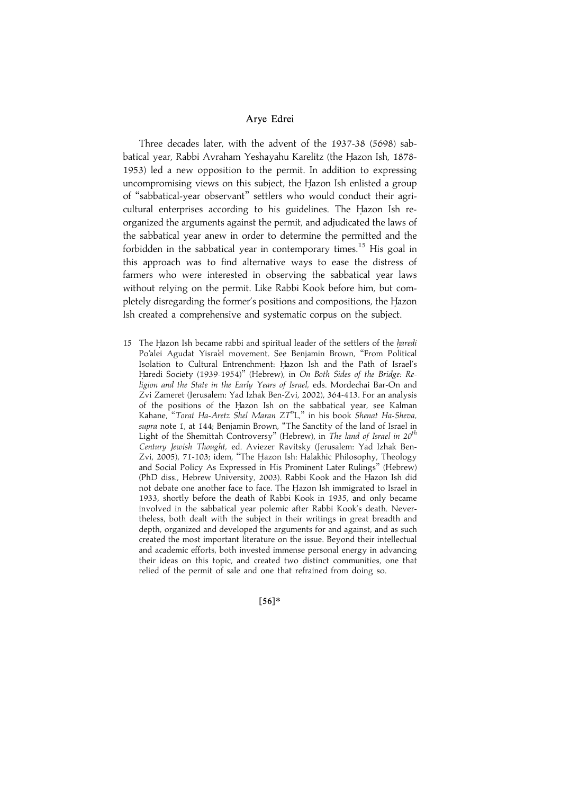Three decades later, with the advent of the 1937-38 (5698) sabbatical year, Rabbi Avraham Yeshayahu Karelitz (the Hazon Ish, 1878-1953) led a new opposition to the permit. In addition to expressing uncompromising views on this subject, the Hazon Ish enlisted a group of ''sabbatical-year observant'' settlers who would conduct their agricultural enterprises according to his guidelines. The Hazon Ish reorganized the arguments against the permit, and adjudicated the laws of the sabbatical year anew in order to determine the permitted and the forbidden in the sabbatical year in contemporary times.<sup>15</sup> His goal in this approach was to find alternative ways to ease the distress of farmers who were interested in observing the sabbatical year laws without relying on the permit. Like Rabbi Kook before him, but completely disregarding the former's positions and compositions, the Hazon Ish created a comprehensive and systematic corpus on the subject.

15 The Hazon Ish became rabbi and spiritual leader of the settlers of the haredi Po'alei Agudat Yisra'el movement. See Benjamin Brown, ''From Political Isolation to Cultural Entrenchment: Hazon Ish and the Path of Israel's Haredi Society (1939-1954)" (Hebrew), in On Both Sides of the Bridge: Religion and the State in the Early Years of Israel, eds. Mordechai Bar-On and Zvi Zameret (Jerusalem: Yad Izhak Ben-Zvi, 2002), 364-413. For an analysis of the positions of the Hazon Ish on the sabbatical year, see Kalman Kahane, ''Torat Ha-Aretz Shel Maran ZT''L,'' in his book Shenat Ha-Sheva, supra note 1, at 144; Benjamin Brown, "The Sanctity of the land of Israel in Light of the Shemittah Controversy" (Hebrew), in The land of Israel in  $20^{th}$ Century Jewish Thought, ed. Aviezer Ravitsky (Jerusalem: Yad Izhak Ben-Zvi, 2005), 71-103; idem, "The Hazon Ish: Halakhic Philosophy, Theology and Social Policy As Expressed in His Prominent Later Rulings'' (Hebrew) (PhD diss., Hebrew University, 2003). Rabbi Kook and the Hazon Ish did not debate one another face to face. The Hazon Ish immigrated to Israel in 1933, shortly before the death of Rabbi Kook in 1935, and only became involved in the sabbatical year polemic after Rabbi Kook's death. Nevertheless, both dealt with the subject in their writings in great breadth and depth, organized and developed the arguments for and against, and as such created the most important literature on the issue. Beyond their intellectual and academic efforts, both invested immense personal energy in advancing their ideas on this topic, and created two distinct communities, one that relied of the permit of sale and one that refrained from doing so.

 $[56]*$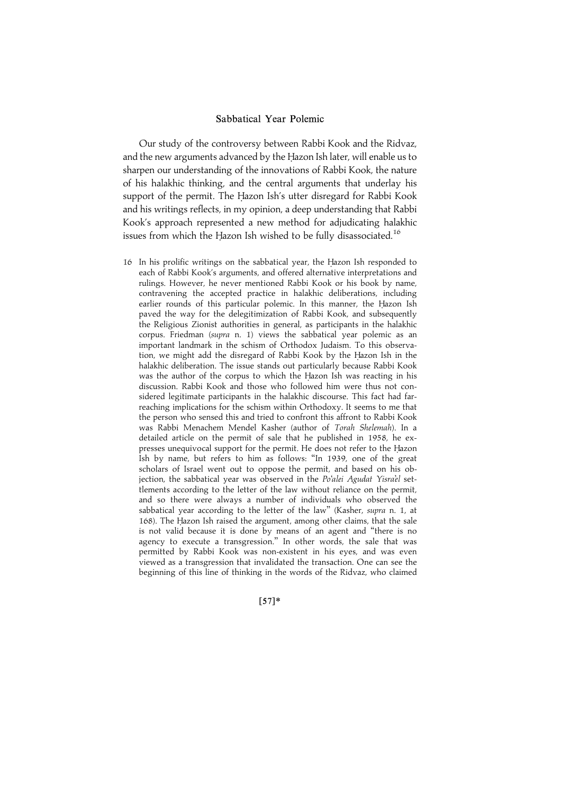Our study of the controversy between Rabbi Kook and the Ridvaz, and the new arguments advanced by the Hazon Ish later, will enable us to sharpen our understanding of the innovations of Rabbi Kook, the nature of his halakhic thinking, and the central arguments that underlay his support of the permit. The Hazon Ish's utter disregard for Rabbi Kook and his writings reflects, in my opinion, a deep understanding that Rabbi Kook's approach represented a new method for adjudicating halakhic issues from which the Hazon Ish wished to be fully disassociated.<sup>16</sup>

16 In his prolific writings on the sabbatical year, the Hazon Ish responded to each of Rabbi Kook's arguments, and offered alternative interpretations and rulings. However, he never mentioned Rabbi Kook or his book by name, contravening the accepted practice in halakhic deliberations, including earlier rounds of this particular polemic. In this manner, the Hazon Ish paved the way for the delegitimization of Rabbi Kook, and subsequently the Religious Zionist authorities in general, as participants in the halakhic corpus. Friedman (supra n. 1) views the sabbatical year polemic as an important landmark in the schism of Orthodox Judaism. To this observation, we might add the disregard of Rabbi Kook by the Hazon Ish in the halakhic deliberation. The issue stands out particularly because Rabbi Kook was the author of the corpus to which the Hazon Ish was reacting in his discussion. Rabbi Kook and those who followed him were thus not considered legitimate participants in the halakhic discourse. This fact had farreaching implications for the schism within Orthodoxy. It seems to me that the person who sensed this and tried to confront this affront to Rabbi Kook was Rabbi Menachem Mendel Kasher (author of Torah Shelemah). In a detailed article on the permit of sale that he published in 1958, he expresses unequivocal support for the permit. He does not refer to the Hazon Ish by name, but refers to him as follows: ''In 1939, one of the great scholars of Israel went out to oppose the permit, and based on his objection, the sabbatical year was observed in the Po'alei Agudat Yisra'el settlements according to the letter of the law without reliance on the permit, and so there were always a number of individuals who observed the sabbatical year according to the letter of the law" (Kasher, supra n. 1, at 168). The Hazon Ish raised the argument, among other claims, that the sale is not valid because it is done by means of an agent and ''there is no agency to execute a transgression.'' In other words, the sale that was permitted by Rabbi Kook was non-existent in his eyes, and was even viewed as a transgression that invalidated the transaction. One can see the beginning of this line of thinking in the words of the Ridvaz, who claimed

 $[57]*$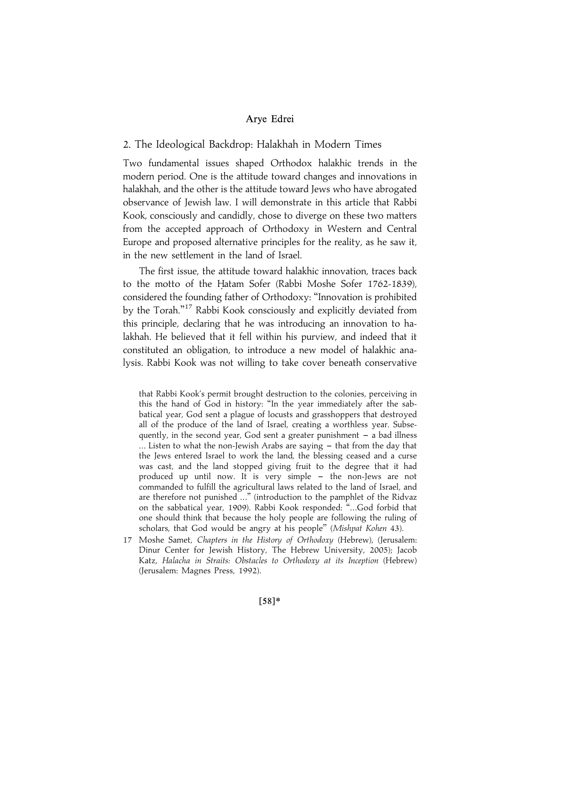#### 2. The Ideological Backdrop: Halakhah in Modern Times

Two fundamental issues shaped Orthodox halakhic trends in the modern period. One is the attitude toward changes and innovations in halakhah, and the other is the attitude toward Jews who have abrogated observance of Jewish law. I will demonstrate in this article that Rabbi Kook, consciously and candidly, chose to diverge on these two matters from the accepted approach of Orthodoxy in Western and Central Europe and proposed alternative principles for the reality, as he saw it, in the new settlement in the land of Israel.

The first issue, the attitude toward halakhic innovation, traces back to the motto of the Hatam Sofer (Rabbi Moshe Sofer 1762-1839), considered the founding father of Orthodoxy: ''Innovation is prohibited by the Torah."<sup>17</sup> Rabbi Kook consciously and explicitly deviated from this principle, declaring that he was introducing an innovation to halakhah. He believed that it fell within his purview, and indeed that it constituted an obligation, to introduce a new model of halakhic analysis. Rabbi Kook was not willing to take cover beneath conservative

that Rabbi Kook's permit brought destruction to the colonies, perceiving in this the hand of God in history: ''In the year immediately after the sabbatical year, God sent a plague of locusts and grasshoppers that destroyed all of the produce of the land of Israel, creating a worthless year. Subsequently, in the second year, God sent a greater punishment  $-$  a bad illness  $\ldots$  Listen to what the non-Jewish Arabs are saying  $-$  that from the day that the Jews entered Israel to work the land, the blessing ceased and a curse was cast, and the land stopped giving fruit to the degree that it had produced up until now. It is very simple - the non-Jews are not commanded to fulfill the agricultural laws related to the land of Israel, and are therefore not punished ...'' (introduction to the pamphlet of the Ridvaz on the sabbatical year, 1909). Rabbi Kook responded: ''...God forbid that one should think that because the holy people are following the ruling of scholars, that God would be angry at his people'' (Mishpat Kohen 43).

17 Moshe Samet, Chapters in the History of Orthodoxy (Hebrew), (Jerusalem: Dinur Center for Jewish History, The Hebrew University, 2005); Jacob Katz, Halacha in Straits: Obstacles to Orthodoxy at its Inception (Hebrew) (Jerusalem: Magnes Press, 1992).

 $[58]*$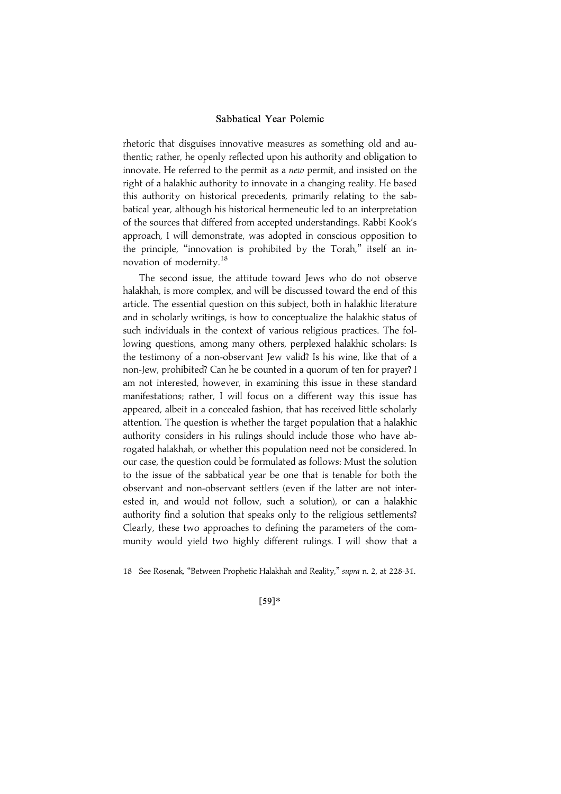rhetoric that disguises innovative measures as something old and authentic; rather, he openly reflected upon his authority and obligation to innovate. He referred to the permit as a new permit, and insisted on the right of a halakhic authority to innovate in a changing reality. He based this authority on historical precedents, primarily relating to the sabbatical year, although his historical hermeneutic led to an interpretation of the sources that differed from accepted understandings. Rabbi Kook's approach, I will demonstrate, was adopted in conscious opposition to the principle, "innovation is prohibited by the Torah," itself an innovation of modernity.<sup>18</sup>

The second issue, the attitude toward Jews who do not observe halakhah, is more complex, and will be discussed toward the end of this article. The essential question on this subject, both in halakhic literature and in scholarly writings, is how to conceptualize the halakhic status of such individuals in the context of various religious practices. The following questions, among many others, perplexed halakhic scholars: Is the testimony of a non-observant Jew valid? Is his wine, like that of a non-Jew, prohibited? Can he be counted in a quorum of ten for prayer? I am not interested, however, in examining this issue in these standard manifestations; rather, I will focus on a different way this issue has appeared, albeit in a concealed fashion, that has received little scholarly attention. The question is whether the target population that a halakhic authority considers in his rulings should include those who have abrogated halakhah, or whether this population need not be considered. In our case, the question could be formulated as follows: Must the solution to the issue of the sabbatical year be one that is tenable for both the observant and non-observant settlers (even if the latter are not interested in, and would not follow, such a solution), or can a halakhic authority find a solution that speaks only to the religious settlements? Clearly, these two approaches to defining the parameters of the community would yield two highly different rulings. I will show that a

<sup>18</sup> See Rosenak, "Between Prophetic Halakhah and Reality," supra n. 2, at 228-31.

 $[59]*$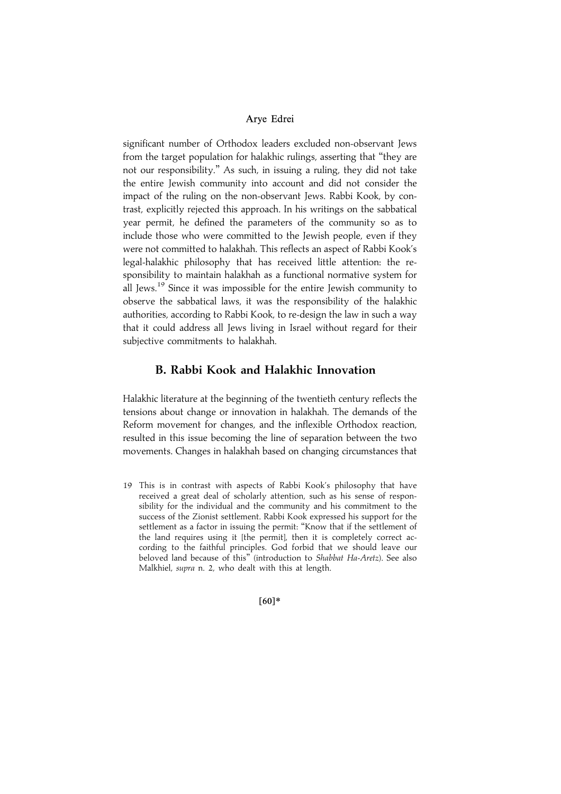significant number of Orthodox leaders excluded non-observant Jews from the target population for halakhic rulings, asserting that ''they are not our responsibility.'' As such, in issuing a ruling, they did not take the entire Jewish community into account and did not consider the impact of the ruling on the non-observant Jews. Rabbi Kook, by contrast, explicitly rejected this approach. In his writings on the sabbatical year permit, he defined the parameters of the community so as to include those who were committed to the Jewish people, even if they were not committed to halakhah. This reflects an aspect of Rabbi Kook's legal-halakhic philosophy that has received little attention: the responsibility to maintain halakhah as a functional normative system for all Jews.<sup>19</sup> Since it was impossible for the entire Jewish community to observe the sabbatical laws, it was the responsibility of the halakhic authorities, according to Rabbi Kook, to re-design the law in such a way that it could address all Jews living in Israel without regard for their subjective commitments to halakhah.

## B. Rabbi Kook and Halakhic Innovation

Halakhic literature at the beginning of the twentieth century reflects the tensions about change or innovation in halakhah. The demands of the Reform movement for changes, and the inflexible Orthodox reaction, resulted in this issue becoming the line of separation between the two movements. Changes in halakhah based on changing circumstances that

19 This is in contrast with aspects of Rabbi Kook's philosophy that have received a great deal of scholarly attention, such as his sense of responsibility for the individual and the community and his commitment to the success of the Zionist settlement. Rabbi Kook expressed his support for the settlement as a factor in issuing the permit: ''Know that if the settlement of the land requires using it [the permit], then it is completely correct according to the faithful principles. God forbid that we should leave our beloved land because of this'' (introduction to Shabbat Ha-Aretz). See also Malkhiel, supra n. 2, who dealt with this at length.

 $[60]*$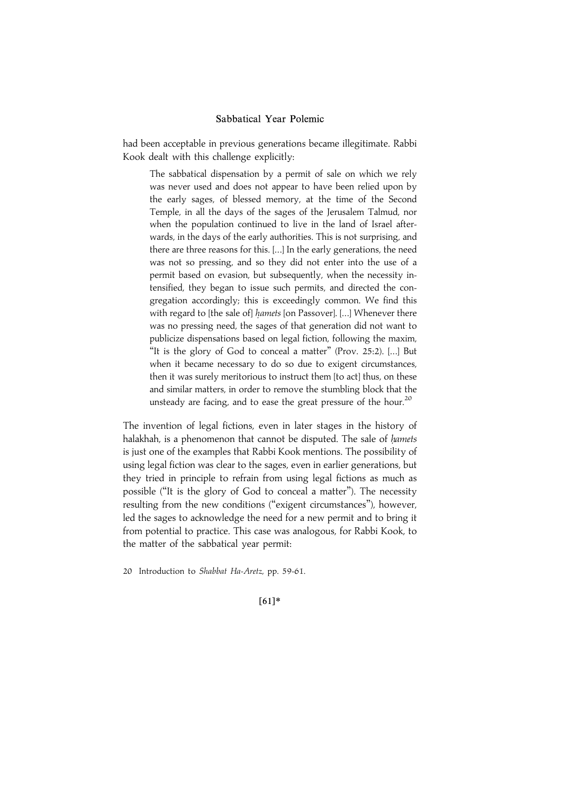had been acceptable in previous generations became illegitimate. Rabbi Kook dealt with this challenge explicitly:

The sabbatical dispensation by a permit of sale on which we rely was never used and does not appear to have been relied upon by the early sages, of blessed memory, at the time of the Second Temple, in all the days of the sages of the Jerusalem Talmud, nor when the population continued to live in the land of Israel afterwards, in the days of the early authorities. This is not surprising, and there are three reasons for this. [...] In the early generations, the need was not so pressing, and so they did not enter into the use of a permit based on evasion, but subsequently, when the necessity intensified, they began to issue such permits, and directed the congregation accordingly; this is exceedingly common. We find this with regard to [the sale of] hamets [on Passover]. [...] Whenever there was no pressing need, the sages of that generation did not want to publicize dispensations based on legal fiction, following the maxim, "It is the glory of God to conceal a matter" (Prov. 25:2). [...] But when it became necessary to do so due to exigent circumstances, then it was surely meritorious to instruct them [to act] thus, on these and similar matters, in order to remove the stumbling block that the unsteady are facing, and to ease the great pressure of the hour.<sup>20</sup>

The invention of legal fictions, even in later stages in the history of halakhah, is a phenomenon that cannot be disputed. The sale of *hamets* is just one of the examples that Rabbi Kook mentions. The possibility of using legal fiction was clear to the sages, even in earlier generations, but they tried in principle to refrain from using legal fictions as much as possible (''It is the glory of God to conceal a matter''). The necessity resulting from the new conditions (''exigent circumstances''), however, led the sages to acknowledge the need for a new permit and to bring it from potential to practice. This case was analogous, for Rabbi Kook, to the matter of the sabbatical year permit:

20 Introduction to Shabbat Ha-Aretz, pp. 59-61.

 $[61]*$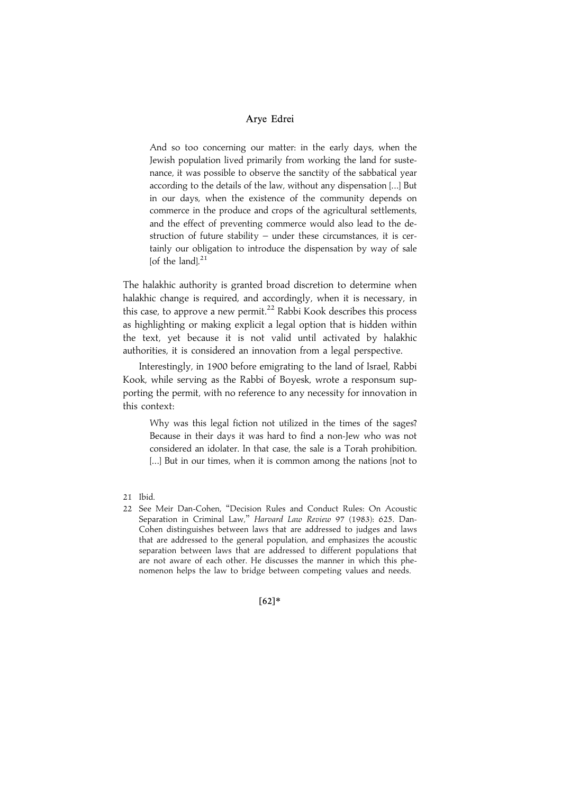And so too concerning our matter: in the early days, when the Jewish population lived primarily from working the land for sustenance, it was possible to observe the sanctity of the sabbatical year according to the details of the law, without any dispensation [...] But in our days, when the existence of the community depends on commerce in the produce and crops of the agricultural settlements, and the effect of preventing commerce would also lead to the destruction of future stability – under these circumstances, it is certainly our obligation to introduce the dispensation by way of sale [of the land]. $21$ 

The halakhic authority is granted broad discretion to determine when halakhic change is required, and accordingly, when it is necessary, in this case, to approve a new permit.<sup>22</sup> Rabbi Kook describes this process as highlighting or making explicit a legal option that is hidden within the text, yet because it is not valid until activated by halakhic authorities, it is considered an innovation from a legal perspective.

Interestingly, in 1900 before emigrating to the land of Israel, Rabbi Kook, while serving as the Rabbi of Boyesk, wrote a responsum supporting the permit, with no reference to any necessity for innovation in this context:

Why was this legal fiction not utilized in the times of the sages? Because in their days it was hard to find a non-Jew who was not considered an idolater. In that case, the sale is a Torah prohibition. [...] But in our times, when it is common among the nations [not to

 $[62]*$ 

<sup>21</sup> Ibid.

<sup>22</sup> See Meir Dan-Cohen, ''Decision Rules and Conduct Rules: On Acoustic Separation in Criminal Law," Harvard Law Review 97 (1983): 625. Dan-Cohen distinguishes between laws that are addressed to judges and laws that are addressed to the general population, and emphasizes the acoustic separation between laws that are addressed to different populations that are not aware of each other. He discusses the manner in which this phenomenon helps the law to bridge between competing values and needs.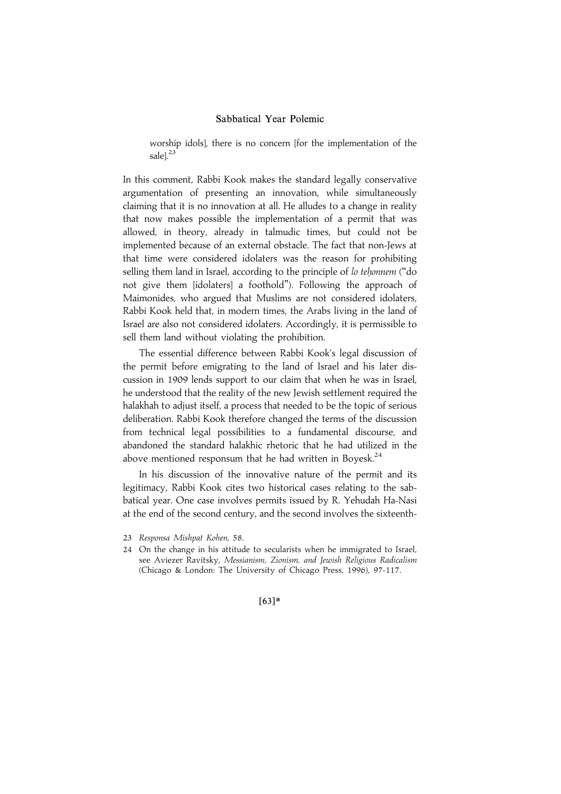worship idols], there is no concern [for the implementation of the sale]. $^{23}$ 

In this comment, Rabbi Kook makes the standard legally conservative argumentation of presenting an innovation, while simultaneously claiming that it is no innovation at all. He alludes to a change in reality that now makes possible the implementation of a permit that was allowed, in theory, already in talmudic times, but could not be implemented because of an external obstacle. The fact that non-Jews at that time were considered idolaters was the reason for prohibiting selling them land in Israel, according to the principle of lo tehonnem ("do not give them [idolaters] a foothold''). Following the approach of Maimonides, who argued that Muslims are not considered idolaters, Rabbi Kook held that, in modern times, the Arabs living in the land of Israel are also not considered idolaters. Accordingly, it is permissible to sell them land without violating the prohibition.

The essential difference between Rabbi Kook's legal discussion of the permit before emigrating to the land of Israel and his later discussion in 1909 lends support to our claim that when he was in Israel, he understood that the reality of the new Jewish settlement required the halakhah to adjust itself, a process that needed to be the topic of serious deliberation. Rabbi Kook therefore changed the terms of the discussion from technical legal possibilities to a fundamental discourse, and abandoned the standard halakhic rhetoric that he had utilized in the above mentioned responsum that he had written in Boyesk. $^{24}$ 

In his discussion of the innovative nature of the permit and its legitimacy, Rabbi Kook cites two historical cases relating to the sabbatical year. One case involves permits issued by R. Yehudah Ha-Nasi at the end of the second century, and the second involves the sixteenth-

## $[63]*$

<sup>23</sup> Responsa Mishpat Kohen, 58.

<sup>24</sup> On the change in his attitude to secularists when he immigrated to Israel, see Aviezer Ravitsky, Messianism, Zionism, and Jewish Religious Radicalism (Chicago & London: The University of Chicago Press, 1996), 97-117.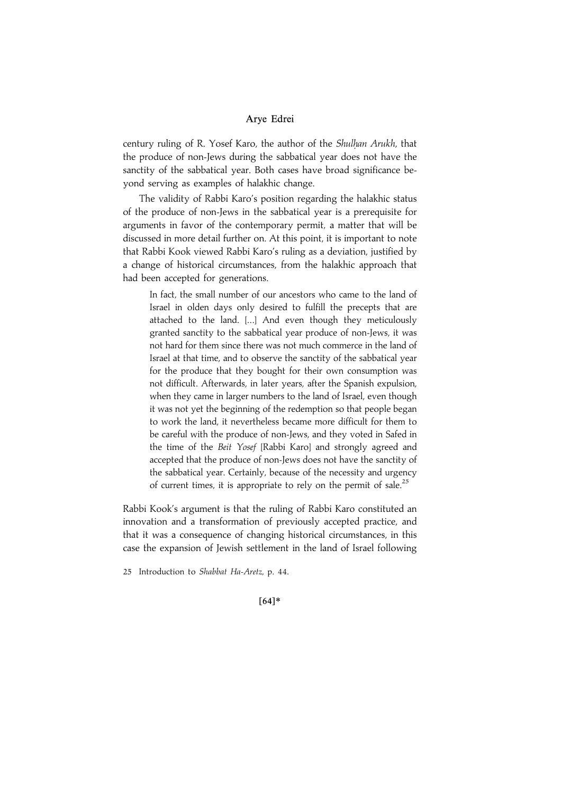century ruling of R. Yosef Karo, the author of the Shulhan Arukh, that the produce of non-Jews during the sabbatical year does not have the sanctity of the sabbatical year. Both cases have broad significance beyond serving as examples of halakhic change.

The validity of Rabbi Karo's position regarding the halakhic status of the produce of non-Jews in the sabbatical year is a prerequisite for arguments in favor of the contemporary permit, a matter that will be discussed in more detail further on. At this point, it is important to note that Rabbi Kook viewed Rabbi Karo's ruling as a deviation, justified by a change of historical circumstances, from the halakhic approach that had been accepted for generations.

In fact, the small number of our ancestors who came to the land of Israel in olden days only desired to fulfill the precepts that are attached to the land. [...] And even though they meticulously granted sanctity to the sabbatical year produce of non-Jews, it was not hard for them since there was not much commerce in the land of Israel at that time, and to observe the sanctity of the sabbatical year for the produce that they bought for their own consumption was not difficult. Afterwards, in later years, after the Spanish expulsion, when they came in larger numbers to the land of Israel, even though it was not yet the beginning of the redemption so that people began to work the land, it nevertheless became more difficult for them to be careful with the produce of non-Jews, and they voted in Safed in the time of the Beit Yosef [Rabbi Karo] and strongly agreed and accepted that the produce of non-Jews does not have the sanctity of the sabbatical year. Certainly, because of the necessity and urgency of current times, it is appropriate to rely on the permit of sale.<sup>25</sup>

Rabbi Kook's argument is that the ruling of Rabbi Karo constituted an innovation and a transformation of previously accepted practice, and that it was a consequence of changing historical circumstances, in this case the expansion of Jewish settlement in the land of Israel following

25 Introduction to Shabbat Ha-Aretz, p. 44.

 $[64]*$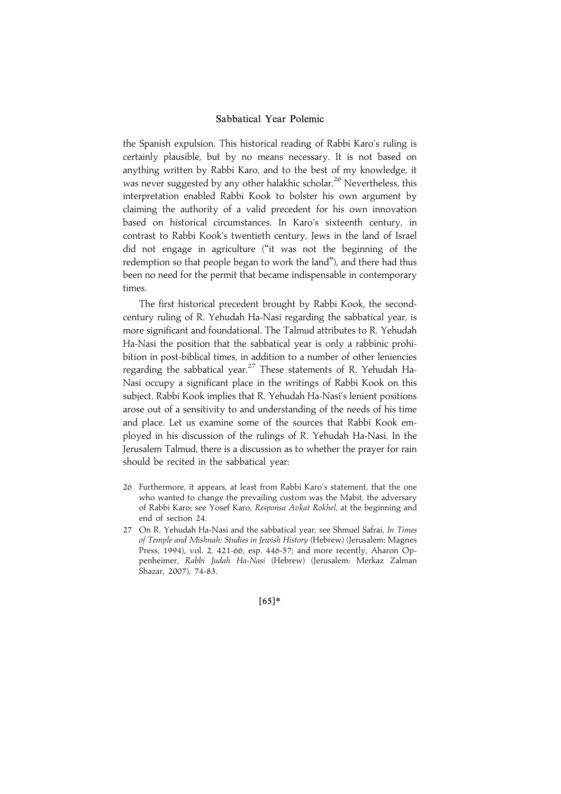the Spanish expulsion. This historical reading of Rabbi Karo's ruling is certainly plausible, but by no means necessary. It is not based on anything written by Rabbi Karo, and to the best of my knowledge, it was never suggested by any other halakhic scholar.<sup>26</sup> Nevertheless, this interpretation enabled Rabbi Kook to bolster his own argument by claiming the authority of a valid precedent for his own innovation based on historical circumstances. In Karo's sixteenth century, in contrast to Rabbi Kook's twentieth century, Jews in the land of Israel did not engage in agriculture (''it was not the beginning of the redemption so that people began to work the land''), and there had thus been no need for the permit that became indispensable in contemporary times.

The first historical precedent brought by Rabbi Kook, the secondcentury ruling of R. Yehudah Ha-Nasi regarding the sabbatical year, is more significant and foundational. The Talmud attributes to R. Yehudah Ha-Nasi the position that the sabbatical year is only a rabbinic prohibition in post-biblical times, in addition to a number of other leniencies regarding the sabbatical year.<sup>27</sup> These statements of R. Yehudah Ha-Nasi occupy a significant place in the writings of Rabbi Kook on this subject. Rabbi Kook implies that R. Yehudah Ha-Nasi's lenient positions arose out of a sensitivity to and understanding of the needs of his time and place. Let us examine some of the sources that Rabbi Kook employed in his discussion of the rulings of R. Yehudah Ha-Nasi. In the Jerusalem Talmud, there is a discussion as to whether the prayer for rain should be recited in the sabbatical year:

- 26 Furthermore, it appears, at least from Rabbi Karo's statement, that the one who wanted to change the prevailing custom was the Mabit, the adversary of Rabbi Karo; see Yosef Karo, Responsa Avkat Rokhel, at the beginning and end of section 24.
- 27 On R. Yehudah Ha-Nasi and the sabbatical year, see Shmuel Safrai, In Times of Temple and Mishnah: Studies in Jewish History (Hebrew) (Jerusalem: Magnes Press, 1994), vol. 2, 421-66, esp. 446-57; and more recently, Aharon Oppenheimer, Rabbi Judah Ha-Nasi (Hebrew) (Jerusalem: Merkaz Zalman Shazar, 2007), 74-83.

 $[65]*$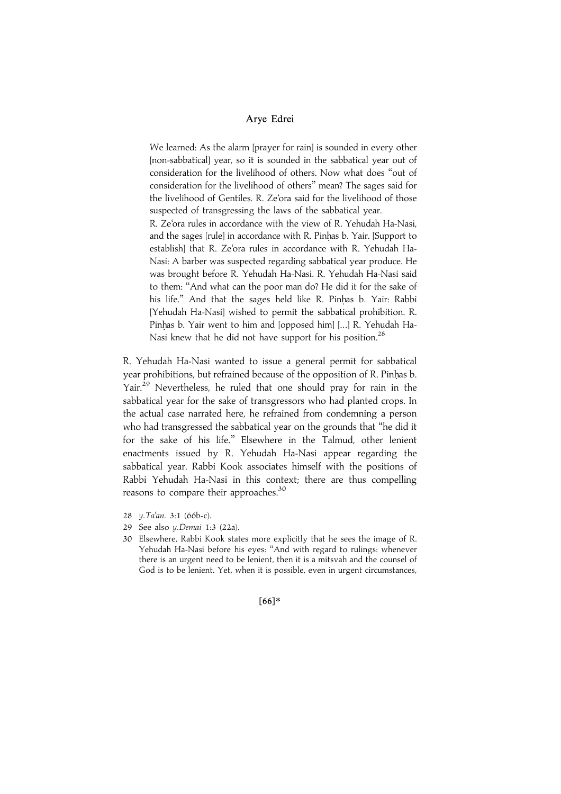We learned: As the alarm [prayer for rain] is sounded in every other [non-sabbatical] year, so it is sounded in the sabbatical year out of consideration for the livelihood of others. Now what does ''out of consideration for the livelihood of others'' mean? The sages said for the livelihood of Gentiles. R. Ze'ora said for the livelihood of those suspected of transgressing the laws of the sabbatical year.

R. Ze'ora rules in accordance with the view of R. Yehudah Ha-Nasi, and the sages [rule] in accordance with R. Pinhas b. Yair. [Support to establish] that R. Ze'ora rules in accordance with R. Yehudah Ha-Nasi: A barber was suspected regarding sabbatical year produce. He was brought before R. Yehudah Ha-Nasi. R. Yehudah Ha-Nasi said to them: ''And what can the poor man do? He did it for the sake of his life." And that the sages held like R. Pinhas b. Yair: Rabbi [Yehudah Ha-Nasi] wished to permit the sabbatical prohibition. R. Pinhas b. Yair went to him and [opposed him] [...] R. Yehudah Ha-Nasi knew that he did not have support for his position.<sup>28</sup>

R. Yehudah Ha-Nasi wanted to issue a general permit for sabbatical year prohibitions, but refrained because of the opposition of R. Pinhas b. Yair.<sup>29</sup> Nevertheless, he ruled that one should pray for rain in the sabbatical year for the sake of transgressors who had planted crops. In the actual case narrated here, he refrained from condemning a person who had transgressed the sabbatical year on the grounds that ''he did it for the sake of his life.'' Elsewhere in the Talmud, other lenient enactments issued by R. Yehudah Ha-Nasi appear regarding the sabbatical year. Rabbi Kook associates himself with the positions of Rabbi Yehudah Ha-Nasi in this context; there are thus compelling reasons to compare their approaches.<sup>30</sup>

- 28 y.Ta'an. 3:1 (66b-c).
- 29 See also y.Demai 1:3 (22a).
- 30 Elsewhere, Rabbi Kook states more explicitly that he sees the image of R. Yehudah Ha-Nasi before his eyes: ''And with regard to rulings: whenever there is an urgent need to be lenient, then it is a mitsvah and the counsel of God is to be lenient. Yet, when it is possible, even in urgent circumstances,

 $[66]*$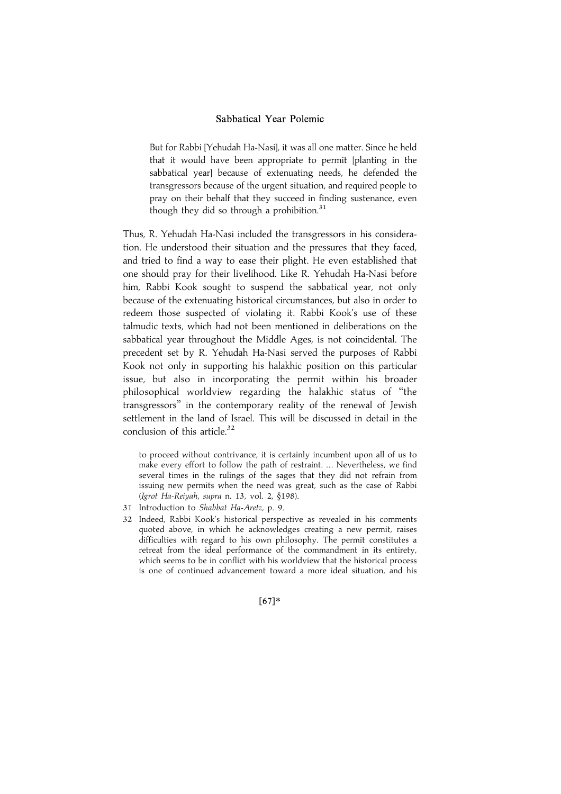But for Rabbi [Yehudah Ha-Nasi], it was all one matter. Since he held that it would have been appropriate to permit [planting in the sabbatical year] because of extenuating needs, he defended the transgressors because of the urgent situation, and required people to pray on their behalf that they succeed in finding sustenance, even though they did so through a prohibition.<sup>31</sup>

Thus, R. Yehudah Ha-Nasi included the transgressors in his consideration. He understood their situation and the pressures that they faced, and tried to find a way to ease their plight. He even established that one should pray for their livelihood. Like R. Yehudah Ha-Nasi before him, Rabbi Kook sought to suspend the sabbatical year, not only because of the extenuating historical circumstances, but also in order to redeem those suspected of violating it. Rabbi Kook's use of these talmudic texts, which had not been mentioned in deliberations on the sabbatical year throughout the Middle Ages, is not coincidental. The precedent set by R. Yehudah Ha-Nasi served the purposes of Rabbi Kook not only in supporting his halakhic position on this particular issue, but also in incorporating the permit within his broader philosophical worldview regarding the halakhic status of ''the transgressors'' in the contemporary reality of the renewal of Jewish settlement in the land of Israel. This will be discussed in detail in the conclusion of this article. $32$ 

to proceed without contrivance, it is certainly incumbent upon all of us to make every effort to follow the path of restraint. ... Nevertheless, we find several times in the rulings of the sages that they did not refrain from issuing new permits when the need was great, such as the case of Rabbi (Igrot Ha-Reiyah, supra n. 13, vol. 2, §198).

- 31 Introduction to Shabbat Ha-Aretz, p. 9.
- 32 Indeed, Rabbi Kook's historical perspective as revealed in his comments quoted above, in which he acknowledges creating a new permit, raises difficulties with regard to his own philosophy. The permit constitutes a retreat from the ideal performance of the commandment in its entirety, which seems to be in conflict with his worldview that the historical process is one of continued advancement toward a more ideal situation, and his

 $[67]*$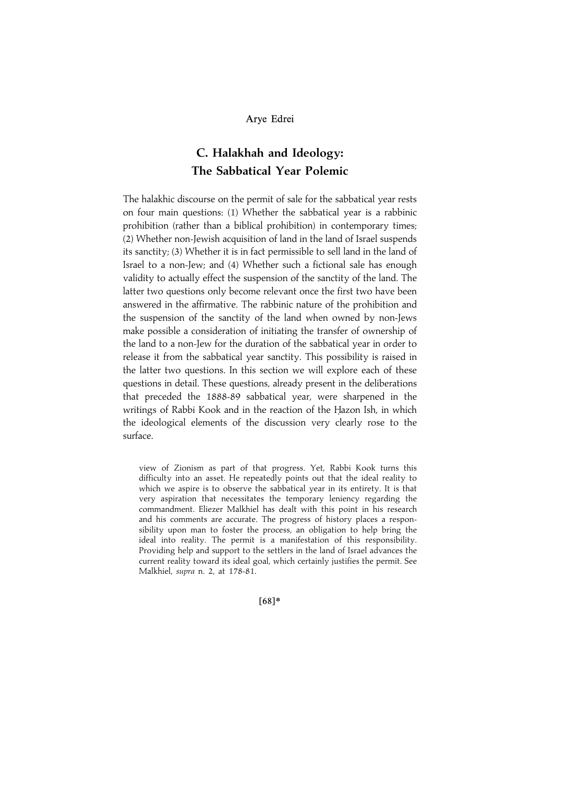## C. Halakhah and Ideology: The Sabbatical Year Polemic

The halakhic discourse on the permit of sale for the sabbatical year rests on four main questions: (1) Whether the sabbatical year is a rabbinic prohibition (rather than a biblical prohibition) in contemporary times; (2) Whether non-Jewish acquisition of land in the land of Israel suspends its sanctity; (3) Whether it is in fact permissible to sell land in the land of Israel to a non-Jew; and (4) Whether such a fictional sale has enough validity to actually effect the suspension of the sanctity of the land. The latter two questions only become relevant once the first two have been answered in the affirmative. The rabbinic nature of the prohibition and the suspension of the sanctity of the land when owned by non-Jews make possible a consideration of initiating the transfer of ownership of the land to a non-Jew for the duration of the sabbatical year in order to release it from the sabbatical year sanctity. This possibility is raised in the latter two questions. In this section we will explore each of these questions in detail. These questions, already present in the deliberations that preceded the 1888-89 sabbatical year, were sharpened in the writings of Rabbi Kook and in the reaction of the Hazon Ish, in which the ideological elements of the discussion very clearly rose to the surface.

view of Zionism as part of that progress. Yet, Rabbi Kook turns this difficulty into an asset. He repeatedly points out that the ideal reality to which we aspire is to observe the sabbatical year in its entirety. It is that very aspiration that necessitates the temporary leniency regarding the commandment. Eliezer Malkhiel has dealt with this point in his research and his comments are accurate. The progress of history places a responsibility upon man to foster the process, an obligation to help bring the ideal into reality. The permit is a manifestation of this responsibility. Providing help and support to the settlers in the land of Israel advances the current reality toward its ideal goal, which certainly justifies the permit. See Malkhiel, supra n. 2, at 178-81.

 $[68]*$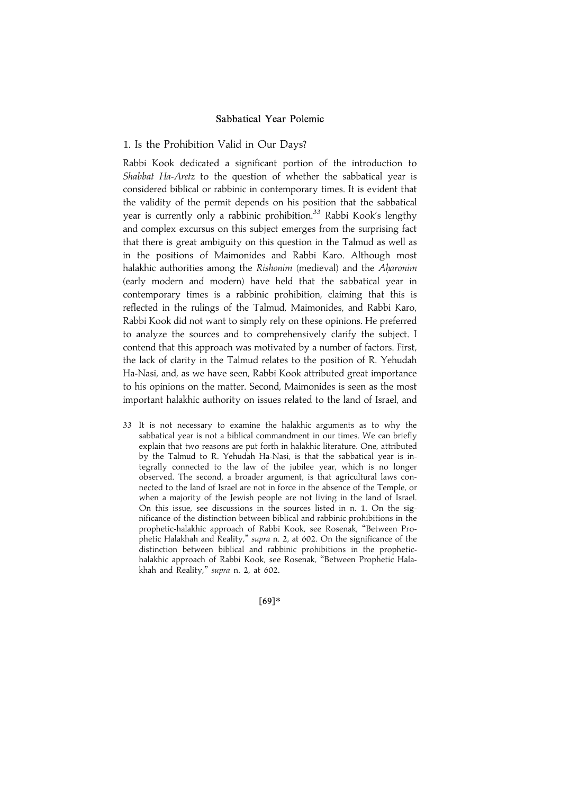#### 1. Is the Prohibition Valid in Our Days?

Rabbi Kook dedicated a significant portion of the introduction to Shabbat Ha-Aretz to the question of whether the sabbatical year is considered biblical or rabbinic in contemporary times. It is evident that the validity of the permit depends on his position that the sabbatical year is currently only a rabbinic prohibition.<sup>33</sup> Rabbi Kook's lengthy and complex excursus on this subject emerges from the surprising fact that there is great ambiguity on this question in the Talmud as well as in the positions of Maimonides and Rabbi Karo. Although most halakhic authorities among the Rishonim (medieval) and the Aharonim (early modern and modern) have held that the sabbatical year in contemporary times is a rabbinic prohibition, claiming that this is reflected in the rulings of the Talmud, Maimonides, and Rabbi Karo, Rabbi Kook did not want to simply rely on these opinions. He preferred to analyze the sources and to comprehensively clarify the subject. I contend that this approach was motivated by a number of factors. First, the lack of clarity in the Talmud relates to the position of R. Yehudah Ha-Nasi, and, as we have seen, Rabbi Kook attributed great importance to his opinions on the matter. Second, Maimonides is seen as the most important halakhic authority on issues related to the land of Israel, and

33 It is not necessary to examine the halakhic arguments as to why the sabbatical year is not a biblical commandment in our times. We can briefly explain that two reasons are put forth in halakhic literature. One, attributed by the Talmud to R. Yehudah Ha-Nasi, is that the sabbatical year is integrally connected to the law of the jubilee year, which is no longer observed. The second, a broader argument, is that agricultural laws connected to the land of Israel are not in force in the absence of the Temple, or when a majority of the Jewish people are not living in the land of Israel. On this issue, see discussions in the sources listed in n. 1. On the significance of the distinction between biblical and rabbinic prohibitions in the prophetic-halakhic approach of Rabbi Kook, see Rosenak, ''Between Prophetic Halakhah and Reality," supra n. 2, at 602. On the significance of the distinction between biblical and rabbinic prohibitions in the prophetichalakhic approach of Rabbi Kook, see Rosenak, ''Between Prophetic Halakhah and Reality,'' supra n. 2, at 602.

 $[69]*$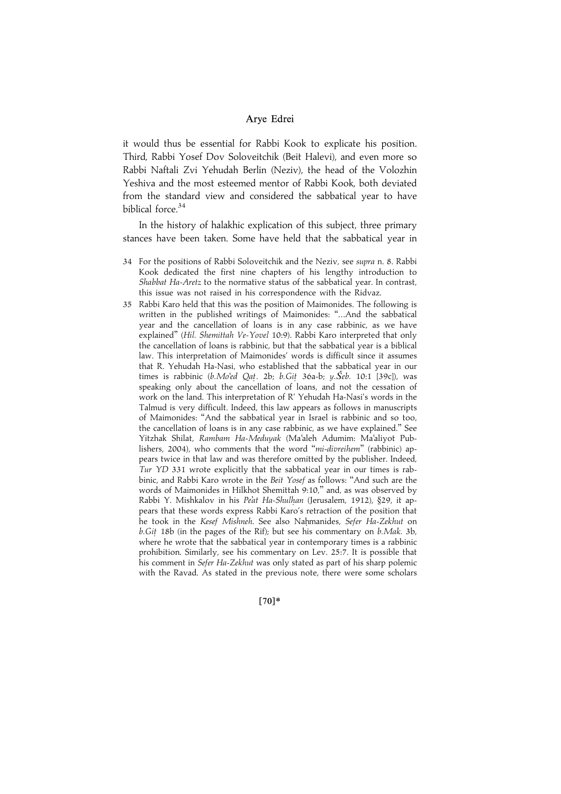it would thus be essential for Rabbi Kook to explicate his position. Third, Rabbi Yosef Dov Soloveitchik (Beit Halevi), and even more so Rabbi Naftali Zvi Yehudah Berlin (Neziv), the head of the Volozhin Yeshiva and the most esteemed mentor of Rabbi Kook, both deviated from the standard view and considered the sabbatical year to have biblical force.<sup>34</sup>

In the history of halakhic explication of this subject, three primary stances have been taken. Some have held that the sabbatical year in

- 34 For the positions of Rabbi Soloveitchik and the Neziv, see supra n. 8. Rabbi Kook dedicated the first nine chapters of his lengthy introduction to Shabbat Ha-Aretz to the normative status of the sabbatical year. In contrast, this issue was not raised in his correspondence with the Ridvaz.
- 35 Rabbi Karo held that this was the position of Maimonides. The following is written in the published writings of Maimonides: ''...And the sabbatical year and the cancellation of loans is in any case rabbinic, as we have explained" (Hil. Shemittah Ve-Yovel 10:9). Rabbi Karo interpreted that only the cancellation of loans is rabbinic, but that the sabbatical year is a biblical law. This interpretation of Maimonides' words is difficult since it assumes that R. Yehudah Ha-Nasi, who established that the sabbatical year in our times is rabbinic  $(b.Mo'ed Qat.$  2b;  $b.Git$  36a-b;  $y.\check{Se}b.$  10:1 [39c]), was speaking only about the cancellation of loans, and not the cessation of work on the land. This interpretation of R' Yehudah Ha-Nasi's words in the Talmud is very difficult. Indeed, this law appears as follows in manuscripts of Maimonides: ''And the sabbatical year in Israel is rabbinic and so too, the cancellation of loans is in any case rabbinic, as we have explained.'' See Yitzhak Shilat, Rambam Ha-Meduyak (Ma'aleh Adumim: Ma'aliyot Publishers, 2004), who comments that the word "mi-divreihem" (rabbinic) appears twice in that law and was therefore omitted by the publisher. Indeed, Tur YD 331 wrote explicitly that the sabbatical year in our times is rabbinic, and Rabbi Karo wrote in the Beit Yosef as follows: ''And such are the words of Maimonides in Hilkhot Shemittah 9:10,'' and, as was observed by Rabbi Y. Mishkalov in his Pe'at Ha-Shulhan (Jerusalem, 1912), §29, it appears that these words express Rabbi Karo's retraction of the position that he took in the Kesef Mishneh. See also Nahmanides, Sefer Ha-Zekhut on b.Git. 18b (in the pages of the Rif); but see his commentary on b.Mak. 3b, where he wrote that the sabbatical year in contemporary times is a rabbinic prohibition. Similarly, see his commentary on Lev. 25:7. It is possible that his comment in Sefer Ha-Zekhut was only stated as part of his sharp polemic with the Ravad. As stated in the previous note, there were some scholars

 $[70]*$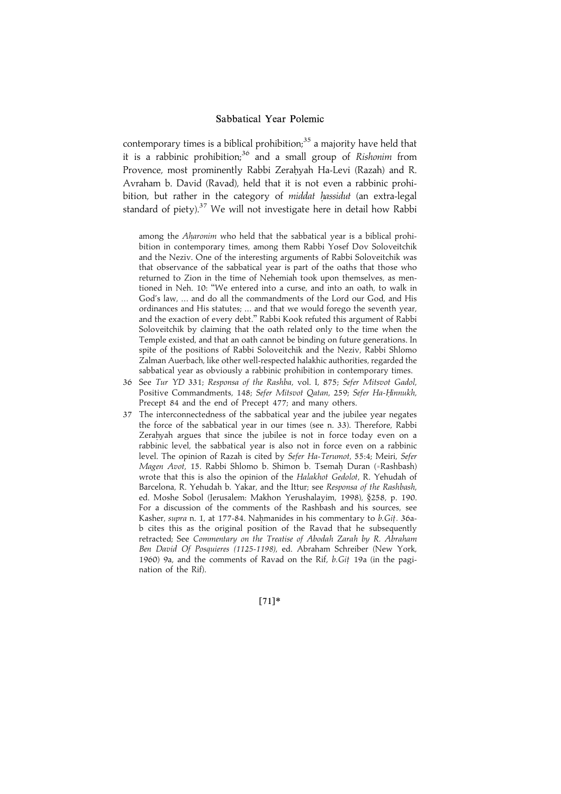contemporary times is a biblical prohibition; $35$  a majority have held that it is a rabbinic prohibition;<sup>36</sup> and a small group of Rishonim from Provence, most prominently Rabbi Zerahyah Ha-Levi (Razah) and R. Avraham b. David (Ravad), held that it is not even a rabbinic prohibition, but rather in the category of middat hassidut (an extra-legal standard of piety).<sup>37</sup> We will not investigate here in detail how Rabbi

among the *Aharonim* who held that the sabbatical year is a biblical prohibition in contemporary times, among them Rabbi Yosef Dov Soloveitchik and the Neziv. One of the interesting arguments of Rabbi Soloveitchik was that observance of the sabbatical year is part of the oaths that those who returned to Zion in the time of Nehemiah took upon themselves, as mentioned in Neh. 10: ''We entered into a curse, and into an oath, to walk in God's law, ... and do all the commandments of the Lord our God, and His ordinances and His statutes; ... and that we would forego the seventh year, and the exaction of every debt.'' Rabbi Kook refuted this argument of Rabbi Soloveitchik by claiming that the oath related only to the time when the Temple existed, and that an oath cannot be binding on future generations. In spite of the positions of Rabbi Soloveitchik and the Neziv, Rabbi Shlomo Zalman Auerbach, like other well-respected halakhic authorities, regarded the sabbatical year as obviously a rabbinic prohibition in contemporary times.

- 36 See Tur YD 331; Responsa of the Rashba, vol. I, 875; Sefer Mitsvot Gadol, Positive Commandments, 148; Sefer Mitsvot Qatan, 259; Sefer Ha-Hinnukh, Precept 84 and the end of Precept 477; and many others.
- 37 The interconnectedness of the sabbatical year and the jubilee year negates the force of the sabbatical year in our times (see n. 33). Therefore, Rabbi Zerahyah argues that since the jubilee is not in force today even on a rabbinic level, the sabbatical year is also not in force even on a rabbinic level. The opinion of Razah is cited by Sefer Ha-Terumot, 55:4; Meiri, Sefer Magen Avot, 15. Rabbi Shlomo b. Shimon b. Tsemah. Duran (=Rashbash) wrote that this is also the opinion of the Halakhot Gedolot, R. Yehudah of Barcelona, R. Yehudah b. Yakar, and the Ittur; see Responsa of the Rashbash, ed. Moshe Sobol (Jerusalem: Makhon Yerushalayim, 1998), §258, p. 190. For a discussion of the comments of the Rashbash and his sources, see Kasher, supra n. 1, at 177-84. Nahmanides in his commentary to b.Git. 36ab cites this as the original position of the Ravad that he subsequently retracted; See Commentary on the Treatise of Abodah Zarah by R. Abraham Ben David Of Posquieres (1125-1198), ed. Abraham Schreiber (New York, 1960) 9a, and the comments of Ravad on the Rif, b.Git. 19a (in the pagination of the Rif).

 $[71]*$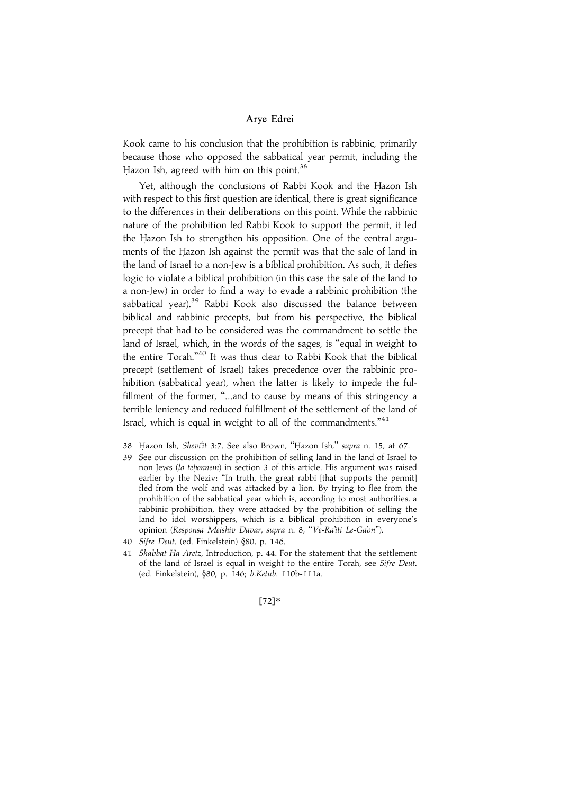Kook came to his conclusion that the prohibition is rabbinic, primarily because those who opposed the sabbatical year permit, including the Hazon Ish, agreed with him on this point.<sup>38</sup>

Yet, although the conclusions of Rabbi Kook and the Hazon Ish with respect to this first question are identical, there is great significance to the differences in their deliberations on this point. While the rabbinic nature of the prohibition led Rabbi Kook to support the permit, it led the Hazon Ish to strengthen his opposition. One of the central arguments of the Hazon Ish against the permit was that the sale of land in the land of Israel to a non-Jew is a biblical prohibition. As such, it defies logic to violate a biblical prohibition (in this case the sale of the land to a non-Jew) in order to find a way to evade a rabbinic prohibition (the sabbatical year).<sup>39</sup> Rabbi Kook also discussed the balance between biblical and rabbinic precepts, but from his perspective, the biblical precept that had to be considered was the commandment to settle the land of Israel, which, in the words of the sages, is ''equal in weight to the entire Torah.'' <sup>40</sup> It was thus clear to Rabbi Kook that the biblical precept (settlement of Israel) takes precedence over the rabbinic prohibition (sabbatical year), when the latter is likely to impede the fulfillment of the former, "...and to cause by means of this stringency a terrible leniency and reduced fulfillment of the settlement of the land of Israel, which is equal in weight to all of the commandments."<sup>41</sup>

- 38 Hazon Ish, Shevi'it 3:7. See also Brown, "Hazon Ish," supra n. 15, at 67.
- 39 See our discussion on the prohibition of selling land in the land of Israel to non-Jews (lo tehonnem) in section 3 of this article. His argument was raised earlier by the Neziv: "In truth, the great rabbi [that supports the permit] fled from the wolf and was attacked by a lion. By trying to flee from the prohibition of the sabbatical year which is, according to most authorities, a rabbinic prohibition, they were attacked by the prohibition of selling the land to idol worshippers, which is a biblical prohibition in everyone's opinion (Responsa Meishiv Davar, supra n. 8, ''Ve-Ra'iti Le-Ga'on'').
- 40 Sifre Deut. (ed. Finkelstein) §80, p. 146.
- 41 Shabbat Ha-Aretz, Introduction, p. 44. For the statement that the settlement of the land of Israel is equal in weight to the entire Torah, see Sifre Deut. (ed. Finkelstein), §80, p. 146; b.Ketub. 110b-111a.

#### $[72]*$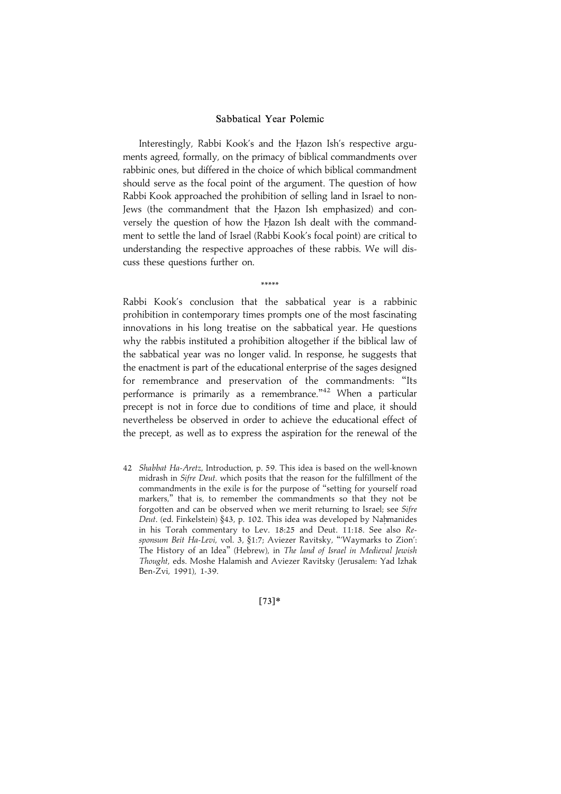Interestingly, Rabbi Kook's and the Hazon Ish's respective arguments agreed, formally, on the primacy of biblical commandments over rabbinic ones, but differed in the choice of which biblical commandment should serve as the focal point of the argument. The question of how Rabbi Kook approached the prohibition of selling land in Israel to non-Jews (the commandment that the Hazon Ish emphasized) and conversely the question of how the Hazon Ish dealt with the commandment to settle the land of Israel (Rabbi Kook's focal point) are critical to understanding the respective approaches of these rabbis. We will discuss these questions further on.

\*\*\*\*\*

Rabbi Kook's conclusion that the sabbatical year is a rabbinic prohibition in contemporary times prompts one of the most fascinating innovations in his long treatise on the sabbatical year. He questions why the rabbis instituted a prohibition altogether if the biblical law of the sabbatical year was no longer valid. In response, he suggests that the enactment is part of the educational enterprise of the sages designed for remembrance and preservation of the commandments: ''Its performance is primarily as a remembrance."<sup>42</sup> When a particular precept is not in force due to conditions of time and place, it should nevertheless be observed in order to achieve the educational effect of the precept, as well as to express the aspiration for the renewal of the

42 Shabbat Ha-Aretz, Introduction, p. 59. This idea is based on the well-known midrash in Sifre Deut. which posits that the reason for the fulfillment of the commandments in the exile is for the purpose of ''setting for yourself road markers,'' that is, to remember the commandments so that they not be forgotten and can be observed when we merit returning to Israel; see Sifre Deut. (ed. Finkelstein) §43, p. 102. This idea was developed by Nahmanides in his Torah commentary to Lev. 18:25 and Deut. 11:18. See also Responsum Beit Ha-Levi, vol. 3, §1:7; Aviezer Ravitsky, '''Waymarks to Zion': The History of an Idea'' (Hebrew), in The land of Israel in Medieval Jewish Thought, eds. Moshe Halamish and Aviezer Ravitsky (Jerusalem: Yad Izhak Ben-Zvi, 1991), 1-39.

 $[73]*$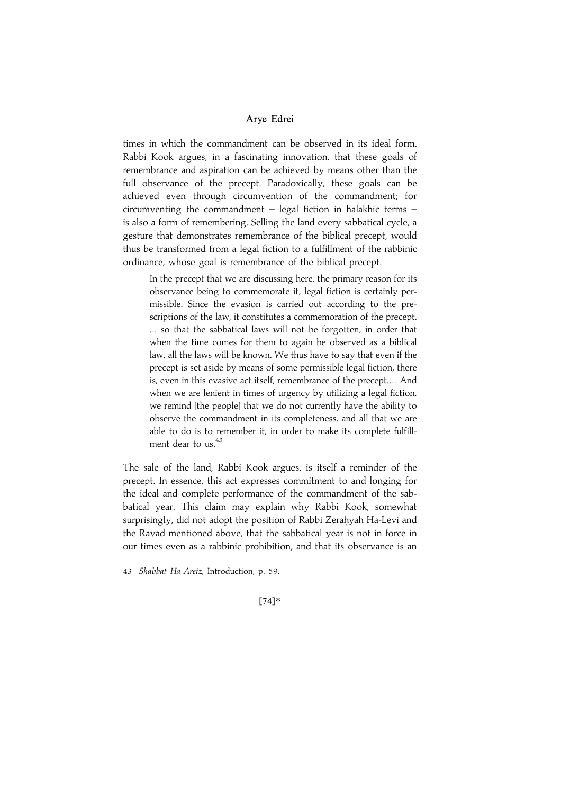times in which the commandment can be observed in its ideal form. Rabbi Kook argues, in a fascinating innovation, that these goals of remembrance and aspiration can be achieved by means other than the full observance of the precept. Paradoxically, these goals can be achieved even through circumvention of the commandment; for circumventing the commandment  $-$  legal fiction in halakhic terms  $$ is also a form of remembering. Selling the land every sabbatical cycle, a gesture that demonstrates remembrance of the biblical precept, would thus be transformed from a legal fiction to a fulfillment of the rabbinic ordinance, whose goal is remembrance of the biblical precept.

In the precept that we are discussing here, the primary reason for its observance being to commemorate it, legal fiction is certainly permissible. Since the evasion is carried out according to the prescriptions of the law, it constitutes a commemoration of the precept. ... so that the sabbatical laws will not be forgotten, in order that when the time comes for them to again be observed as a biblical law, all the laws will be known. We thus have to say that even if the precept is set aside by means of some permissible legal fiction, there is, even in this evasive act itself, remembrance of the precept... . And when we are lenient in times of urgency by utilizing a legal fiction, we remind [the people] that we do not currently have the ability to observe the commandment in its completeness, and all that we are able to do is to remember it, in order to make its complete fulfillment dear to us.  $43$ 

The sale of the land, Rabbi Kook argues, is itself a reminder of the precept. In essence, this act expresses commitment to and longing for the ideal and complete performance of the commandment of the sabbatical year. This claim may explain why Rabbi Kook, somewhat surprisingly, did not adopt the position of Rabbi Zerahyah Ha-Levi and the Ravad mentioned above, that the sabbatical year is not in force in our times even as a rabbinic prohibition, and that its observance is an

43 Shabbat Ha-Aretz, Introduction, p. 59.

 $[74]*$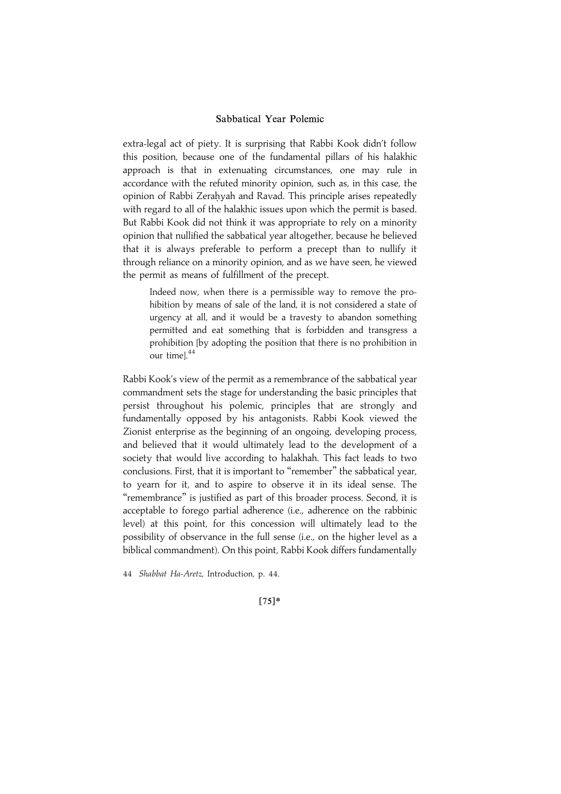extra-legal act of piety. It is surprising that Rabbi Kook didn't follow this position, because one of the fundamental pillars of his halakhic approach is that in extenuating circumstances, one may rule in accordance with the refuted minority opinion, such as, in this case, the opinion of Rabbi Zerahyah and Ravad. This principle arises repeatedly with regard to all of the halakhic issues upon which the permit is based. But Rabbi Kook did not think it was appropriate to rely on a minority opinion that nullified the sabbatical year altogether, because he believed that it is always preferable to perform a precept than to nullify it through reliance on a minority opinion, and as we have seen, he viewed the permit as means of fulfillment of the precept.

Indeed now, when there is a permissible way to remove the prohibition by means of sale of the land, it is not considered a state of urgency at all, and it would be a travesty to abandon something permitted and eat something that is forbidden and transgress a prohibition [by adopting the position that there is no prohibition in our timel.<sup>44</sup>

Rabbi Kook's view of the permit as a remembrance of the sabbatical year commandment sets the stage for understanding the basic principles that persist throughout his polemic, principles that are strongly and fundamentally opposed by his antagonists. Rabbi Kook viewed the Zionist enterprise as the beginning of an ongoing, developing process, and believed that it would ultimately lead to the development of a society that would live according to halakhah. This fact leads to two conclusions. First, that it is important to ''remember'' the sabbatical year, to yearn for it, and to aspire to observe it in its ideal sense. The ''remembrance'' is justified as part of this broader process. Second, it is acceptable to forego partial adherence (i.e., adherence on the rabbinic level) at this point, for this concession will ultimately lead to the possibility of observance in the full sense (i.e., on the higher level as a biblical commandment). On this point, Rabbi Kook differs fundamentally

44 Shabbat Ha-Aretz, Introduction, p. 44.

 $[75]*$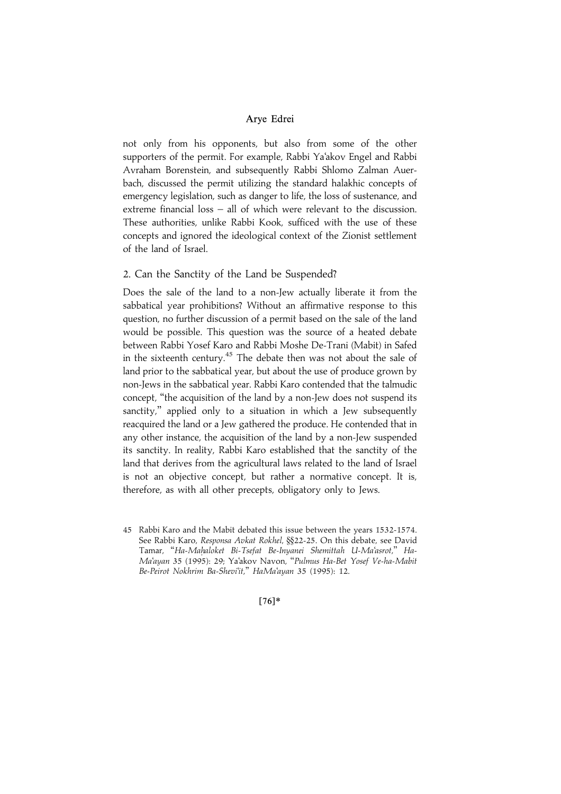not only from his opponents, but also from some of the other supporters of the permit. For example, Rabbi Ya'akov Engel and Rabbi Avraham Borenstein, and subsequently Rabbi Shlomo Zalman Auerbach, discussed the permit utilizing the standard halakhic concepts of emergency legislation, such as danger to life, the loss of sustenance, and extreme financial loss – all of which were relevant to the discussion. These authorities, unlike Rabbi Kook, sufficed with the use of these concepts and ignored the ideological context of the Zionist settlement of the land of Israel.

## 2. Can the Sanctity of the Land be Suspended?

Does the sale of the land to a non-Jew actually liberate it from the sabbatical year prohibitions? Without an affirmative response to this question, no further discussion of a permit based on the sale of the land would be possible. This question was the source of a heated debate between Rabbi Yosef Karo and Rabbi Moshe De-Trani (Mabit) in Safed in the sixteenth century.<sup>45</sup> The debate then was not about the sale of land prior to the sabbatical year, but about the use of produce grown by non-Jews in the sabbatical year. Rabbi Karo contended that the talmudic concept, ''the acquisition of the land by a non-Jew does not suspend its sanctity," applied only to a situation in which a Jew subsequently reacquired the land or a Jew gathered the produce. He contended that in any other instance, the acquisition of the land by a non-Jew suspended its sanctity. In reality, Rabbi Karo established that the sanctity of the land that derives from the agricultural laws related to the land of Israel is not an objective concept, but rather a normative concept. It is, therefore, as with all other precepts, obligatory only to Jews.

 $[76]*$ 

<sup>45</sup> Rabbi Karo and the Mabit debated this issue between the years 1532-1574. See Rabbi Karo, Responsa Avkat Rokhel, §§22-25. On this debate, see David Tamar, "Ha-Mahaloket Bi-Tsefat Be-Inyanei Shemittah U-Ma'asrot," Ha-Ma'ayan 35 (1995): 29; Ya'akov Navon, ''Pulmus Ha-Bet Yosef Ve-ha-Mabit Be-Peirot Nokhrim Ba-Shevi'it,'' HaMa'ayan 35 (1995): 12.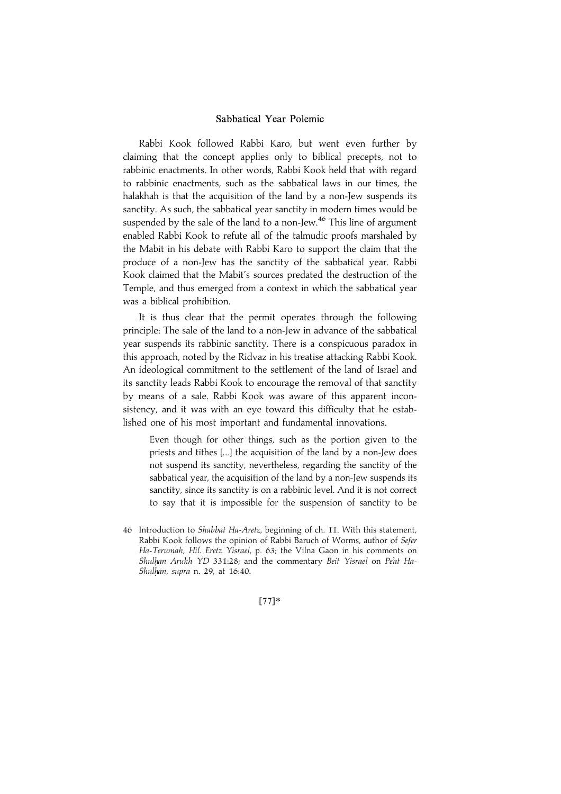Rabbi Kook followed Rabbi Karo, but went even further by claiming that the concept applies only to biblical precepts, not to rabbinic enactments. In other words, Rabbi Kook held that with regard to rabbinic enactments, such as the sabbatical laws in our times, the halakhah is that the acquisition of the land by a non-Jew suspends its sanctity. As such, the sabbatical year sanctity in modern times would be suspended by the sale of the land to a non-Jew.<sup>46</sup> This line of argument enabled Rabbi Kook to refute all of the talmudic proofs marshaled by the Mabit in his debate with Rabbi Karo to support the claim that the produce of a non-Jew has the sanctity of the sabbatical year. Rabbi Kook claimed that the Mabit's sources predated the destruction of the Temple, and thus emerged from a context in which the sabbatical year was a biblical prohibition.

It is thus clear that the permit operates through the following principle: The sale of the land to a non-Jew in advance of the sabbatical year suspends its rabbinic sanctity. There is a conspicuous paradox in this approach, noted by the Ridvaz in his treatise attacking Rabbi Kook. An ideological commitment to the settlement of the land of Israel and its sanctity leads Rabbi Kook to encourage the removal of that sanctity by means of a sale. Rabbi Kook was aware of this apparent inconsistency, and it was with an eye toward this difficulty that he established one of his most important and fundamental innovations.

Even though for other things, such as the portion given to the priests and tithes [...] the acquisition of the land by a non-Jew does not suspend its sanctity, nevertheless, regarding the sanctity of the sabbatical year, the acquisition of the land by a non-Jew suspends its sanctity, since its sanctity is on a rabbinic level. And it is not correct to say that it is impossible for the suspension of sanctity to be

 $[77]*$ 

<sup>46</sup> Introduction to Shabbat Ha-Aretz, beginning of ch. 11. With this statement, Rabbi Kook follows the opinion of Rabbi Baruch of Worms, author of Sefer Ha-Terumah, Hil. Eretz Yisrael, p. 63; the Vilna Gaon in his comments on Shulhan Arukh YD 331:28; and the commentary Beit Yisrael on Pe'at Ha-Shulhan, supra n. 29, at 16:40.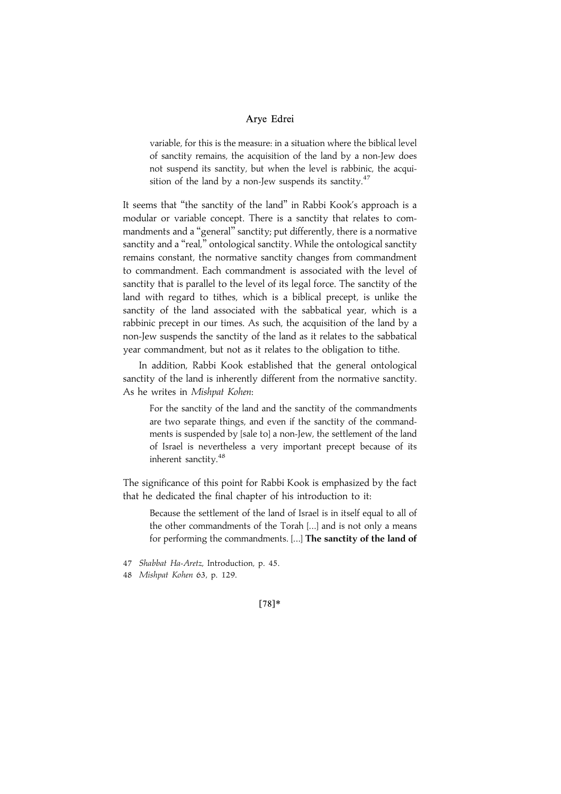variable, for this is the measure: in a situation where the biblical level of sanctity remains, the acquisition of the land by a non-Jew does not suspend its sanctity, but when the level is rabbinic, the acquisition of the land by a non-Jew suspends its sanctity. $47$ 

It seems that ''the sanctity of the land'' in Rabbi Kook's approach is a modular or variable concept. There is a sanctity that relates to commandments and a ''general'' sanctity; put differently, there is a normative sanctity and a "real," ontological sanctity. While the ontological sanctity remains constant, the normative sanctity changes from commandment to commandment. Each commandment is associated with the level of sanctity that is parallel to the level of its legal force. The sanctity of the land with regard to tithes, which is a biblical precept, is unlike the sanctity of the land associated with the sabbatical year, which is a rabbinic precept in our times. As such, the acquisition of the land by a non-Jew suspends the sanctity of the land as it relates to the sabbatical year commandment, but not as it relates to the obligation to tithe.

In addition, Rabbi Kook established that the general ontological sanctity of the land is inherently different from the normative sanctity. As he writes in Mishpat Kohen:

For the sanctity of the land and the sanctity of the commandments are two separate things, and even if the sanctity of the commandments is suspended by [sale to] a non-Jew, the settlement of the land of Israel is nevertheless a very important precept because of its inherent sanctity.48

The significance of this point for Rabbi Kook is emphasized by the fact that he dedicated the final chapter of his introduction to it:

Because the settlement of the land of Israel is in itself equal to all of the other commandments of the Torah [...] and is not only a means for performing the commandments. [...] The sanctity of the land of

47 Shabbat Ha-Aretz, Introduction, p. 45.

48 Mishpat Kohen 63, p. 129.

|78~\*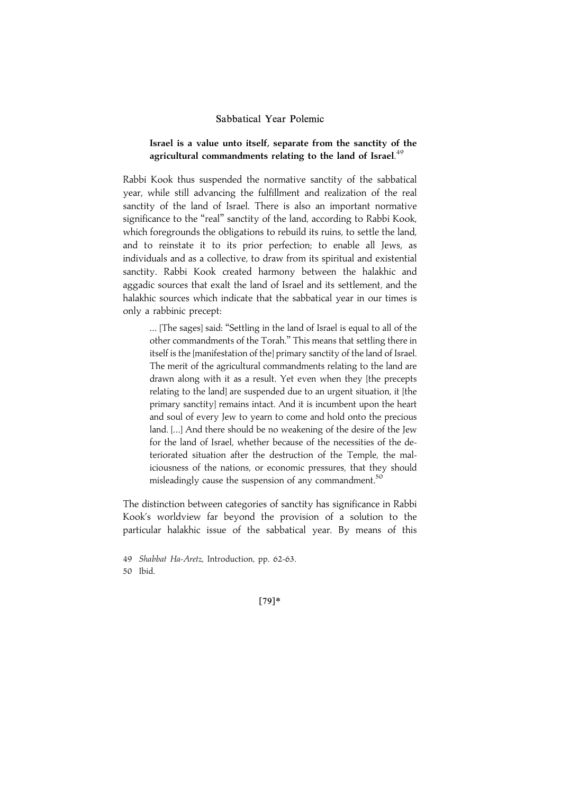## Israel is a value unto itself, separate from the sanctity of the agricultural commandments relating to the land of Israel. $^{49}$

Rabbi Kook thus suspended the normative sanctity of the sabbatical year, while still advancing the fulfillment and realization of the real sanctity of the land of Israel. There is also an important normative significance to the "real" sanctity of the land, according to Rabbi Kook, which foregrounds the obligations to rebuild its ruins, to settle the land, and to reinstate it to its prior perfection; to enable all Jews, as individuals and as a collective, to draw from its spiritual and existential sanctity. Rabbi Kook created harmony between the halakhic and aggadic sources that exalt the land of Israel and its settlement, and the halakhic sources which indicate that the sabbatical year in our times is only a rabbinic precept:

... [The sages] said: ''Settling in the land of Israel is equal to all of the other commandments of the Torah.'' This means that settling there in itself is the [manifestation of the] primary sanctity of the land of Israel. The merit of the agricultural commandments relating to the land are drawn along with it as a result. Yet even when they [the precepts relating to the land] are suspended due to an urgent situation, it [the primary sanctity] remains intact. And it is incumbent upon the heart and soul of every Jew to yearn to come and hold onto the precious land. [...] And there should be no weakening of the desire of the Jew for the land of Israel, whether because of the necessities of the deteriorated situation after the destruction of the Temple, the maliciousness of the nations, or economic pressures, that they should misleadingly cause the suspension of any commandment.<sup>50</sup>

The distinction between categories of sanctity has significance in Rabbi Kook's worldview far beyond the provision of a solution to the particular halakhic issue of the sabbatical year. By means of this

49 Shabbat Ha-Aretz, Introduction, pp. 62-63. 50 Ibid.

[79]\*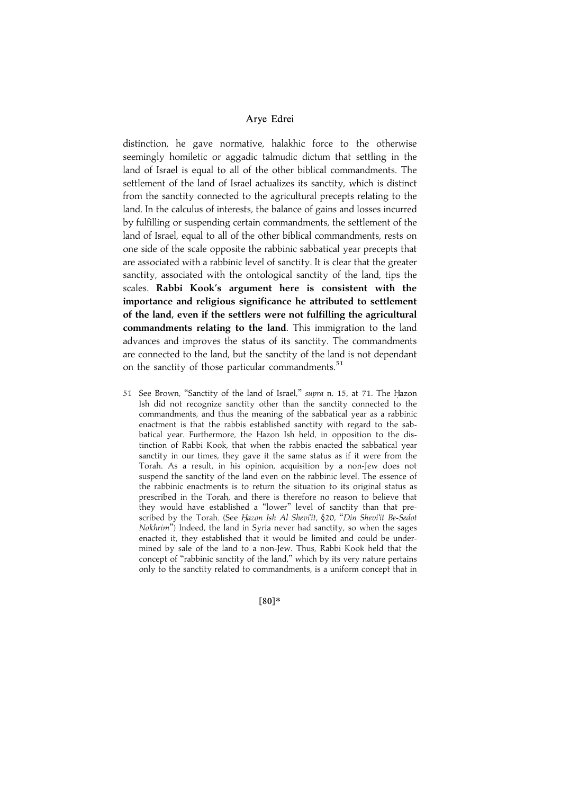distinction, he gave normative, halakhic force to the otherwise seemingly homiletic or aggadic talmudic dictum that settling in the land of Israel is equal to all of the other biblical commandments. The settlement of the land of Israel actualizes its sanctity, which is distinct from the sanctity connected to the agricultural precepts relating to the land. In the calculus of interests, the balance of gains and losses incurred by fulfilling or suspending certain commandments, the settlement of the land of Israel, equal to all of the other biblical commandments, rests on one side of the scale opposite the rabbinic sabbatical year precepts that are associated with a rabbinic level of sanctity. It is clear that the greater sanctity, associated with the ontological sanctity of the land, tips the scales. Rabbi Kook's argument here is consistent with the importance and religious significance he attributed to settlement of the land, even if the settlers were not fulfilling the agricultural commandments relating to the land. This immigration to the land advances and improves the status of its sanctity. The commandments are connected to the land, but the sanctity of the land is not dependant on the sanctity of those particular commandments. $51$ 

51 See Brown, "Sanctity of the land of Israel," supra n. 15, at 71. The Hazon Ish did not recognize sanctity other than the sanctity connected to the commandments, and thus the meaning of the sabbatical year as a rabbinic enactment is that the rabbis established sanctity with regard to the sabbatical year. Furthermore, the Hazon Ish held, in opposition to the distinction of Rabbi Kook, that when the rabbis enacted the sabbatical year sanctity in our times, they gave it the same status as if it were from the Torah. As a result, in his opinion, acquisition by a non-Jew does not suspend the sanctity of the land even on the rabbinic level. The essence of the rabbinic enactments is to return the situation to its original status as prescribed in the Torah, and there is therefore no reason to believe that they would have established a ''lower'' level of sanctity than that prescribed by the Torah. (See Hazon Ish Al Shevi'it, §20, "Din Shevi'it Be-Sedot Nokhrim'') Indeed, the land in Syria never had sanctity, so when the sages enacted it, they established that it would be limited and could be undermined by sale of the land to a non-Jew. Thus, Rabbi Kook held that the concept of ''rabbinic sanctity of the land,'' which by its very nature pertains only to the sanctity related to commandments, is a uniform concept that in

|80~\*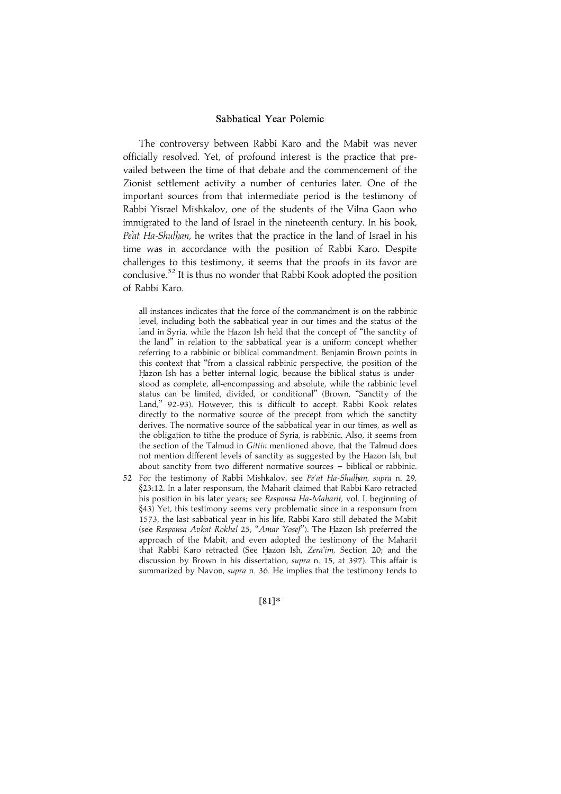The controversy between Rabbi Karo and the Mabit was never officially resolved. Yet, of profound interest is the practice that prevailed between the time of that debate and the commencement of the Zionist settlement activity a number of centuries later. One of the important sources from that intermediate period is the testimony of Rabbi Yisrael Mishkalov, one of the students of the Vilna Gaon who immigrated to the land of Israel in the nineteenth century. In his book, Pe'at Ha-Shulhan, he writes that the practice in the land of Israel in his time was in accordance with the position of Rabbi Karo. Despite challenges to this testimony, it seems that the proofs in its favor are conclusive.<sup>52</sup> It is thus no wonder that Rabbi Kook adopted the position of Rabbi Karo.

all instances indicates that the force of the commandment is on the rabbinic level, including both the sabbatical year in our times and the status of the land in Syria, while the Hazon Ish held that the concept of "the sanctity of the land'' in relation to the sabbatical year is a uniform concept whether referring to a rabbinic or biblical commandment. Benjamin Brown points in this context that ''from a classical rabbinic perspective, the position of the Hazon Ish has a better internal logic, because the biblical status is understood as complete, all-encompassing and absolute, while the rabbinic level status can be limited, divided, or conditional'' (Brown, ''Sanctity of the Land,'' 92-93). However, this is difficult to accept. Rabbi Kook relates directly to the normative source of the precept from which the sanctity derives. The normative source of the sabbatical year in our times, as well as the obligation to tithe the produce of Syria, is rabbinic. Also, it seems from the section of the Talmud in Gittin mentioned above, that the Talmud does not mention different levels of sanctity as suggested by the Hazon Ish, but about sanctity from two different normative sources - biblical or rabbinic.

52 For the testimony of Rabbi Mishkalov, see Pe'at Ha-Shulhan, supra n. 29, §23:12. In a later responsum, the Maharit claimed that Rabbi Karo retracted his position in his later years; see Responsa Ha-Maharit, vol. I, beginning of §43) Yet, this testimony seems very problematic since in a responsum from 1573, the last sabbatical year in his life, Rabbi Karo still debated the Mabit (see Responsa Avkat Rokhel 25, "Amar Yosef"). The Hazon Ish preferred the approach of the Mabit, and even adopted the testimony of the Maharit that Rabbi Karo retracted (See Hazon Ish, Zera'im, Section 20; and the discussion by Brown in his dissertation, supra n. 15, at 397). This affair is summarized by Navon, supra n. 36. He implies that the testimony tends to

|81~\*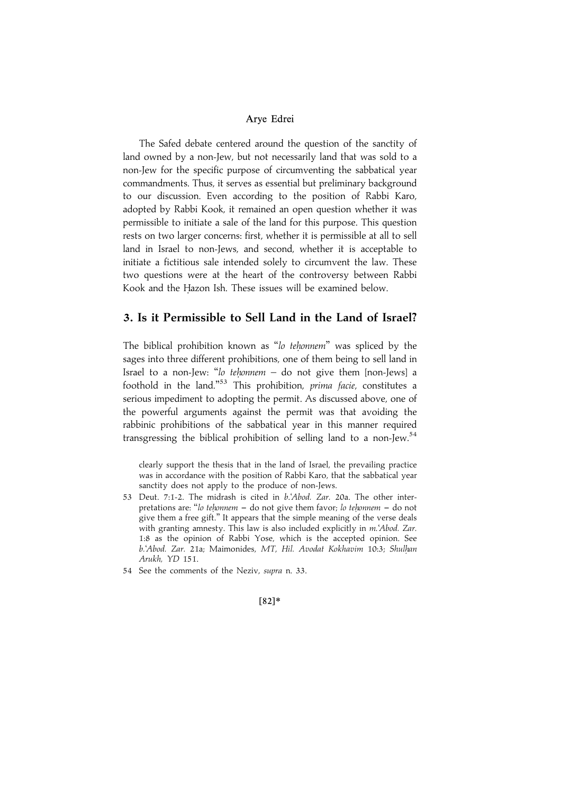The Safed debate centered around the question of the sanctity of land owned by a non-Jew, but not necessarily land that was sold to a non-Jew for the specific purpose of circumventing the sabbatical year commandments. Thus, it serves as essential but preliminary background to our discussion. Even according to the position of Rabbi Karo, adopted by Rabbi Kook, it remained an open question whether it was permissible to initiate a sale of the land for this purpose. This question rests on two larger concerns: first, whether it is permissible at all to sell land in Israel to non-Jews, and second, whether it is acceptable to initiate a fictitious sale intended solely to circumvent the law. These two questions were at the heart of the controversy between Rabbi Kook and the Hazon Ish. These issues will be examined below.

# 3. Is it Permissible to Sell Land in the Land of Israel?

The biblical prohibition known as "lo tehonnem" was spliced by the sages into three different prohibitions, one of them being to sell land in Israel to a non-Jew: "lo tehonnem  $-$  do not give them [non-Jews] a foothold in the land."<sup>53</sup> This prohibition, prima facie, constitutes a serious impediment to adopting the permit. As discussed above, one of the powerful arguments against the permit was that avoiding the rabbinic prohibitions of the sabbatical year in this manner required transgressing the biblical prohibition of selling land to a non-Jew.<sup>54</sup>

clearly support the thesis that in the land of Israel, the prevailing practice was in accordance with the position of Rabbi Karo, that the sabbatical year sanctity does not apply to the produce of non-Jews.

- 53 Deut. 7:1-2. The midrash is cited in b.'Abod. Zar. 20a. The other interpretations are: "lo tehonnem  $-$  do not give them favor; lo tehonnem  $-$  do not give them a free gift.'' It appears that the simple meaning of the verse deals with granting amnesty. This law is also included explicitly in m.'Abod. Zar. 1:8 as the opinion of Rabbi Yose, which is the accepted opinion. See b.'Abod. Zar. 21a; Maimonides, MT, Hil. Avodat Kokhavim 10:3; Shulhan Arukh, YD 151.
- 54 See the comments of the Neziv, supra n. 33.

#### $[82]*$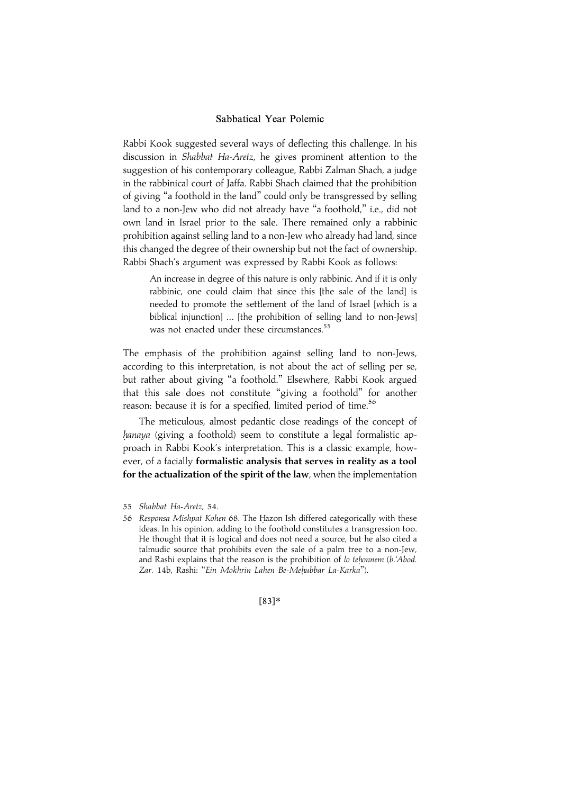Rabbi Kook suggested several ways of deflecting this challenge. In his discussion in Shabbat Ha-Aretz, he gives prominent attention to the suggestion of his contemporary colleague, Rabbi Zalman Shach, a judge in the rabbinical court of Jaffa. Rabbi Shach claimed that the prohibition of giving ''a foothold in the land'' could only be transgressed by selling land to a non-Jew who did not already have ''a foothold,'' i.e., did not own land in Israel prior to the sale. There remained only a rabbinic prohibition against selling land to a non-Jew who already had land, since this changed the degree of their ownership but not the fact of ownership. Rabbi Shach's argument was expressed by Rabbi Kook as follows:

An increase in degree of this nature is only rabbinic. And if it is only rabbinic, one could claim that since this [the sale of the land] is needed to promote the settlement of the land of Israel [which is a biblical injunction] ... [the prohibition of selling land to non-Jews] was not enacted under these circumstances.<sup>55</sup>

The emphasis of the prohibition against selling land to non-Jews, according to this interpretation, is not about the act of selling per se, but rather about giving ''a foothold.'' Elsewhere, Rabbi Kook argued that this sale does not constitute ''giving a foothold'' for another reason: because it is for a specified, limited period of time.<sup>56</sup>

The meticulous, almost pedantic close readings of the concept of hanaya (giving a foothold) seem to constitute a legal formalistic approach in Rabbi Kook's interpretation. This is a classic example, however, of a facially formalistic analysis that serves in reality as a tool for the actualization of the spirit of the law, when the implementation

 $[83]*$ 

<sup>55</sup> Shabbat Ha-Aretz, 54.

<sup>56</sup> Responsa Mishpat Kohen 68. The Hazon Ish differed categorically with these ideas. In his opinion, adding to the foothold constitutes a transgression too. He thought that it is logical and does not need a source, but he also cited a talmudic source that prohibits even the sale of a palm tree to a non-Jew, and Rashi explains that the reason is the prohibition of lo tehonnem (b.'Abod. Zar. 14b, Rashi: "Ein Mokhrin Lahen Be-Mehubbar La-Karka").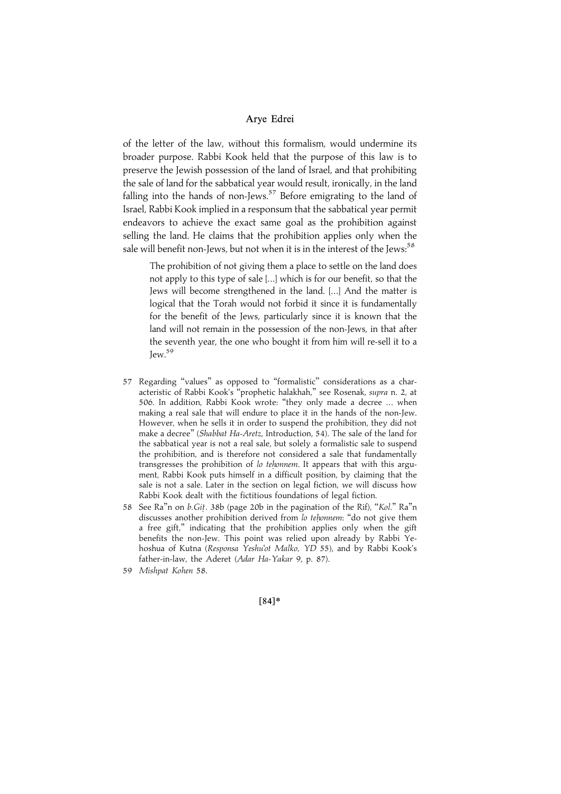of the letter of the law, without this formalism, would undermine its broader purpose. Rabbi Kook held that the purpose of this law is to preserve the Jewish possession of the land of Israel, and that prohibiting the sale of land for the sabbatical year would result, ironically, in the land falling into the hands of non-Jews. $57$  Before emigrating to the land of Israel, Rabbi Kook implied in a responsum that the sabbatical year permit endeavors to achieve the exact same goal as the prohibition against selling the land. He claims that the prohibition applies only when the sale will benefit non-Jews, but not when it is in the interest of the Jews: $58$ 

The prohibition of not giving them a place to settle on the land does not apply to this type of sale [...] which is for our benefit, so that the Jews will become strengthened in the land. [...] And the matter is logical that the Torah would not forbid it since it is fundamentally for the benefit of the Jews, particularly since it is known that the land will not remain in the possession of the non-Jews, in that after the seventh year, the one who bought it from him will re-sell it to a Jew.<sup>59</sup>

- 57 Regarding ''values'' as opposed to ''formalistic'' considerations as a characteristic of Rabbi Kook's "prophetic halakhah," see Rosenak, supra n. 2, at 506. In addition, Rabbi Kook wrote: ''they only made a decree ... when making a real sale that will endure to place it in the hands of the non-Jew. However, when he sells it in order to suspend the prohibition, they did not make a decree'' (Shabbat Ha-Aretz, Introduction, 54). The sale of the land for the sabbatical year is not a real sale, but solely a formalistic sale to suspend the prohibition, and is therefore not considered a sale that fundamentally transgresses the prohibition of lo tehonnem. It appears that with this argument, Rabbi Kook puts himself in a difficult position, by claiming that the sale is not a sale. Later in the section on legal fiction, we will discuss how Rabbi Kook dealt with the fictitious foundations of legal fiction.
- 58 See Ra"n on b.Git. 38b (page 20b in the pagination of the Rif), "Kol." Ra"n discusses another prohibition derived from lo tehonnem: "do not give them a free gift,'' indicating that the prohibition applies only when the gift benefits the non-Jew. This point was relied upon already by Rabbi Yehoshua of Kutna (Responsa Yeshu'ot Malko, YD 55), and by Rabbi Kook's father-in-law, the Aderet (Adar Ha-Yakar 9, p. 87).
- 59 Mishpat Kohen 58.

 $[84]*$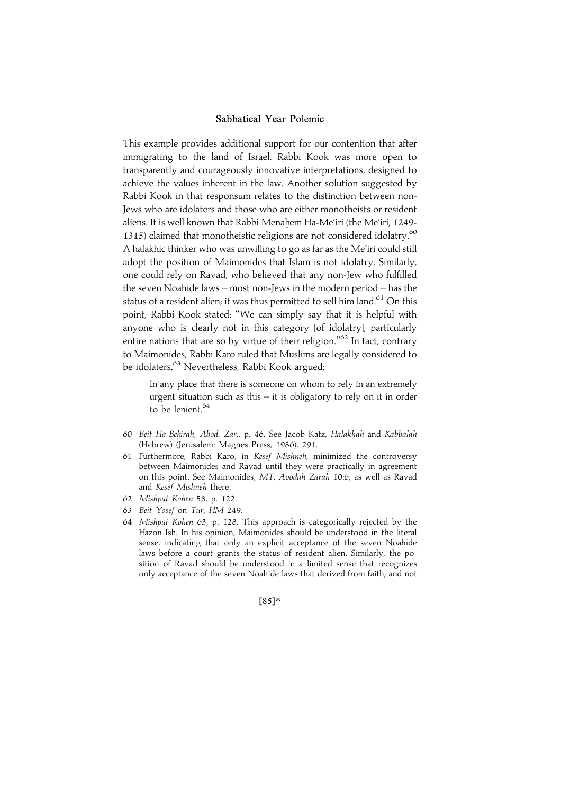This example provides additional support for our contention that after immigrating to the land of Israel, Rabbi Kook was more open to transparently and courageously innovative interpretations, designed to achieve the values inherent in the law. Another solution suggested by Rabbi Kook in that responsum relates to the distinction between non-Jews who are idolaters and those who are either monotheists or resident aliens. It is well known that Rabbi Menahem Ha-Me'iri (the Me'iri, 1249-1315) claimed that monotheistic religions are not considered idolatry. $60$ A halakhic thinker who was unwilling to go as far as the Me'iri could still adopt the position of Maimonides that Islam is not idolatry. Similarly, one could rely on Ravad, who believed that any non-Jew who fulfilled the seven Noahide laws – most non-Jews in the modern period – has the status of a resident alien; it was thus permitted to sell him land.<sup>61</sup> On this point, Rabbi Kook stated: ''We can simply say that it is helpful with anyone who is clearly not in this category [of idolatry], particularly entire nations that are so by virtue of their religion."<sup>62</sup> In fact, contrary to Maimonides, Rabbi Karo ruled that Muslims are legally considered to be idolaters.<sup>63</sup> Nevertheless, Rabbi Kook argued:

In any place that there is someone on whom to rely in an extremely urgent situation such as this – it is obligatory to rely on it in order to be lenient.<sup>64</sup>

- 60 Beit Ha-Behirah, Abod. Zar., p. 46. See Jacob Katz, Halakhah and Kabbalah (Hebrew) (Jerusalem: Magnes Press, 1986), 291.
- 61 Furthermore, Rabbi Karo, in Kesef Mishneh, minimized the controversy between Maimonides and Ravad until they were practically in agreement on this point. See Maimonides, MT, Avodah Zarah 10:6, as well as Ravad and Kesef Mishneh there.
- 62 Mishpat Kohen 58, p. 122.
- 63 Beit Yosef on Tur, HM 249.
- 64 Mishpat Kohen 63, p. 128. This approach is categorically rejected by the Hazon Ish. In his opinion, Maimonides should be understood in the literal sense, indicating that only an explicit acceptance of the seven Noahide laws before a court grants the status of resident alien. Similarly, the position of Ravad should be understood in a limited sense that recognizes only acceptance of the seven Noahide laws that derived from faith, and not

 $[85]*$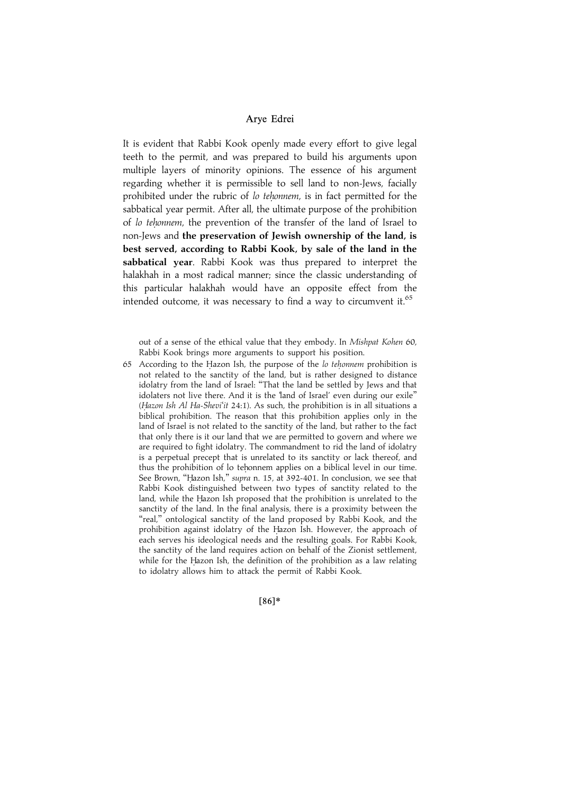It is evident that Rabbi Kook openly made every effort to give legal teeth to the permit, and was prepared to build his arguments upon multiple layers of minority opinions. The essence of his argument regarding whether it is permissible to sell land to non-Jews, facially prohibited under the rubric of lo tehonnem, is in fact permitted for the sabbatical year permit. After all, the ultimate purpose of the prohibition of lo tehonnem, the prevention of the transfer of the land of Israel to non-Jews and the preservation of Jewish ownership of the land, is best served, according to Rabbi Kook, by sale of the land in the sabbatical year. Rabbi Kook was thus prepared to interpret the halakhah in a most radical manner; since the classic understanding of this particular halakhah would have an opposite effect from the intended outcome, it was necessary to find a way to circumvent it.  $65$ 

out of a sense of the ethical value that they embody. In Mishpat Kohen 60, Rabbi Kook brings more arguments to support his position.

65 According to the Hazon Ish, the purpose of the  $\ell$  tehonnem prohibition is not related to the sanctity of the land, but is rather designed to distance idolatry from the land of Israel: "That the land be settled by Jews and that idolaters not live there. And it is the 'land of Israel' even during our exile" (Hazon Ish Al Ha-Shevi'it 24:1). As such, the prohibition is in all situations a biblical prohibition. The reason that this prohibition applies only in the land of Israel is not related to the sanctity of the land, but rather to the fact that only there is it our land that we are permitted to govern and where we are required to fight idolatry. The commandment to rid the land of idolatry is a perpetual precept that is unrelated to its sanctity or lack thereof, and thus the prohibition of lo tehonnem applies on a biblical level in our time. See Brown, "Hazon Ish," supra n. 15, at 392-401. In conclusion, we see that Rabbi Kook distinguished between two types of sanctity related to the land, while the Hazon Ish proposed that the prohibition is unrelated to the sanctity of the land. In the final analysis, there is a proximity between the "real," ontological sanctity of the land proposed by Rabbi Kook, and the prohibition against idolatry of the Hazon Ish. However, the approach of each serves his ideological needs and the resulting goals. For Rabbi Kook, the sanctity of the land requires action on behalf of the Zionist settlement, while for the Hazon Ish, the definition of the prohibition as a law relating to idolatry allows him to attack the permit of Rabbi Kook.

 $[86]*$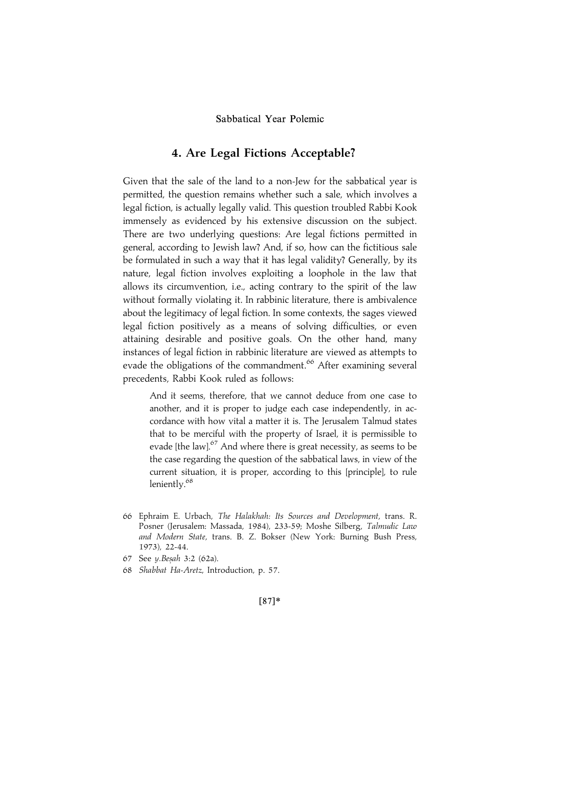# 4. Are Legal Fictions Acceptable?

Given that the sale of the land to a non-Jew for the sabbatical year is permitted, the question remains whether such a sale, which involves a legal fiction, is actually legally valid. This question troubled Rabbi Kook immensely as evidenced by his extensive discussion on the subject. There are two underlying questions: Are legal fictions permitted in general, according to Jewish law? And, if so, how can the fictitious sale be formulated in such a way that it has legal validity? Generally, by its nature, legal fiction involves exploiting a loophole in the law that allows its circumvention, i.e., acting contrary to the spirit of the law without formally violating it. In rabbinic literature, there is ambivalence about the legitimacy of legal fiction. In some contexts, the sages viewed legal fiction positively as a means of solving difficulties, or even attaining desirable and positive goals. On the other hand, many instances of legal fiction in rabbinic literature are viewed as attempts to evade the obligations of the commandment.<sup>66</sup> After examining several precedents, Rabbi Kook ruled as follows:

And it seems, therefore, that we cannot deduce from one case to another, and it is proper to judge each case independently, in accordance with how vital a matter it is. The Jerusalem Talmud states that to be merciful with the property of Israel, it is permissible to evade [the law]. $67$  And where there is great necessity, as seems to be the case regarding the question of the sabbatical laws, in view of the current situation, it is proper, according to this [principle], to rule leniently.<sup>68</sup>

- 66 Ephraim E. Urbach, The Halakhah: Its Sources and Development, trans. R. Posner (Jerusalem: Massada, 1984), 233-59; Moshe Silberg, Talmudic Law and Modern State, trans. B. Z. Bokser (New York: Burning Bush Press, 1973), 22-44.
- 67 See y.Besah 3:2 (62a).
- 68 Shabbat Ha-Aretz, Introduction, p. 57.

 $[87]*$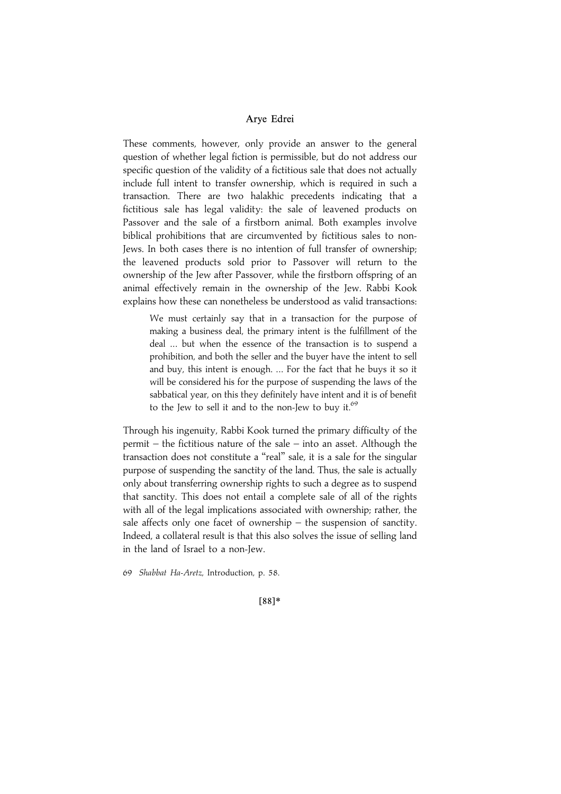These comments, however, only provide an answer to the general question of whether legal fiction is permissible, but do not address our specific question of the validity of a fictitious sale that does not actually include full intent to transfer ownership, which is required in such a transaction. There are two halakhic precedents indicating that a fictitious sale has legal validity: the sale of leavened products on Passover and the sale of a firstborn animal. Both examples involve biblical prohibitions that are circumvented by fictitious sales to non-Jews. In both cases there is no intention of full transfer of ownership; the leavened products sold prior to Passover will return to the ownership of the Jew after Passover, while the firstborn offspring of an animal effectively remain in the ownership of the Jew. Rabbi Kook explains how these can nonetheless be understood as valid transactions:

We must certainly say that in a transaction for the purpose of making a business deal, the primary intent is the fulfillment of the deal ... but when the essence of the transaction is to suspend a prohibition, and both the seller and the buyer have the intent to sell and buy, this intent is enough. ... For the fact that he buys it so it will be considered his for the purpose of suspending the laws of the sabbatical year, on this they definitely have intent and it is of benefit to the Jew to sell it and to the non-Jew to buy it. $69$ 

Through his ingenuity, Rabbi Kook turned the primary difficulty of the permit – the fictitious nature of the sale – into an asset. Although the transaction does not constitute a "real" sale, it is a sale for the singular purpose of suspending the sanctity of the land. Thus, the sale is actually only about transferring ownership rights to such a degree as to suspend that sanctity. This does not entail a complete sale of all of the rights with all of the legal implications associated with ownership; rather, the sale affects only one facet of ownership – the suspension of sanctity. Indeed, a collateral result is that this also solves the issue of selling land in the land of Israel to a non-Jew.

69 Shabbat Ha-Aretz, Introduction, p. 58.

|88~\*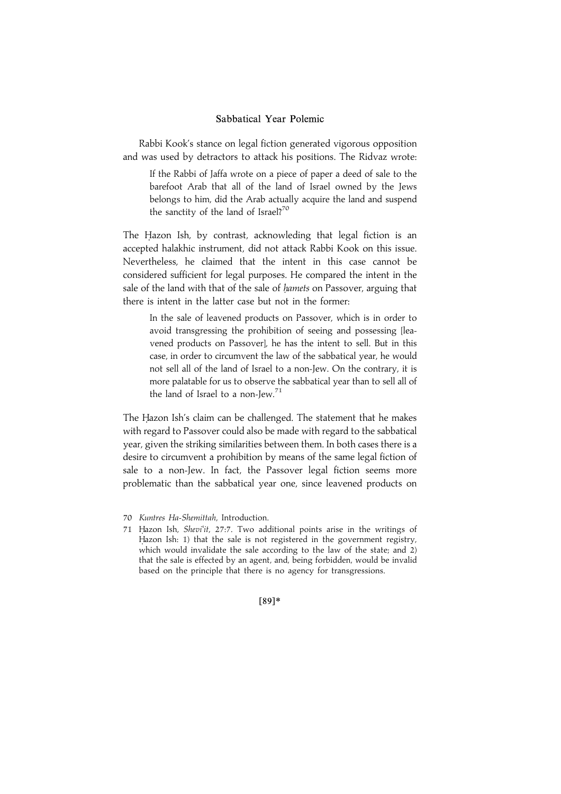Rabbi Kook's stance on legal fiction generated vigorous opposition and was used by detractors to attack his positions. The Ridvaz wrote:

If the Rabbi of Jaffa wrote on a piece of paper a deed of sale to the barefoot Arab that all of the land of Israel owned by the Jews belongs to him, did the Arab actually acquire the land and suspend the sanctity of the land of Israel?<sup>70</sup>

The Hazon Ish, by contrast, acknowleding that legal fiction is an accepted halakhic instrument, did not attack Rabbi Kook on this issue. Nevertheless, he claimed that the intent in this case cannot be considered sufficient for legal purposes. He compared the intent in the sale of the land with that of the sale of *hamets* on Passover, arguing that there is intent in the latter case but not in the former:

In the sale of leavened products on Passover, which is in order to avoid transgressing the prohibition of seeing and possessing [leavened products on Passover], he has the intent to sell. But in this case, in order to circumvent the law of the sabbatical year, he would not sell all of the land of Israel to a non-Jew. On the contrary, it is more palatable for us to observe the sabbatical year than to sell all of the land of Israel to a non-Jew.71

The Hazon Ish's claim can be challenged. The statement that he makes with regard to Passover could also be made with regard to the sabbatical year, given the striking similarities between them. In both cases there is a desire to circumvent a prohibition by means of the same legal fiction of sale to a non-Jew. In fact, the Passover legal fiction seems more problematic than the sabbatical year one, since leavened products on

|89~\*

<sup>70</sup> Kuntres Ha-Shemittah, Introduction.

<sup>71</sup> Hazon Ish, Shevi'it, 27:7. Two additional points arise in the writings of Hazon Ish: 1) that the sale is not registered in the government registry, which would invalidate the sale according to the law of the state; and 2) that the sale is effected by an agent, and, being forbidden, would be invalid based on the principle that there is no agency for transgressions.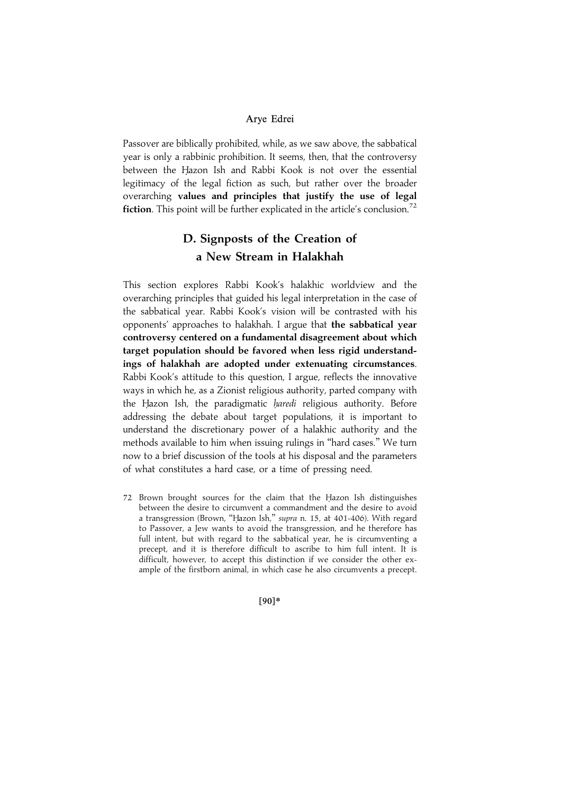Passover are biblically prohibited, while, as we saw above, the sabbatical year is only a rabbinic prohibition. It seems, then, that the controversy between the Hazon Ish and Rabbi Kook is not over the essential legitimacy of the legal fiction as such, but rather over the broader overarching values and principles that justify the use of legal **fiction.** This point will be further explicated in the article's conclusion.<sup>72</sup>

# D. Signposts of the Creation of a New Stream in Halakhah

This section explores Rabbi Kook's halakhic worldview and the overarching principles that guided his legal interpretation in the case of the sabbatical year. Rabbi Kook's vision will be contrasted with his opponents' approaches to halakhah. I argue that the sabbatical year controversy centered on a fundamental disagreement about which target population should be favored when less rigid understandings of halakhah are adopted under extenuating circumstances. Rabbi Kook's attitude to this question, I argue, reflects the innovative ways in which he, as a Zionist religious authority, parted company with the Hazon Ish, the paradigmatic *haredi* religious authority. Before addressing the debate about target populations, it is important to understand the discretionary power of a halakhic authority and the methods available to him when issuing rulings in ''hard cases.'' We turn now to a brief discussion of the tools at his disposal and the parameters of what constitutes a hard case, or a time of pressing need.

72 Brown brought sources for the claim that the Hazon Ish distinguishes between the desire to circumvent a commandment and the desire to avoid a transgression (Brown, "Hazon Ish," supra n. 15, at 401-406). With regard to Passover, a Jew wants to avoid the transgression, and he therefore has full intent, but with regard to the sabbatical year, he is circumventing a precept, and it is therefore difficult to ascribe to him full intent. It is difficult, however, to accept this distinction if we consider the other example of the firstborn animal, in which case he also circumvents a precept.

|90~\*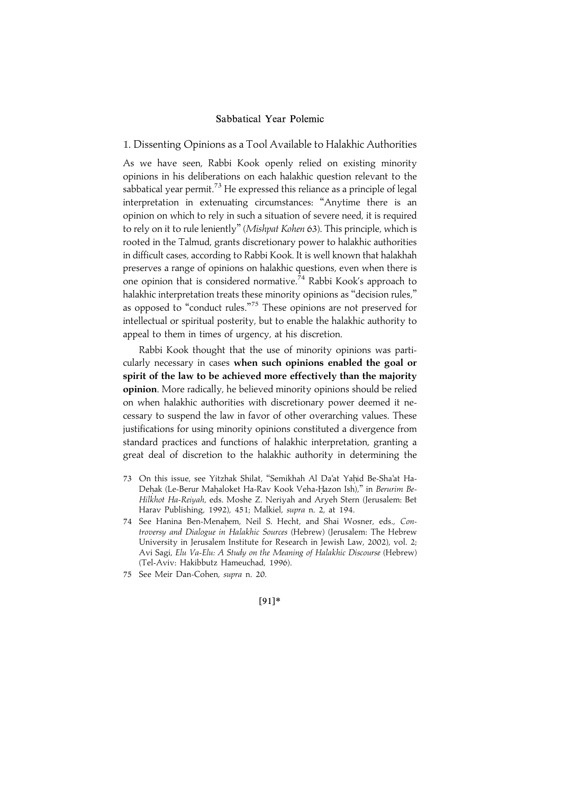1. Dissenting Opinions as a Tool Available to Halakhic Authorities

As we have seen, Rabbi Kook openly relied on existing minority opinions in his deliberations on each halakhic question relevant to the sabbatical year permit.<sup>73</sup> He expressed this reliance as a principle of legal interpretation in extenuating circumstances: ''Anytime there is an opinion on which to rely in such a situation of severe need, it is required to rely on it to rule leniently'' (Mishpat Kohen 63). This principle, which is rooted in the Talmud, grants discretionary power to halakhic authorities in difficult cases, according to Rabbi Kook. It is well known that halakhah preserves a range of opinions on halakhic questions, even when there is one opinion that is considered normative.<sup>74</sup> Rabbi Kook's approach to halakhic interpretation treats these minority opinions as ''decision rules,'' as opposed to "conduct rules."<sup>75</sup> These opinions are not preserved for intellectual or spiritual posterity, but to enable the halakhic authority to appeal to them in times of urgency, at his discretion.

Rabbi Kook thought that the use of minority opinions was particularly necessary in cases when such opinions enabled the goal or spirit of the law to be achieved more effectively than the majority opinion. More radically, he believed minority opinions should be relied on when halakhic authorities with discretionary power deemed it necessary to suspend the law in favor of other overarching values. These justifications for using minority opinions constituted a divergence from standard practices and functions of halakhic interpretation, granting a great deal of discretion to the halakhic authority in determining the

- 73 On this issue, see Yitzhak Shilat, "Semikhah Al Da'at Yahid Be-Sha'at Ha-Dehak (Le-Berur Mahaloket Ha-Rav Kook Veha-Hazon Ish)," in Berurim Be-Hilkhot Ha-Reiyah, eds. Moshe Z. Neriyah and Aryeh Stern (Jerusalem: Bet Harav Publishing, 1992), 451; Malkiel, supra n. 2, at 194.
- 74 See Hanina Ben-Menahem, Neil S. Hecht, and Shai Wosner, eds., Controversy and Dialogue in Halakhic Sources (Hebrew) (Jerusalem: The Hebrew University in Jerusalem Institute for Research in Jewish Law, 2002), vol. 2; Avi Sagi, Elu Va-Elu: A Study on the Meaning of Halakhic Discourse (Hebrew) (Tel-Aviv: Hakibbutz Hameuchad, 1996).
- 75 See Meir Dan-Cohen, supra n. 20.

|91~\*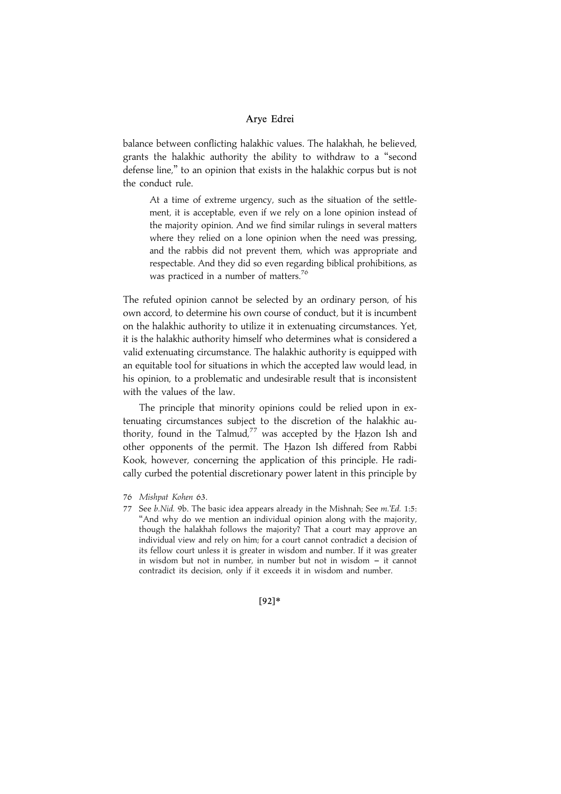balance between conflicting halakhic values. The halakhah, he believed, grants the halakhic authority the ability to withdraw to a ''second defense line,'' to an opinion that exists in the halakhic corpus but is not the conduct rule.

At a time of extreme urgency, such as the situation of the settlement, it is acceptable, even if we rely on a lone opinion instead of the majority opinion. And we find similar rulings in several matters where they relied on a lone opinion when the need was pressing, and the rabbis did not prevent them, which was appropriate and respectable. And they did so even regarding biblical prohibitions, as was practiced in a number of matters.<sup>76</sup>

The refuted opinion cannot be selected by an ordinary person, of his own accord, to determine his own course of conduct, but it is incumbent on the halakhic authority to utilize it in extenuating circumstances. Yet, it is the halakhic authority himself who determines what is considered a valid extenuating circumstance. The halakhic authority is equipped with an equitable tool for situations in which the accepted law would lead, in his opinion, to a problematic and undesirable result that is inconsistent with the values of the law.

The principle that minority opinions could be relied upon in extenuating circumstances subject to the discretion of the halakhic authority, found in the Talmud,<sup>77</sup> was accepted by the Hazon Ish and other opponents of the permit. The Hazon Ish differed from Rabbi Kook, however, concerning the application of this principle. He radically curbed the potential discretionary power latent in this principle by

 $[92]*$ 

<sup>76</sup> Mishpat Kohen 63.

<sup>77</sup> See b. Nid. 9b. The basic idea appears already in the Mishnah; See m. Ed. 1:5: "And why do we mention an individual opinion along with the majority, though the halakhah follows the majority? That a court may approve an individual view and rely on him; for a court cannot contradict a decision of its fellow court unless it is greater in wisdom and number. If it was greater in wisdom but not in number, in number but not in wisdom  $-$  it cannot contradict its decision, only if it exceeds it in wisdom and number.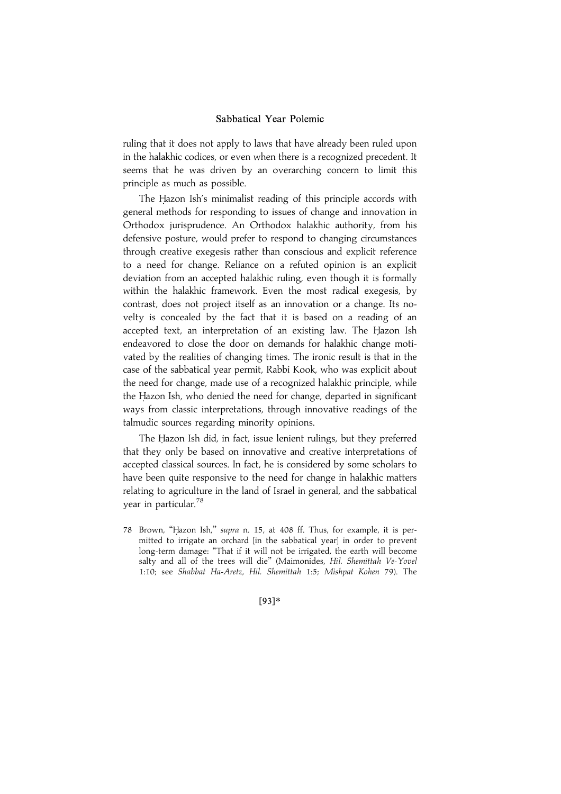ruling that it does not apply to laws that have already been ruled upon in the halakhic codices, or even when there is a recognized precedent. It seems that he was driven by an overarching concern to limit this principle as much as possible.

The Hazon Ish's minimalist reading of this principle accords with general methods for responding to issues of change and innovation in Orthodox jurisprudence. An Orthodox halakhic authority, from his defensive posture, would prefer to respond to changing circumstances through creative exegesis rather than conscious and explicit reference to a need for change. Reliance on a refuted opinion is an explicit deviation from an accepted halakhic ruling, even though it is formally within the halakhic framework. Even the most radical exegesis, by contrast, does not project itself as an innovation or a change. Its novelty is concealed by the fact that it is based on a reading of an accepted text, an interpretation of an existing law. The Hazon Ish endeavored to close the door on demands for halakhic change motivated by the realities of changing times. The ironic result is that in the case of the sabbatical year permit, Rabbi Kook, who was explicit about the need for change, made use of a recognized halakhic principle, while the Hazon Ish, who denied the need for change, departed in significant ways from classic interpretations, through innovative readings of the talmudic sources regarding minority opinions.

The Hazon Ish did, in fact, issue lenient rulings, but they preferred that they only be based on innovative and creative interpretations of accepted classical sources. In fact, he is considered by some scholars to have been quite responsive to the need for change in halakhic matters relating to agriculture in the land of Israel in general, and the sabbatical year in particular.<sup>78</sup>

78 Brown, "Hazon Ish," supra n. 15, at 408 ff. Thus, for example, it is permitted to irrigate an orchard [in the sabbatical year] in order to prevent long-term damage: ''That if it will not be irrigated, the earth will become salty and all of the trees will die" (Maimonides, Hil. Shemittah Ve-Yovel 1:10; see Shabbat Ha-Aretz, Hil. Shemittah 1:5; Mishpat Kohen 79). The

|93~\*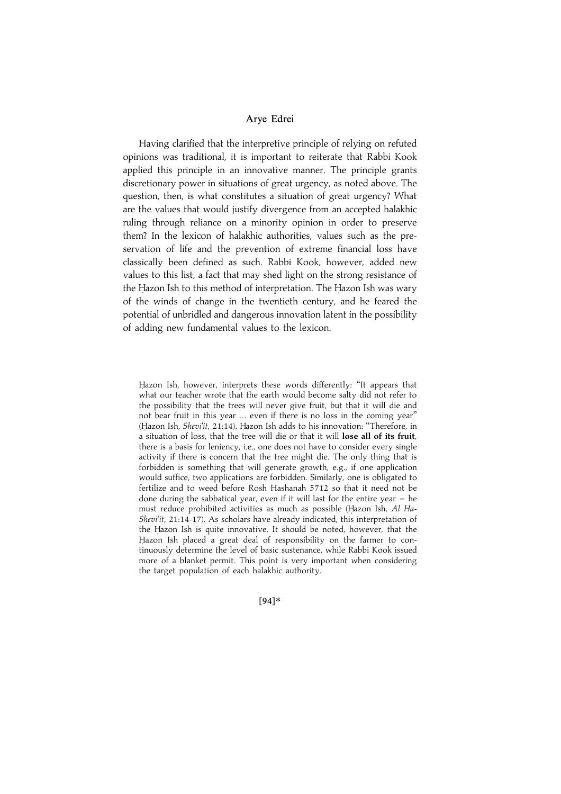Having clarified that the interpretive principle of relying on refuted opinions was traditional, it is important to reiterate that Rabbi Kook applied this principle in an innovative manner. The principle grants discretionary power in situations of great urgency, as noted above. The question, then, is what constitutes a situation of great urgency? What are the values that would justify divergence from an accepted halakhic ruling through reliance on a minority opinion in order to preserve them? In the lexicon of halakhic authorities, values such as the preservation of life and the prevention of extreme financial loss have classically been defined as such. Rabbi Kook, however, added new values to this list, a fact that may shed light on the strong resistance of the Hazon Ish to this method of interpretation. The Hazon Ish was wary of the winds of change in the twentieth century, and he feared the potential of unbridled and dangerous innovation latent in the possibility of adding new fundamental values to the lexicon.

[94]\*

Hazon Ish, however, interprets these words differently: "It appears that what our teacher wrote that the earth would become salty did not refer to the possibility that the trees will never give fruit, but that it will die and not bear fruit in this year ... even if there is no loss in the coming year'' (Hazon Ish, Shevi'it, 21:14). Hazon Ish adds to his innovation: "Therefore, in a situation of loss, that the tree will die or that it will lose all of its fruit, there is a basis for leniency, i.e., one does not have to consider every single activity if there is concern that the tree might die. The only thing that is forbidden is something that will generate growth, e.g., if one application would suffice, two applications are forbidden. Similarly, one is obligated to fertilize and to weed before Rosh Hashanah 5712 so that it need not be done during the sabbatical year, even if it will last for the entire year  $-$  he must reduce prohibited activities as much as possible (Hazon Ish, Al Ha-Shevi'it, 21:14-17). As scholars have already indicated, this interpretation of the Hazon Ish is quite innovative. It should be noted, however, that the Hazon Ish placed a great deal of responsibility on the farmer to continuously determine the level of basic sustenance, while Rabbi Kook issued more of a blanket permit. This point is very important when considering the target population of each halakhic authority.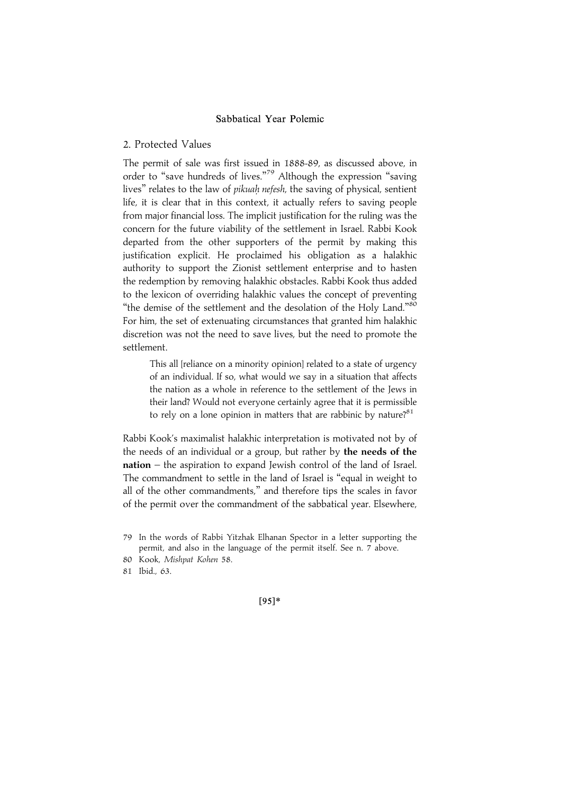#### 2. Protected Values

The permit of sale was first issued in 1888-89, as discussed above, in order to "save hundreds of lives."<sup>79</sup> Although the expression "saving lives" relates to the law of *pikuah nefesh*, the saving of physical, sentient life, it is clear that in this context, it actually refers to saving people from major financial loss. The implicit justification for the ruling was the concern for the future viability of the settlement in Israel. Rabbi Kook departed from the other supporters of the permit by making this justification explicit. He proclaimed his obligation as a halakhic authority to support the Zionist settlement enterprise and to hasten the redemption by removing halakhic obstacles. Rabbi Kook thus added to the lexicon of overriding halakhic values the concept of preventing "the demise of the settlement and the desolation of the Holy Land."80 For him, the set of extenuating circumstances that granted him halakhic discretion was not the need to save lives, but the need to promote the settlement.

This all [reliance on a minority opinion] related to a state of urgency of an individual. If so, what would we say in a situation that affects the nation as a whole in reference to the settlement of the Jews in their land? Would not everyone certainly agree that it is permissible to rely on a lone opinion in matters that are rabbinic by nature? $81$ 

Rabbi Kook's maximalist halakhic interpretation is motivated not by of the needs of an individual or a group, but rather by the needs of the nation – the aspiration to expand Jewish control of the land of Israel. The commandment to settle in the land of Israel is ''equal in weight to all of the other commandments,'' and therefore tips the scales in favor of the permit over the commandment of the sabbatical year. Elsewhere,

81 Ibid., 63.

 $[95]*$ 

<sup>79</sup> In the words of Rabbi Yitzhak Elhanan Spector in a letter supporting the permit, and also in the language of the permit itself. See n. 7 above.

<sup>80</sup> Kook, Mishpat Kohen 58.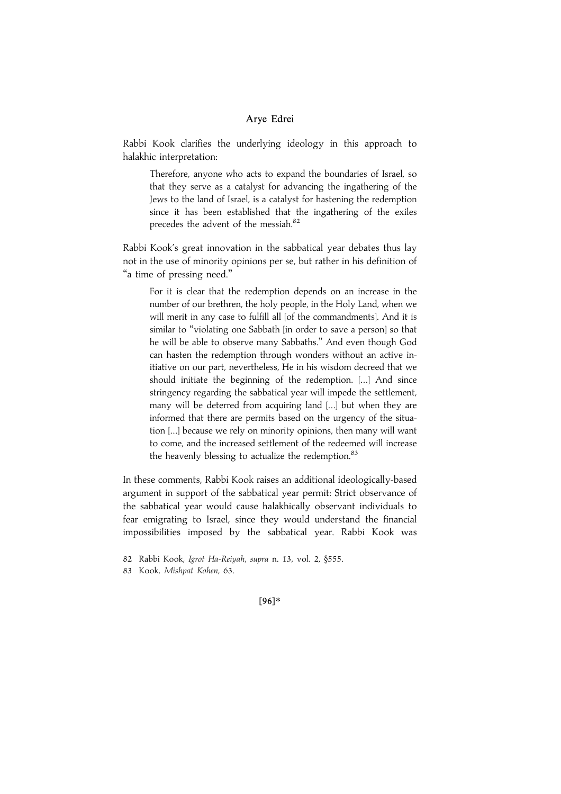Rabbi Kook clarifies the underlying ideology in this approach to halakhic interpretation:

Therefore, anyone who acts to expand the boundaries of Israel, so that they serve as a catalyst for advancing the ingathering of the Jews to the land of Israel, is a catalyst for hastening the redemption since it has been established that the ingathering of the exiles precedes the advent of the messiah.<sup>82</sup>

Rabbi Kook's great innovation in the sabbatical year debates thus lay not in the use of minority opinions per se, but rather in his definition of ''a time of pressing need.''

For it is clear that the redemption depends on an increase in the number of our brethren, the holy people, in the Holy Land, when we will merit in any case to fulfill all [of the commandments]. And it is similar to "violating one Sabbath [in order to save a person] so that he will be able to observe many Sabbaths.'' And even though God can hasten the redemption through wonders without an active initiative on our part, nevertheless, He in his wisdom decreed that we should initiate the beginning of the redemption. [...] And since stringency regarding the sabbatical year will impede the settlement, many will be deterred from acquiring land [...] but when they are informed that there are permits based on the urgency of the situation [...] because we rely on minority opinions, then many will want to come, and the increased settlement of the redeemed will increase the heavenly blessing to actualize the redemption. $83$ 

In these comments, Rabbi Kook raises an additional ideologically-based argument in support of the sabbatical year permit: Strict observance of the sabbatical year would cause halakhically observant individuals to fear emigrating to Israel, since they would understand the financial impossibilities imposed by the sabbatical year. Rabbi Kook was

 $[96]*$ 

<sup>82</sup> Rabbi Kook, Igrot Ha-Reiyah, supra n. 13, vol. 2, §555.

<sup>83</sup> Kook, Mishpat Kohen, 63.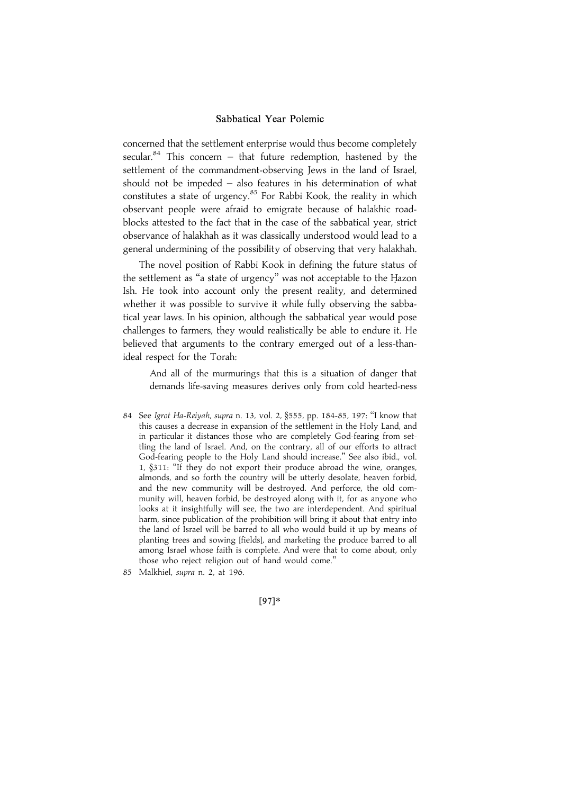concerned that the settlement enterprise would thus become completely secular.<sup>84</sup> This concern – that future redemption, hastened by the settlement of the commandment-observing Jews in the land of Israel, should not be impeded – also features in his determination of what constitutes a state of urgency.<sup>85</sup> For Rabbi Kook, the reality in which observant people were afraid to emigrate because of halakhic roadblocks attested to the fact that in the case of the sabbatical year, strict observance of halakhah as it was classically understood would lead to a general undermining of the possibility of observing that very halakhah.

The novel position of Rabbi Kook in defining the future status of the settlement as "a state of urgency" was not acceptable to the Hazon Ish. He took into account only the present reality, and determined whether it was possible to survive it while fully observing the sabbatical year laws. In his opinion, although the sabbatical year would pose challenges to farmers, they would realistically be able to endure it. He believed that arguments to the contrary emerged out of a less-thanideal respect for the Torah:

And all of the murmurings that this is a situation of danger that demands life-saving measures derives only from cold hearted-ness

84 See Igrot Ha-Reiyah, supra n. 13, vol. 2, §555, pp. 184-85, 197: ''I know that this causes a decrease in expansion of the settlement in the Holy Land, and in particular it distances those who are completely God-fearing from settling the land of Israel. And, on the contrary, all of our efforts to attract God-fearing people to the Holy Land should increase.'' See also ibid., vol. 1, §311: ''If they do not export their produce abroad the wine, oranges, almonds, and so forth the country will be utterly desolate, heaven forbid, and the new community will be destroyed. And perforce, the old community will, heaven forbid, be destroyed along with it, for as anyone who looks at it insightfully will see, the two are interdependent. And spiritual harm, since publication of the prohibition will bring it about that entry into the land of Israel will be barred to all who would build it up by means of planting trees and sowing [fields], and marketing the produce barred to all among Israel whose faith is complete. And were that to come about, only those who reject religion out of hand would come.''

|97~\*

<sup>85</sup> Malkhiel, supra n. 2, at 196.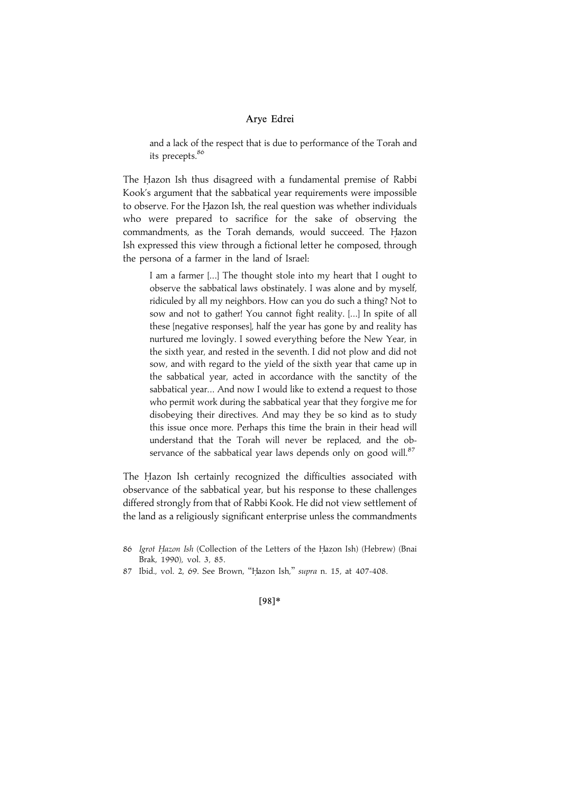and a lack of the respect that is due to performance of the Torah and its precepts.<sup>86</sup>

The Hazon Ish thus disagreed with a fundamental premise of Rabbi Kook's argument that the sabbatical year requirements were impossible to observe. For the Hazon Ish, the real question was whether individuals who were prepared to sacrifice for the sake of observing the commandments, as the Torah demands, would succeed. The Hazon Ish expressed this view through a fictional letter he composed, through the persona of a farmer in the land of Israel:

I am a farmer [...] The thought stole into my heart that I ought to observe the sabbatical laws obstinately. I was alone and by myself, ridiculed by all my neighbors. How can you do such a thing? Not to sow and not to gather! You cannot fight reality. [...] In spite of all these [negative responses], half the year has gone by and reality has nurtured me lovingly. I sowed everything before the New Year, in the sixth year, and rested in the seventh. I did not plow and did not sow, and with regard to the yield of the sixth year that came up in the sabbatical year, acted in accordance with the sanctity of the sabbatical year... And now I would like to extend a request to those who permit work during the sabbatical year that they forgive me for disobeying their directives. And may they be so kind as to study this issue once more. Perhaps this time the brain in their head will understand that the Torah will never be replaced, and the observance of the sabbatical year laws depends only on good will. $87$ 

The Hazon Ish certainly recognized the difficulties associated with observance of the sabbatical year, but his response to these challenges differed strongly from that of Rabbi Kook. He did not view settlement of the land as a religiously significant enterprise unless the commandments

#### |98~\*

<sup>86</sup> Igrot Hazon Ish (Collection of the Letters of the Hazon Ish) (Hebrew) (Bnai Brak, 1990), vol. 3, 85.

<sup>87</sup> Ibid., vol. 2, 69. See Brown, "Hazon Ish," supra n. 15, at 407-408.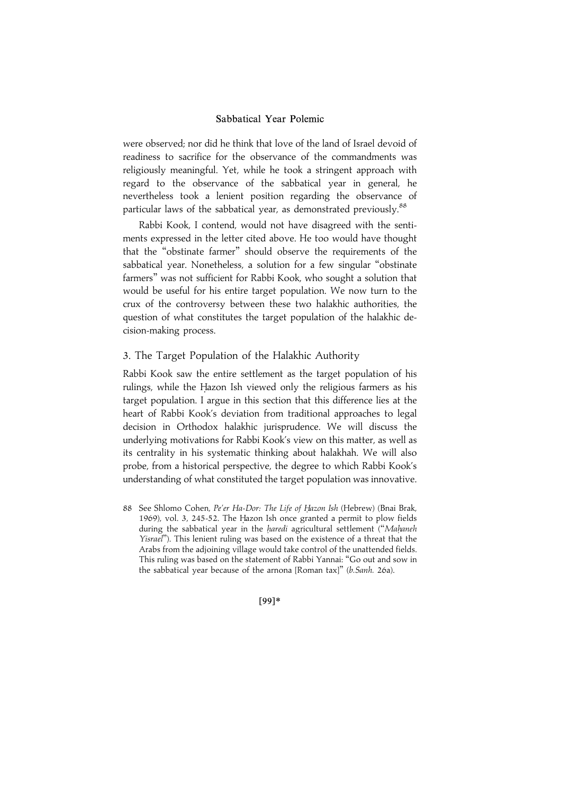were observed; nor did he think that love of the land of Israel devoid of readiness to sacrifice for the observance of the commandments was religiously meaningful. Yet, while he took a stringent approach with regard to the observance of the sabbatical year in general, he nevertheless took a lenient position regarding the observance of particular laws of the sabbatical year, as demonstrated previously.<sup>88</sup>

Rabbi Kook, I contend, would not have disagreed with the sentiments expressed in the letter cited above. He too would have thought that the ''obstinate farmer'' should observe the requirements of the sabbatical year. Nonetheless, a solution for a few singular ''obstinate farmers'' was not sufficient for Rabbi Kook, who sought a solution that would be useful for his entire target population. We now turn to the crux of the controversy between these two halakhic authorities, the question of what constitutes the target population of the halakhic decision-making process.

## 3. The Target Population of the Halakhic Authority

Rabbi Kook saw the entire settlement as the target population of his rulings, while the Hazon Ish viewed only the religious farmers as his target population. I argue in this section that this difference lies at the heart of Rabbi Kook's deviation from traditional approaches to legal decision in Orthodox halakhic jurisprudence. We will discuss the underlying motivations for Rabbi Kook's view on this matter, as well as its centrality in his systematic thinking about halakhah. We will also probe, from a historical perspective, the degree to which Rabbi Kook's understanding of what constituted the target population was innovative.

88 See Shlomo Cohen, Pe'er Ha-Dor: The Life of Hazon Ish (Hebrew) (Bnai Brak, 1969), vol. 3, 245-52. The Hazon Ish once granted a permit to plow fields during the sabbatical year in the haredi agricultural settlement ("Mahaneh Yisrael''). This lenient ruling was based on the existence of a threat that the Arabs from the adjoining village would take control of the unattended fields. This ruling was based on the statement of Rabbi Yannai: ''Go out and sow in the sabbatical year because of the arnona [Roman tax]'' (b.Sanh. 26a).

|99~\*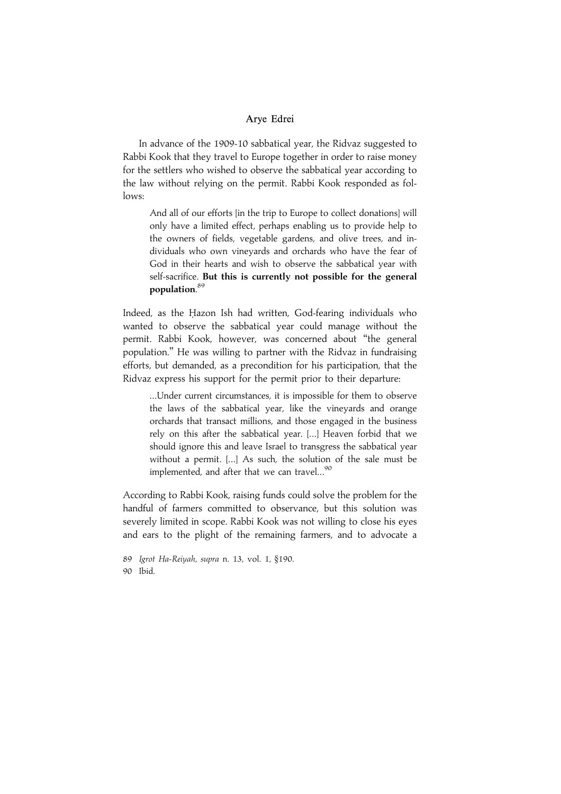In advance of the 1909-10 sabbatical year, the Ridvaz suggested to Rabbi Kook that they travel to Europe together in order to raise money for the settlers who wished to observe the sabbatical year according to the law without relying on the permit. Rabbi Kook responded as follows:

And all of our efforts [in the trip to Europe to collect donations] will only have a limited effect, perhaps enabling us to provide help to the owners of fields, vegetable gardens, and olive trees, and individuals who own vineyards and orchards who have the fear of God in their hearts and wish to observe the sabbatical year with self-sacrifice. But this is currently not possible for the general population. 89

Indeed, as the Hazon Ish had written, God-fearing individuals who wanted to observe the sabbatical year could manage without the permit. Rabbi Kook, however, was concerned about ''the general population.'' He was willing to partner with the Ridvaz in fundraising efforts, but demanded, as a precondition for his participation, that the Ridvaz express his support for the permit prior to their departure:

...Under current circumstances, it is impossible for them to observe the laws of the sabbatical year, like the vineyards and orange orchards that transact millions, and those engaged in the business rely on this after the sabbatical year. [...] Heaven forbid that we should ignore this and leave Israel to transgress the sabbatical year without a permit. [...] As such, the solution of the sale must be implemented, and after that we can travel...<sup>90</sup>

According to Rabbi Kook, raising funds could solve the problem for the handful of farmers committed to observance, but this solution was severely limited in scope. Rabbi Kook was not willing to close his eyes and ears to the plight of the remaining farmers, and to advocate a

89 Igrot Ha-Reiyah, supra n. 13, vol. 1, §190. 90 Ibid.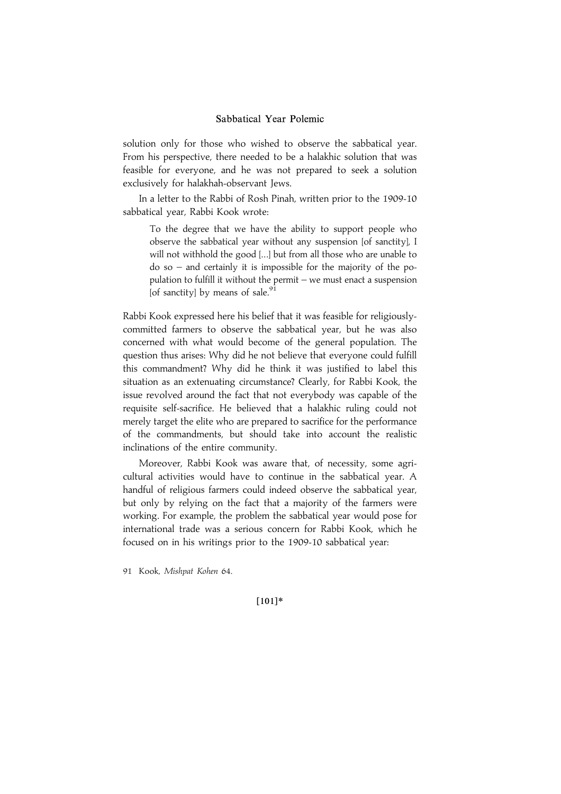solution only for those who wished to observe the sabbatical year. From his perspective, there needed to be a halakhic solution that was feasible for everyone, and he was not prepared to seek a solution exclusively for halakhah-observant Jews.

In a letter to the Rabbi of Rosh Pinah, written prior to the 1909-10 sabbatical year, Rabbi Kook wrote:

To the degree that we have the ability to support people who observe the sabbatical year without any suspension [of sanctity], I will not withhold the good [...] but from all those who are unable to do so – and certainly it is impossible for the majority of the population to fulfill it without the permit – we must enact a suspension [of sanctity] by means of sale. $91$ 

Rabbi Kook expressed here his belief that it was feasible for religiouslycommitted farmers to observe the sabbatical year, but he was also concerned with what would become of the general population. The question thus arises: Why did he not believe that everyone could fulfill this commandment? Why did he think it was justified to label this situation as an extenuating circumstance? Clearly, for Rabbi Kook, the issue revolved around the fact that not everybody was capable of the requisite self-sacrifice. He believed that a halakhic ruling could not merely target the elite who are prepared to sacrifice for the performance of the commandments, but should take into account the realistic inclinations of the entire community.

Moreover, Rabbi Kook was aware that, of necessity, some agricultural activities would have to continue in the sabbatical year. A handful of religious farmers could indeed observe the sabbatical year, but only by relying on the fact that a majority of the farmers were working. For example, the problem the sabbatical year would pose for international trade was a serious concern for Rabbi Kook, which he focused on in his writings prior to the 1909-10 sabbatical year:

91 Kook, Mishpat Kohen 64.

 $[101]*$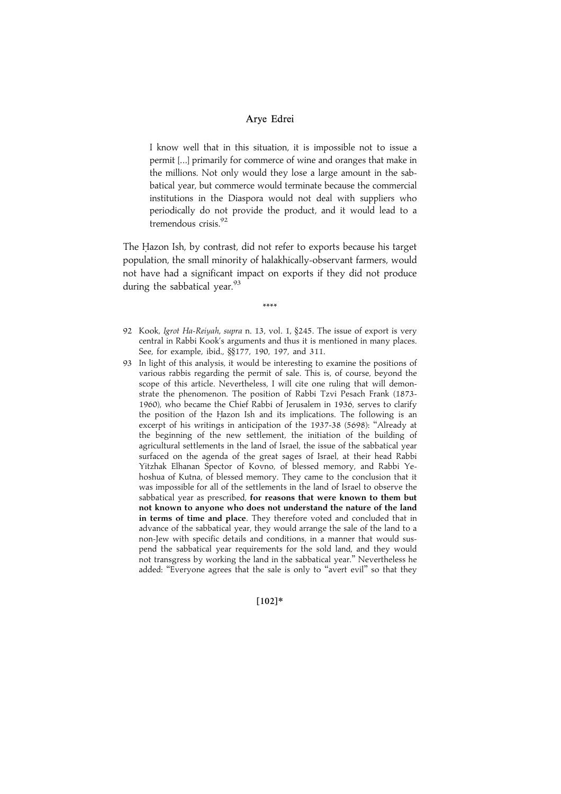I know well that in this situation, it is impossible not to issue a permit [...] primarily for commerce of wine and oranges that make in the millions. Not only would they lose a large amount in the sabbatical year, but commerce would terminate because the commercial institutions in the Diaspora would not deal with suppliers who periodically do not provide the product, and it would lead to a tremendous crisis.92

The Hazon Ish, by contrast, did not refer to exports because his target population, the small minority of halakhically-observant farmers, would not have had a significant impact on exports if they did not produce during the sabbatical year. $^{93}$ 

\*\*\*\*

- 92 Kook, Igrot Ha-Reiyah, supra n. 13, vol. 1, §245. The issue of export is very central in Rabbi Kook's arguments and thus it is mentioned in many places. See, for example, ibid., §§177, 190, 197, and 311.
- 93 In light of this analysis, it would be interesting to examine the positions of various rabbis regarding the permit of sale. This is, of course, beyond the scope of this article. Nevertheless, I will cite one ruling that will demonstrate the phenomenon. The position of Rabbi Tzvi Pesach Frank (1873- 1960), who became the Chief Rabbi of Jerusalem in 1936, serves to clarify the position of the Hazon Ish and its implications. The following is an excerpt of his writings in anticipation of the 1937-38 (5698): "Already at the beginning of the new settlement, the initiation of the building of agricultural settlements in the land of Israel, the issue of the sabbatical year surfaced on the agenda of the great sages of Israel, at their head Rabbi Yitzhak Elhanan Spector of Kovno, of blessed memory, and Rabbi Yehoshua of Kutna, of blessed memory. They came to the conclusion that it was impossible for all of the settlements in the land of Israel to observe the sabbatical year as prescribed, for reasons that were known to them but not known to anyone who does not understand the nature of the land in terms of time and place. They therefore voted and concluded that in advance of the sabbatical year, they would arrange the sale of the land to a non-Jew with specific details and conditions, in a manner that would suspend the sabbatical year requirements for the sold land, and they would not transgress by working the land in the sabbatical year.'' Nevertheless he added: "Everyone agrees that the sale is only to "avert evil" so that they

 $[102]*$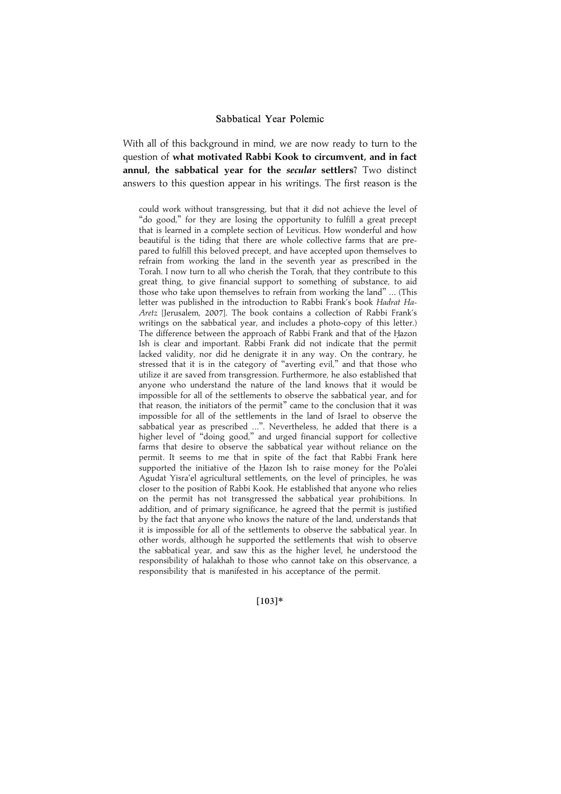With all of this background in mind, we are now ready to turn to the question of what motivated Rabbi Kook to circumvent, and in fact annul, the sabbatical year for the secular settlers? Two distinct answers to this question appear in his writings. The first reason is the

could work without transgressing, but that it did not achieve the level of "do good," for they are losing the opportunity to fulfill a great precept that is learned in a complete section of Leviticus. How wonderful and how beautiful is the tiding that there are whole collective farms that are prepared to fulfill this beloved precept, and have accepted upon themselves to refrain from working the land in the seventh year as prescribed in the Torah. I now turn to all who cherish the Torah, that they contribute to this great thing, to give financial support to something of substance, to aid those who take upon themselves to refrain from working the land'' ... (This letter was published in the introduction to Rabbi Frank's book Hadrat Ha-Aretz [Jerusalem, 2007]. The book contains a collection of Rabbi Frank's writings on the sabbatical year, and includes a photo-copy of this letter.) The difference between the approach of Rabbi Frank and that of the Hazon Ish is clear and important. Rabbi Frank did not indicate that the permit lacked validity, nor did he denigrate it in any way. On the contrary, he stressed that it is in the category of ''averting evil,'' and that those who utilize it are saved from transgression. Furthermore, he also established that anyone who understand the nature of the land knows that it would be impossible for all of the settlements to observe the sabbatical year, and for that reason, the initiators of the permit'' came to the conclusion that it was impossible for all of the settlements in the land of Israel to observe the sabbatical year as prescribed ...''. Nevertheless, he added that there is a higher level of "doing good," and urged financial support for collective farms that desire to observe the sabbatical year without reliance on the permit. It seems to me that in spite of the fact that Rabbi Frank here supported the initiative of the Hazon Ish to raise money for the Po'alei Agudat Yisra'el agricultural settlements, on the level of principles, he was closer to the position of Rabbi Kook. He established that anyone who relies on the permit has not transgressed the sabbatical year prohibitions. In addition, and of primary significance, he agreed that the permit is justified by the fact that anyone who knows the nature of the land, understands that it is impossible for all of the settlements to observe the sabbatical year. In other words, although he supported the settlements that wish to observe the sabbatical year, and saw this as the higher level, he understood the responsibility of halakhah to those who cannot take on this observance, a responsibility that is manifested in his acceptance of the permit.

#### $[103]*$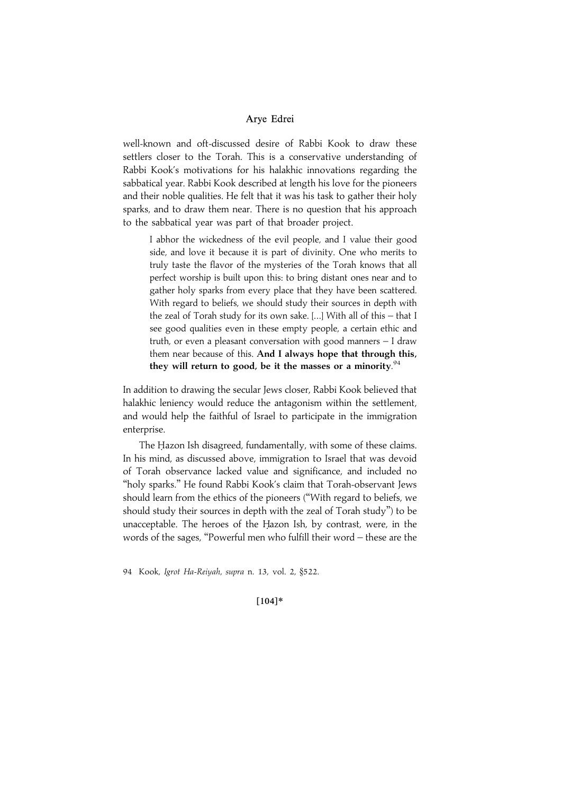well-known and oft-discussed desire of Rabbi Kook to draw these settlers closer to the Torah. This is a conservative understanding of Rabbi Kook's motivations for his halakhic innovations regarding the sabbatical year. Rabbi Kook described at length his love for the pioneers and their noble qualities. He felt that it was his task to gather their holy sparks, and to draw them near. There is no question that his approach to the sabbatical year was part of that broader project.

I abhor the wickedness of the evil people, and I value their good side, and love it because it is part of divinity. One who merits to truly taste the flavor of the mysteries of the Torah knows that all perfect worship is built upon this: to bring distant ones near and to gather holy sparks from every place that they have been scattered. With regard to beliefs, we should study their sources in depth with the zeal of Torah study for its own sake. [...] With all of this – that I see good qualities even in these empty people, a certain ethic and truth, or even a pleasant conversation with good manners – I draw them near because of this. And I always hope that through this, they will return to good, be it the masses or a minority.<sup>94</sup>

In addition to drawing the secular Jews closer, Rabbi Kook believed that halakhic leniency would reduce the antagonism within the settlement, and would help the faithful of Israel to participate in the immigration enterprise.

The Hazon Ish disagreed, fundamentally, with some of these claims. In his mind, as discussed above, immigration to Israel that was devoid of Torah observance lacked value and significance, and included no ''holy sparks.'' He found Rabbi Kook's claim that Torah-observant Jews should learn from the ethics of the pioneers (''With regard to beliefs, we should study their sources in depth with the zeal of Torah study'') to be unacceptable. The heroes of the Hazon Ish, by contrast, were, in the words of the sages, ''Powerful men who fulfill their word – these are the

94 Kook, Igrot Ha-Reiyah, supra n. 13, vol. 2, §522.

#### $[104]*$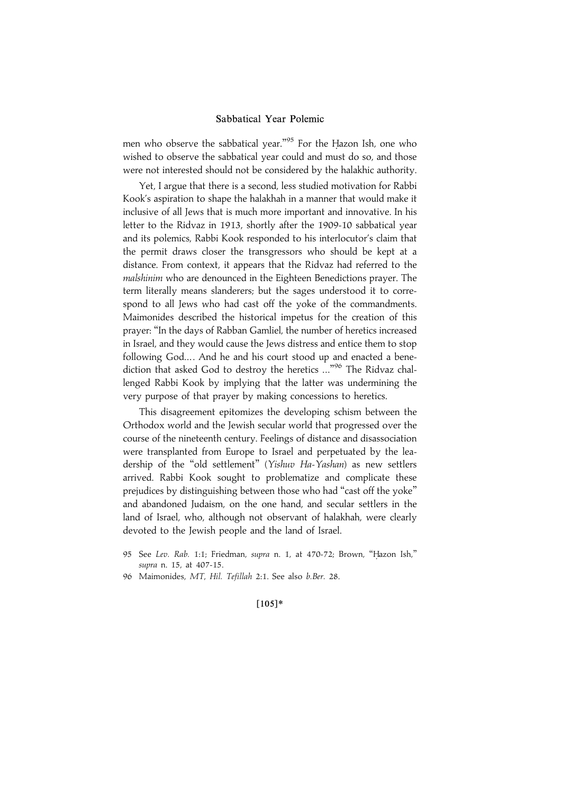men who observe the sabbatical year."<sup>95</sup> For the Hazon Ish, one who wished to observe the sabbatical year could and must do so, and those were not interested should not be considered by the halakhic authority.

Yet, I argue that there is a second, less studied motivation for Rabbi Kook's aspiration to shape the halakhah in a manner that would make it inclusive of all Jews that is much more important and innovative. In his letter to the Ridvaz in 1913, shortly after the 1909-10 sabbatical year and its polemics, Rabbi Kook responded to his interlocutor's claim that the permit draws closer the transgressors who should be kept at a distance. From context, it appears that the Ridvaz had referred to the malshinim who are denounced in the Eighteen Benedictions prayer. The term literally means slanderers; but the sages understood it to correspond to all Jews who had cast off the yoke of the commandments. Maimonides described the historical impetus for the creation of this prayer: ''In the days of Rabban Gamliel, the number of heretics increased in Israel, and they would cause the Jews distress and entice them to stop following God.... And he and his court stood up and enacted a benediction that asked God to destroy the heretics ..."<sup>96</sup> The Ridvaz challenged Rabbi Kook by implying that the latter was undermining the very purpose of that prayer by making concessions to heretics.

This disagreement epitomizes the developing schism between the Orthodox world and the Jewish secular world that progressed over the course of the nineteenth century. Feelings of distance and disassociation were transplanted from Europe to Israel and perpetuated by the leadership of the "old settlement" (Yishuv Ha-Yashan) as new settlers arrived. Rabbi Kook sought to problematize and complicate these prejudices by distinguishing between those who had "cast off the yoke" and abandoned Judaism, on the one hand, and secular settlers in the land of Israel, who, although not observant of halakhah, were clearly devoted to the Jewish people and the land of Israel.

- 95 See Lev. Rab. 1:1; Friedman, supra n. 1, at 470-72; Brown, "Hazon Ish," supra n. 15, at 407-15.
- 96 Maimonides, MT, Hil. Tefillah 2:1. See also b.Ber. 28.

#### $[105]*$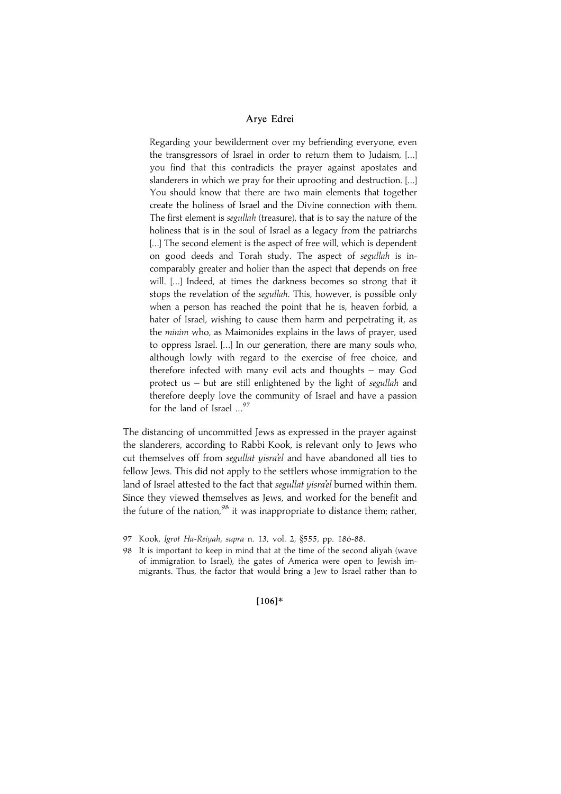Regarding your bewilderment over my befriending everyone, even the transgressors of Israel in order to return them to Judaism, [...] you find that this contradicts the prayer against apostates and slanderers in which we pray for their uprooting and destruction. [...] You should know that there are two main elements that together create the holiness of Israel and the Divine connection with them. The first element is *segullah* (treasure), that is to say the nature of the holiness that is in the soul of Israel as a legacy from the patriarchs [...] The second element is the aspect of free will, which is dependent on good deeds and Torah study. The aspect of segullah is incomparably greater and holier than the aspect that depends on free will. [...] Indeed, at times the darkness becomes so strong that it stops the revelation of the segullah. This, however, is possible only when a person has reached the point that he is, heaven forbid, a hater of Israel, wishing to cause them harm and perpetrating it, as the minim who, as Maimonides explains in the laws of prayer, used to oppress Israel. [...] In our generation, there are many souls who, although lowly with regard to the exercise of free choice, and therefore infected with many evil acts and thoughts – may God protect us – but are still enlightened by the light of segullah and therefore deeply love the community of Israel and have a passion for the land of Israel  $\ldots$ <sup>97</sup>

The distancing of uncommitted Jews as expressed in the prayer against the slanderers, according to Rabbi Kook, is relevant only to Jews who cut themselves off from segullat yisra'el and have abandoned all ties to fellow Jews. This did not apply to the settlers whose immigration to the land of Israel attested to the fact that segullat yisra'el burned within them. Since they viewed themselves as Jews, and worked for the benefit and the future of the nation,  $98$  it was inappropriate to distance them; rather,

 $[106]*$ 

<sup>97</sup> Kook, Igrot Ha-Reiyah, supra n. 13, vol. 2, §555, pp. 186-88.

<sup>98</sup> It is important to keep in mind that at the time of the second aliyah (wave of immigration to Israel), the gates of America were open to Jewish immigrants. Thus, the factor that would bring a Jew to Israel rather than to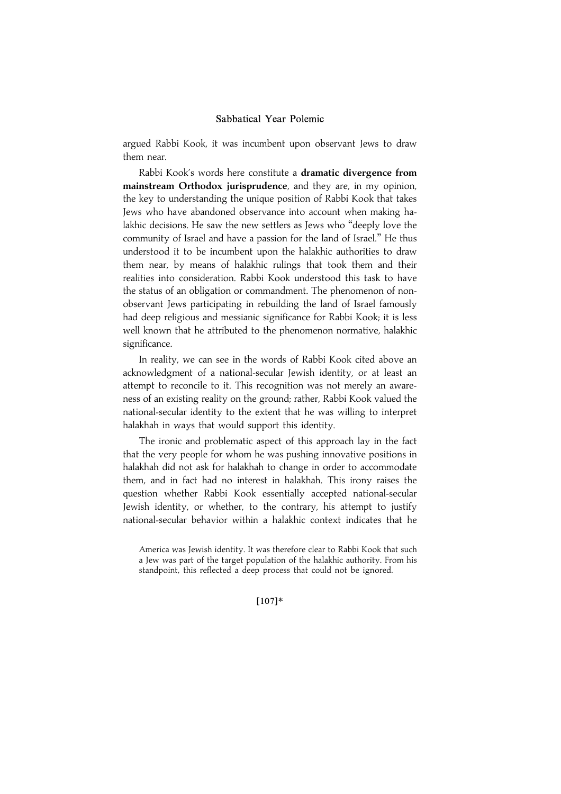argued Rabbi Kook, it was incumbent upon observant Jews to draw them near.

Rabbi Kook's words here constitute a dramatic divergence from mainstream Orthodox jurisprudence, and they are, in my opinion, the key to understanding the unique position of Rabbi Kook that takes Jews who have abandoned observance into account when making halakhic decisions. He saw the new settlers as Jews who ''deeply love the community of Israel and have a passion for the land of Israel.'' He thus understood it to be incumbent upon the halakhic authorities to draw them near, by means of halakhic rulings that took them and their realities into consideration. Rabbi Kook understood this task to have the status of an obligation or commandment. The phenomenon of nonobservant Jews participating in rebuilding the land of Israel famously had deep religious and messianic significance for Rabbi Kook; it is less well known that he attributed to the phenomenon normative, halakhic significance.

In reality, we can see in the words of Rabbi Kook cited above an acknowledgment of a national-secular Jewish identity, or at least an attempt to reconcile to it. This recognition was not merely an awareness of an existing reality on the ground; rather, Rabbi Kook valued the national-secular identity to the extent that he was willing to interpret halakhah in ways that would support this identity.

The ironic and problematic aspect of this approach lay in the fact that the very people for whom he was pushing innovative positions in halakhah did not ask for halakhah to change in order to accommodate them, and in fact had no interest in halakhah. This irony raises the question whether Rabbi Kook essentially accepted national-secular Jewish identity, or whether, to the contrary, his attempt to justify national-secular behavior within a halakhic context indicates that he

#### $[107]*$

America was Jewish identity. It was therefore clear to Rabbi Kook that such a Jew was part of the target population of the halakhic authority. From his standpoint, this reflected a deep process that could not be ignored.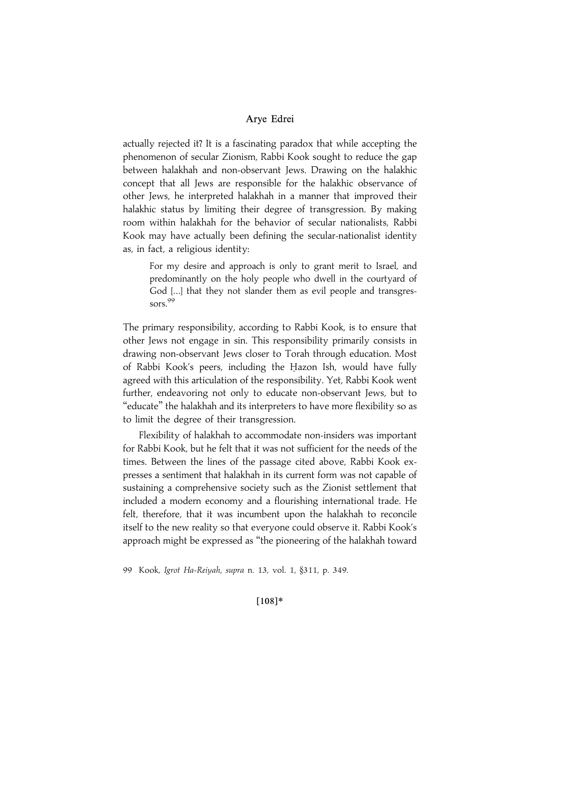actually rejected it? It is a fascinating paradox that while accepting the phenomenon of secular Zionism, Rabbi Kook sought to reduce the gap between halakhah and non-observant Jews. Drawing on the halakhic concept that all Jews are responsible for the halakhic observance of other Jews, he interpreted halakhah in a manner that improved their halakhic status by limiting their degree of transgression. By making room within halakhah for the behavior of secular nationalists, Rabbi Kook may have actually been defining the secular-nationalist identity as, in fact, a religious identity:

For my desire and approach is only to grant merit to Israel, and predominantly on the holy people who dwell in the courtyard of God [...] that they not slander them as evil people and transgressors.<sup>99</sup>

The primary responsibility, according to Rabbi Kook, is to ensure that other Jews not engage in sin. This responsibility primarily consists in drawing non-observant Jews closer to Torah through education. Most of Rabbi Kook's peers, including the Hazon Ish, would have fully agreed with this articulation of the responsibility. Yet, Rabbi Kook went further, endeavoring not only to educate non-observant Jews, but to "educate" the halakhah and its interpreters to have more flexibility so as to limit the degree of their transgression.

Flexibility of halakhah to accommodate non-insiders was important for Rabbi Kook, but he felt that it was not sufficient for the needs of the times. Between the lines of the passage cited above, Rabbi Kook expresses a sentiment that halakhah in its current form was not capable of sustaining a comprehensive society such as the Zionist settlement that included a modern economy and a flourishing international trade. He felt, therefore, that it was incumbent upon the halakhah to reconcile itself to the new reality so that everyone could observe it. Rabbi Kook's approach might be expressed as ''the pioneering of the halakhah toward

99 Kook, Igrot Ha-Reiyah, supra n. 13, vol. 1, §311, p. 349.

#### $[108]*$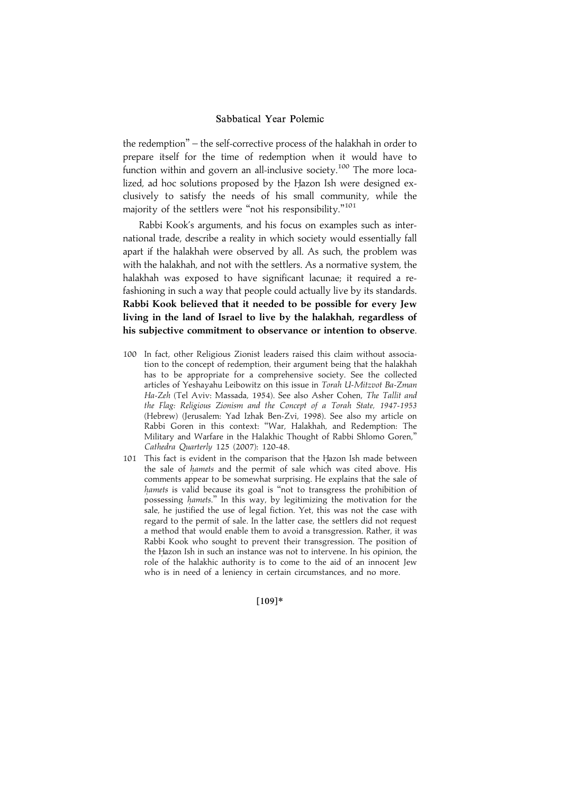the redemption'' – the self-corrective process of the halakhah in order to prepare itself for the time of redemption when it would have to function within and govern an all-inclusive society.<sup>100</sup> The more localized, ad hoc solutions proposed by the Hazon Ish were designed exclusively to satisfy the needs of his small community, while the majority of the settlers were "not his responsibility."<sup>101</sup>

Rabbi Kook's arguments, and his focus on examples such as international trade, describe a reality in which society would essentially fall apart if the halakhah were observed by all. As such, the problem was with the halakhah, and not with the settlers. As a normative system, the halakhah was exposed to have significant lacunae; it required a refashioning in such a way that people could actually live by its standards. Rabbi Kook believed that it needed to be possible for every Jew living in the land of Israel to live by the halakhah, regardless of his subjective commitment to observance or intention to observe.

- 100 In fact, other Religious Zionist leaders raised this claim without association to the concept of redemption, their argument being that the halakhah has to be appropriate for a comprehensive society. See the collected articles of Yeshayahu Leibowitz on this issue in Torah U-Mitzvot Ba-Zman Ha-Zeh (Tel Aviv: Massada, 1954). See also Asher Cohen, The Tallit and the Flag: Religious Zionism and the Concept of a Torah State, 1947-1953 (Hebrew) (Jerusalem: Yad Izhak Ben-Zvi, 1998). See also my article on Rabbi Goren in this context: ''War, Halakhah, and Redemption: The Military and Warfare in the Halakhic Thought of Rabbi Shlomo Goren,'' Cathedra Quarterly 125 (2007): 120-48.
- 101 This fact is evident in the comparison that the Hazon Ish made between the sale of hamets and the permit of sale which was cited above. His comments appear to be somewhat surprising. He explains that the sale of hamets is valid because its goal is "not to transgress the prohibition of possessing hamets." In this way, by legitimizing the motivation for the sale, he justified the use of legal fiction. Yet, this was not the case with regard to the permit of sale. In the latter case, the settlers did not request a method that would enable them to avoid a transgression. Rather, it was Rabbi Kook who sought to prevent their transgression. The position of the Hazon Ish in such an instance was not to intervene. In his opinion, the role of the halakhic authority is to come to the aid of an innocent Jew who is in need of a leniency in certain circumstances, and no more.

 $[109]*$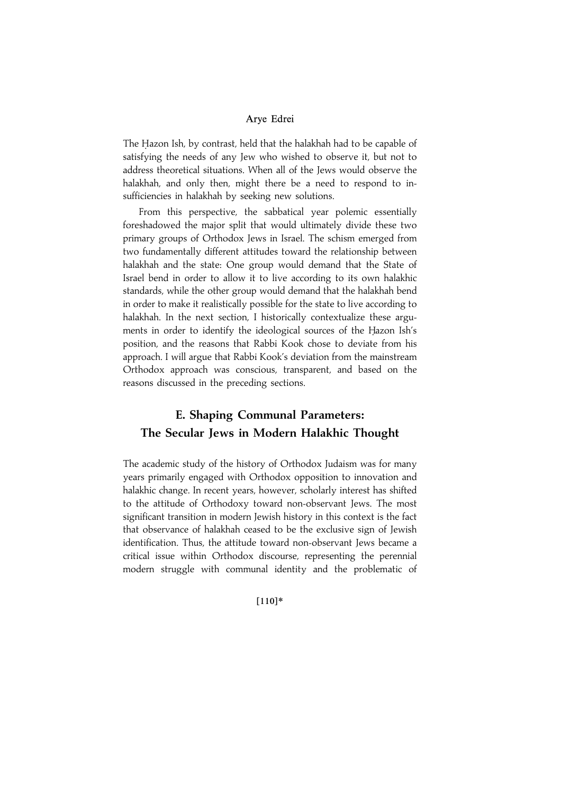The Hazon Ish, by contrast, held that the halakhah had to be capable of satisfying the needs of any Jew who wished to observe it, but not to address theoretical situations. When all of the Jews would observe the halakhah, and only then, might there be a need to respond to insufficiencies in halakhah by seeking new solutions.

From this perspective, the sabbatical year polemic essentially foreshadowed the major split that would ultimately divide these two primary groups of Orthodox Jews in Israel. The schism emerged from two fundamentally different attitudes toward the relationship between halakhah and the state: One group would demand that the State of Israel bend in order to allow it to live according to its own halakhic standards, while the other group would demand that the halakhah bend in order to make it realistically possible for the state to live according to halakhah. In the next section, I historically contextualize these arguments in order to identify the ideological sources of the Hazon Ish's position, and the reasons that Rabbi Kook chose to deviate from his approach. I will argue that Rabbi Kook's deviation from the mainstream Orthodox approach was conscious, transparent, and based on the reasons discussed in the preceding sections.

# E. Shaping Communal Parameters: The Secular Jews in Modern Halakhic Thought

The academic study of the history of Orthodox Judaism was for many years primarily engaged with Orthodox opposition to innovation and halakhic change. In recent years, however, scholarly interest has shifted to the attitude of Orthodoxy toward non-observant Jews. The most significant transition in modern Jewish history in this context is the fact that observance of halakhah ceased to be the exclusive sign of Jewish identification. Thus, the attitude toward non-observant Jews became a critical issue within Orthodox discourse, representing the perennial modern struggle with communal identity and the problematic of

#### $[110]*$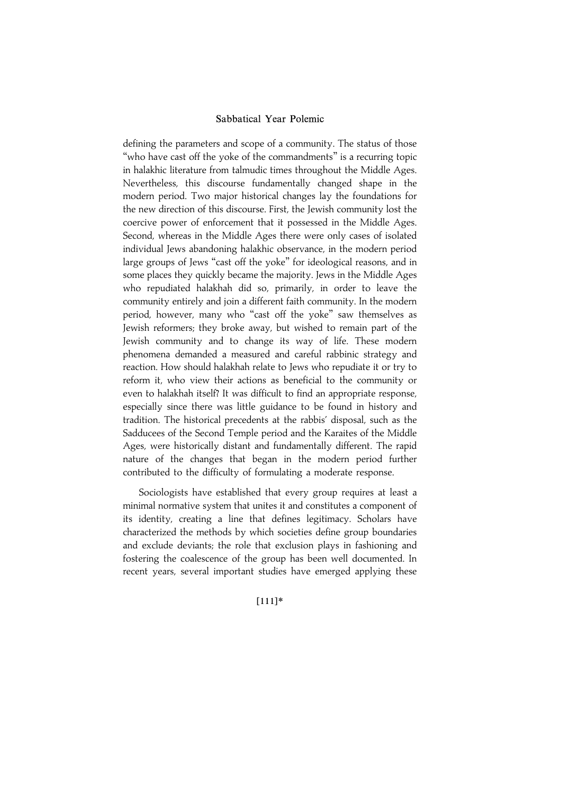defining the parameters and scope of a community. The status of those "who have cast off the yoke of the commandments" is a recurring topic in halakhic literature from talmudic times throughout the Middle Ages. Nevertheless, this discourse fundamentally changed shape in the modern period. Two major historical changes lay the foundations for the new direction of this discourse. First, the Jewish community lost the coercive power of enforcement that it possessed in the Middle Ages. Second, whereas in the Middle Ages there were only cases of isolated individual Jews abandoning halakhic observance, in the modern period large groups of Jews ''cast off the yoke'' for ideological reasons, and in some places they quickly became the majority. Jews in the Middle Ages who repudiated halakhah did so, primarily, in order to leave the community entirely and join a different faith community. In the modern period, however, many who ''cast off the yoke'' saw themselves as Jewish reformers; they broke away, but wished to remain part of the Jewish community and to change its way of life. These modern phenomena demanded a measured and careful rabbinic strategy and reaction. How should halakhah relate to Jews who repudiate it or try to reform it, who view their actions as beneficial to the community or even to halakhah itself? It was difficult to find an appropriate response, especially since there was little guidance to be found in history and tradition. The historical precedents at the rabbis' disposal, such as the Sadducees of the Second Temple period and the Karaites of the Middle Ages, were historically distant and fundamentally different. The rapid nature of the changes that began in the modern period further contributed to the difficulty of formulating a moderate response.

Sociologists have established that every group requires at least a minimal normative system that unites it and constitutes a component of its identity, creating a line that defines legitimacy. Scholars have characterized the methods by which societies define group boundaries and exclude deviants; the role that exclusion plays in fashioning and fostering the coalescence of the group has been well documented. In recent years, several important studies have emerged applying these

#### |111~\*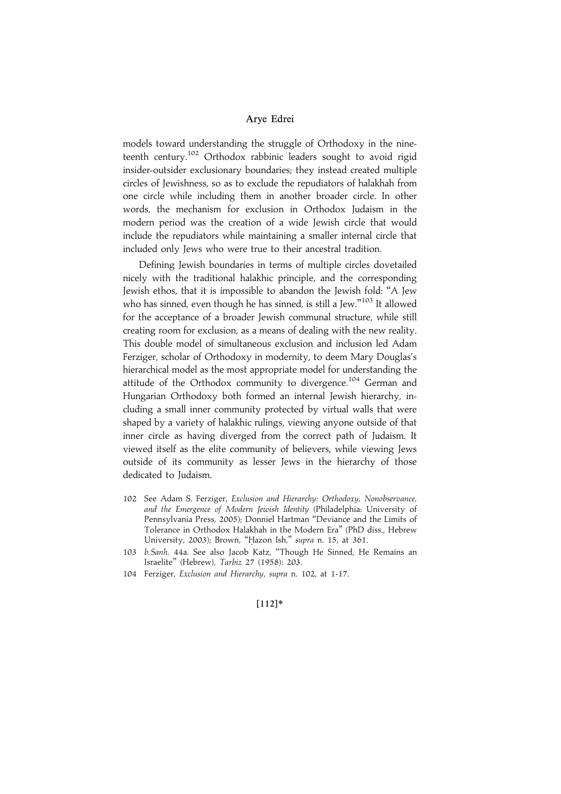models toward understanding the struggle of Orthodoxy in the nineteenth century.<sup>102</sup> Orthodox rabbinic leaders sought to avoid rigid insider-outsider exclusionary boundaries; they instead created multiple circles of Jewishness, so as to exclude the repudiators of halakhah from one circle while including them in another broader circle. In other words, the mechanism for exclusion in Orthodox Judaism in the modern period was the creation of a wide Jewish circle that would include the repudiators while maintaining a smaller internal circle that included only Jews who were true to their ancestral tradition.

Defining Jewish boundaries in terms of multiple circles dovetailed nicely with the traditional halakhic principle, and the corresponding Jewish ethos, that it is impossible to abandon the Jewish fold: ''A Jew who has sinned, even though he has sinned, is still a Jew."<sup>103</sup> It allowed for the acceptance of a broader Jewish communal structure, while still creating room for exclusion, as a means of dealing with the new reality. This double model of simultaneous exclusion and inclusion led Adam Ferziger, scholar of Orthodoxy in modernity, to deem Mary Douglas's hierarchical model as the most appropriate model for understanding the attitude of the Orthodox community to divergence.<sup>104</sup> German and Hungarian Orthodoxy both formed an internal Jewish hierarchy, including a small inner community protected by virtual walls that were shaped by a variety of halakhic rulings, viewing anyone outside of that inner circle as having diverged from the correct path of Judaism. It viewed itself as the elite community of believers, while viewing Jews outside of its community as lesser Jews in the hierarchy of those dedicated to Judaism.

- 102 See Adam S. Ferziger, Exclusion and Hierarchy: Orthodoxy, Nonobservance, and the Emergence of Modern Jewish Identity (Philadelphia: University of Pennsylvania Press, 2005); Donniel Hartman ''Deviance and the Limits of Tolerance in Orthodox Halakhah in the Modern Era'' (PhD diss., Hebrew University, 2003); Brown, "Hazon Ish," supra n. 15, at 361.
- 103 b.Sanh. 44a. See also Jacob Katz, ''Though He Sinned, He Remains an Israelite'' (Hebrew), Tarbiz 27 (1958): 203.
- 104 Ferziger, Exclusion and Hierarchy, supra n. 102, at 1-17.

#### $[112]*$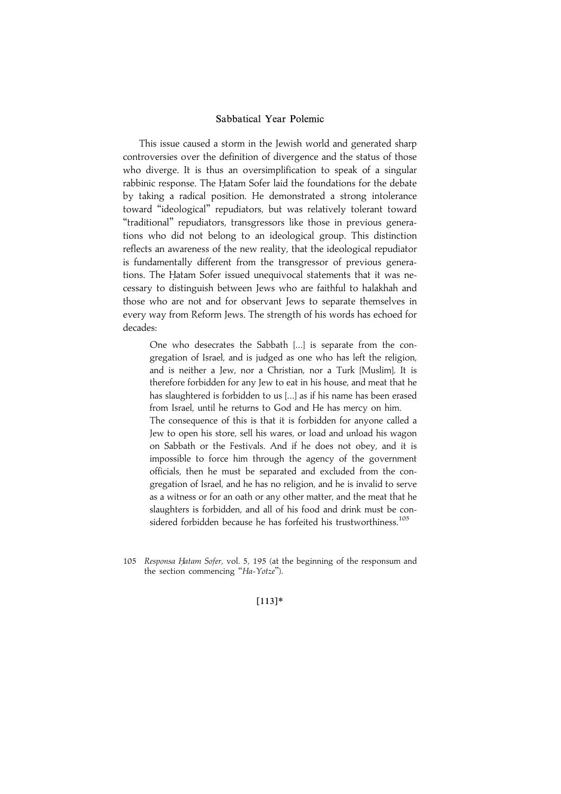This issue caused a storm in the Jewish world and generated sharp controversies over the definition of divergence and the status of those who diverge. It is thus an oversimplification to speak of a singular rabbinic response. The Hatam Sofer laid the foundations for the debate by taking a radical position. He demonstrated a strong intolerance toward ''ideological'' repudiators, but was relatively tolerant toward ''traditional'' repudiators, transgressors like those in previous generations who did not belong to an ideological group. This distinction reflects an awareness of the new reality, that the ideological repudiator is fundamentally different from the transgressor of previous generations. The Hatam Sofer issued unequivocal statements that it was necessary to distinguish between Jews who are faithful to halakhah and those who are not and for observant Jews to separate themselves in every way from Reform Jews. The strength of his words has echoed for decades:

One who desecrates the Sabbath [...] is separate from the congregation of Israel, and is judged as one who has left the religion, and is neither a Jew, nor a Christian, nor a Turk [Muslim]. It is therefore forbidden for any Jew to eat in his house, and meat that he has slaughtered is forbidden to us [...] as if his name has been erased from Israel, until he returns to God and He has mercy on him.

The consequence of this is that it is forbidden for anyone called a Jew to open his store, sell his wares, or load and unload his wagon on Sabbath or the Festivals. And if he does not obey, and it is impossible to force him through the agency of the government officials, then he must be separated and excluded from the congregation of Israel, and he has no religion, and he is invalid to serve as a witness or for an oath or any other matter, and the meat that he slaughters is forbidden, and all of his food and drink must be considered forbidden because he has forfeited his trustworthiness.<sup>105</sup>

105 Responsa Hatam Sofer, vol. 5, 195 (at the beginning of the responsum and the section commencing "Ha-Yotze").

#### |113~\*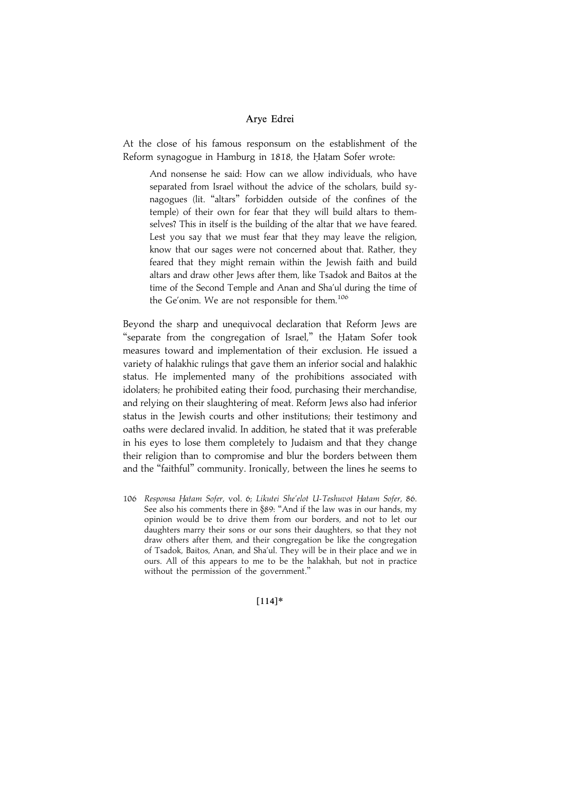At the close of his famous responsum on the establishment of the Reform synagogue in Hamburg in 1818, the Hatam Sofer wrote:

And nonsense he said: How can we allow individuals, who have separated from Israel without the advice of the scholars, build synagogues (lit. ''altars'' forbidden outside of the confines of the temple) of their own for fear that they will build altars to themselves? This in itself is the building of the altar that we have feared. Lest you say that we must fear that they may leave the religion, know that our sages were not concerned about that. Rather, they feared that they might remain within the Jewish faith and build altars and draw other Jews after them, like Tsadok and Baitos at the time of the Second Temple and Anan and Sha'ul during the time of the Ge'onim. We are not responsible for them.<sup>106</sup>

Beyond the sharp and unequivocal declaration that Reform Jews are "separate from the congregation of Israel," the Hatam Sofer took measures toward and implementation of their exclusion. He issued a variety of halakhic rulings that gave them an inferior social and halakhic status. He implemented many of the prohibitions associated with idolaters; he prohibited eating their food, purchasing their merchandise, and relying on their slaughtering of meat. Reform Jews also had inferior status in the Jewish courts and other institutions; their testimony and oaths were declared invalid. In addition, he stated that it was preferable in his eyes to lose them completely to Judaism and that they change their religion than to compromise and blur the borders between them and the ''faithful'' community. Ironically, between the lines he seems to

106 Responsa Hatam Sofer, vol. 6; Likutei She'elot U-Teshuvot Hatam Sofer, 86. See also his comments there in §89: ''And if the law was in our hands, my opinion would be to drive them from our borders, and not to let our daughters marry their sons or our sons their daughters, so that they not draw others after them, and their congregation be like the congregation of Tsadok, Baitos, Anan, and Sha'ul. They will be in their place and we in ours. All of this appears to me to be the halakhah, but not in practice without the permission of the government.''

 $[114]*$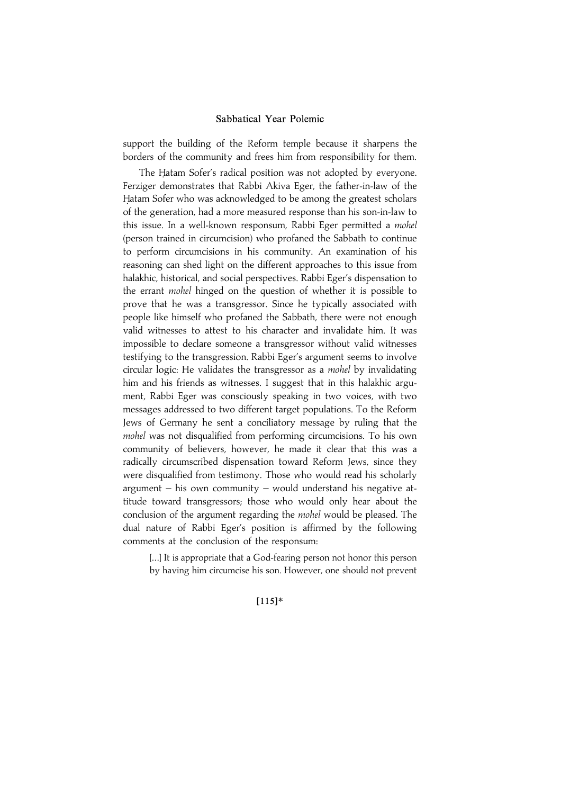support the building of the Reform temple because it sharpens the borders of the community and frees him from responsibility for them.

The Hatam Sofer's radical position was not adopted by everyone. Ferziger demonstrates that Rabbi Akiva Eger, the father-in-law of the Hatam Sofer who was acknowledged to be among the greatest scholars of the generation, had a more measured response than his son-in-law to this issue. In a well-known responsum, Rabbi Eger permitted a *mohel* (person trained in circumcision) who profaned the Sabbath to continue to perform circumcisions in his community. An examination of his reasoning can shed light on the different approaches to this issue from halakhic, historical, and social perspectives. Rabbi Eger's dispensation to the errant *mohel* hinged on the question of whether it is possible to prove that he was a transgressor. Since he typically associated with people like himself who profaned the Sabbath, there were not enough valid witnesses to attest to his character and invalidate him. It was impossible to declare someone a transgressor without valid witnesses testifying to the transgression. Rabbi Eger's argument seems to involve circular logic: He validates the transgressor as a mohel by invalidating him and his friends as witnesses. I suggest that in this halakhic argument, Rabbi Eger was consciously speaking in two voices, with two messages addressed to two different target populations. To the Reform Jews of Germany he sent a conciliatory message by ruling that the mohel was not disqualified from performing circumcisions. To his own community of believers, however, he made it clear that this was a radically circumscribed dispensation toward Reform Jews, since they were disqualified from testimony. Those who would read his scholarly argument – his own community – would understand his negative attitude toward transgressors; those who would only hear about the conclusion of the argument regarding the mohel would be pleased. The dual nature of Rabbi Eger's position is affirmed by the following comments at the conclusion of the responsum:

[...] It is appropriate that a God-fearing person not honor this person by having him circumcise his son. However, one should not prevent

#### $[115]*$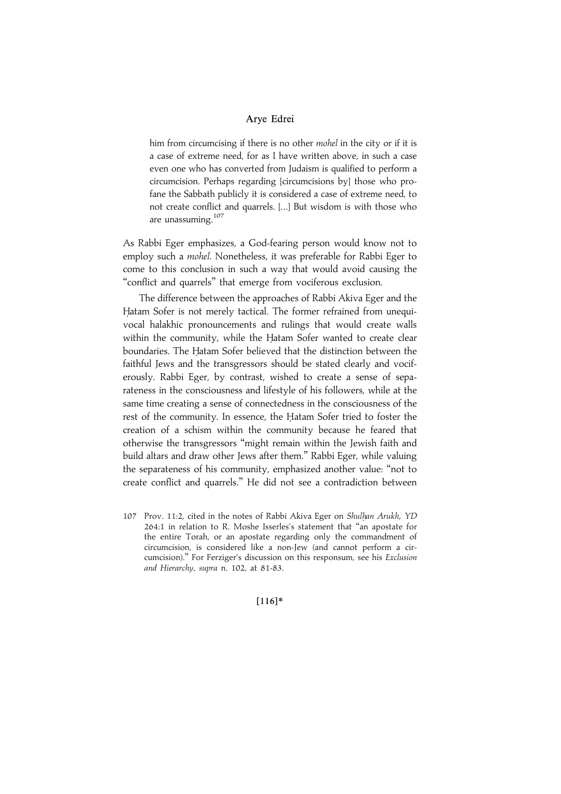him from circumcising if there is no other mohel in the city or if it is a case of extreme need, for as I have written above, in such a case even one who has converted from Judaism is qualified to perform a circumcision. Perhaps regarding [circumcisions by] those who profane the Sabbath publicly it is considered a case of extreme need, to not create conflict and quarrels. [...] But wisdom is with those who are unassuming.<sup>107</sup>

As Rabbi Eger emphasizes, a God-fearing person would know not to employ such a *mohel*. Nonetheless, it was preferable for Rabbi Eger to come to this conclusion in such a way that would avoid causing the ''conflict and quarrels'' that emerge from vociferous exclusion.

The difference between the approaches of Rabbi Akiva Eger and the Hatam Sofer is not merely tactical. The former refrained from unequivocal halakhic pronouncements and rulings that would create walls within the community, while the Hatam Sofer wanted to create clear boundaries. The Hatam Sofer believed that the distinction between the faithful Jews and the transgressors should be stated clearly and vociferously. Rabbi Eger, by contrast, wished to create a sense of separateness in the consciousness and lifestyle of his followers, while at the same time creating a sense of connectedness in the consciousness of the rest of the community. In essence, the Hatam Sofer tried to foster the creation of a schism within the community because he feared that otherwise the transgressors ''might remain within the Jewish faith and build altars and draw other Jews after them.'' Rabbi Eger, while valuing the separateness of his community, emphasized another value: ''not to create conflict and quarrels.'' He did not see a contradiction between

107 Prov. 11:2, cited in the notes of Rabbi Akiva Eger on Shulhan Arukh, YD 264:1 in relation to R. Moshe Isserles's statement that ''an apostate for the entire Torah, or an apostate regarding only the commandment of circumcision, is considered like a non-Jew (and cannot perform a circumcision).'' For Ferziger's discussion on this responsum, see his Exclusion and Hierarchy, supra n. 102, at 81-83.

 $[116]*$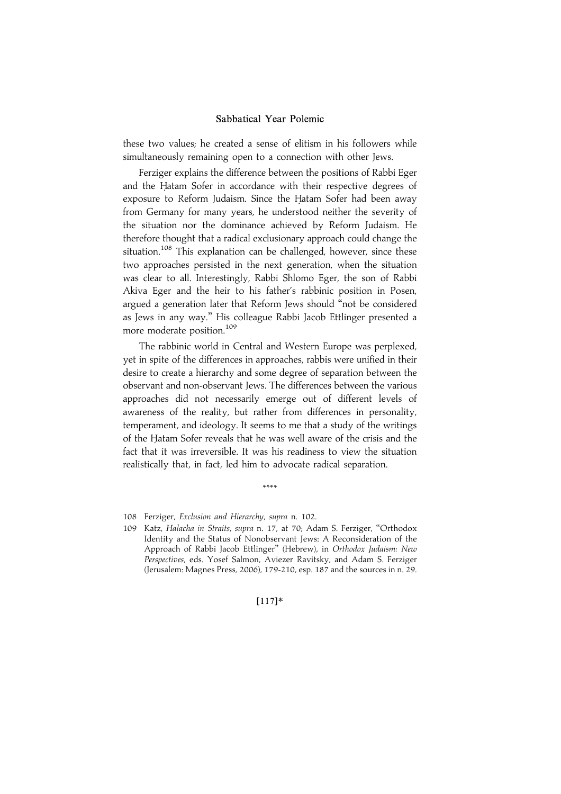these two values; he created a sense of elitism in his followers while simultaneously remaining open to a connection with other Jews.

Ferziger explains the difference between the positions of Rabbi Eger and the Hatam Sofer in accordance with their respective degrees of exposure to Reform Judaism. Since the Hatam Sofer had been away from Germany for many years, he understood neither the severity of the situation nor the dominance achieved by Reform Judaism. He therefore thought that a radical exclusionary approach could change the situation.<sup>108</sup> This explanation can be challenged, however, since these two approaches persisted in the next generation, when the situation was clear to all. Interestingly, Rabbi Shlomo Eger, the son of Rabbi Akiva Eger and the heir to his father's rabbinic position in Posen, argued a generation later that Reform Jews should ''not be considered as Jews in any way.'' His colleague Rabbi Jacob Ettlinger presented a more moderate position.<sup>109</sup>

The rabbinic world in Central and Western Europe was perplexed, yet in spite of the differences in approaches, rabbis were unified in their desire to create a hierarchy and some degree of separation between the observant and non-observant Jews. The differences between the various approaches did not necessarily emerge out of different levels of awareness of the reality, but rather from differences in personality, temperament, and ideology. It seems to me that a study of the writings of the Hatam Sofer reveals that he was well aware of the crisis and the fact that it was irreversible. It was his readiness to view the situation realistically that, in fact, led him to advocate radical separation.

\*\*\*\*

## $[117]*$

<sup>108</sup> Ferziger, Exclusion and Hierarchy, supra n. 102.

<sup>109</sup> Katz, Halacha in Straits, supra n. 17, at 70; Adam S. Ferziger, ''Orthodox Identity and the Status of Nonobservant Jews: A Reconsideration of the Approach of Rabbi Jacob Ettlinger'' (Hebrew), in Orthodox Judaism: New Perspectives, eds. Yosef Salmon, Aviezer Ravitsky, and Adam S. Ferziger (Jerusalem: Magnes Press, 2006), 179-210, esp. 187 and the sources in n. 29.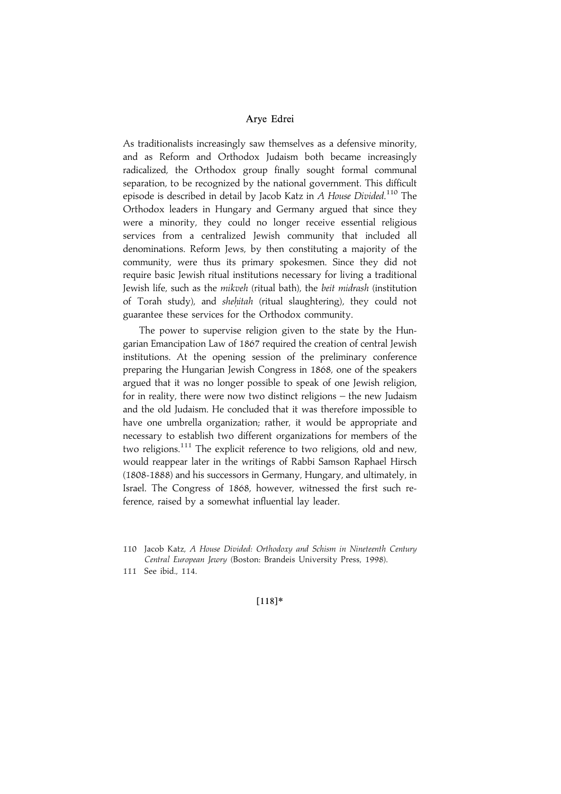As traditionalists increasingly saw themselves as a defensive minority, and as Reform and Orthodox Judaism both became increasingly radicalized, the Orthodox group finally sought formal communal separation, to be recognized by the national government. This difficult episode is described in detail by Jacob Katz in A House Divided.<sup>110</sup> The Orthodox leaders in Hungary and Germany argued that since they were a minority, they could no longer receive essential religious services from a centralized Jewish community that included all denominations. Reform Jews, by then constituting a majority of the community, were thus its primary spokesmen. Since they did not require basic Jewish ritual institutions necessary for living a traditional Jewish life, such as the mikveh (ritual bath), the beit midrash (institution of Torah study), and shehitah (ritual slaughtering), they could not guarantee these services for the Orthodox community.

The power to supervise religion given to the state by the Hungarian Emancipation Law of 1867 required the creation of central Jewish institutions. At the opening session of the preliminary conference preparing the Hungarian Jewish Congress in 1868, one of the speakers argued that it was no longer possible to speak of one Jewish religion, for in reality, there were now two distinct religions – the new Judaism and the old Judaism. He concluded that it was therefore impossible to have one umbrella organization; rather, it would be appropriate and necessary to establish two different organizations for members of the two religions.<sup>111</sup> The explicit reference to two religions, old and new, would reappear later in the writings of Rabbi Samson Raphael Hirsch (1808-1888) and his successors in Germany, Hungary, and ultimately, in Israel. The Congress of 1868, however, witnessed the first such reference, raised by a somewhat influential lay leader.

111 See ibid., 114.

 $[118]*$ 

<sup>110</sup> Jacob Katz, A House Divided: Orthodoxy and Schism in Nineteenth Century Central European Jewry (Boston: Brandeis University Press, 1998).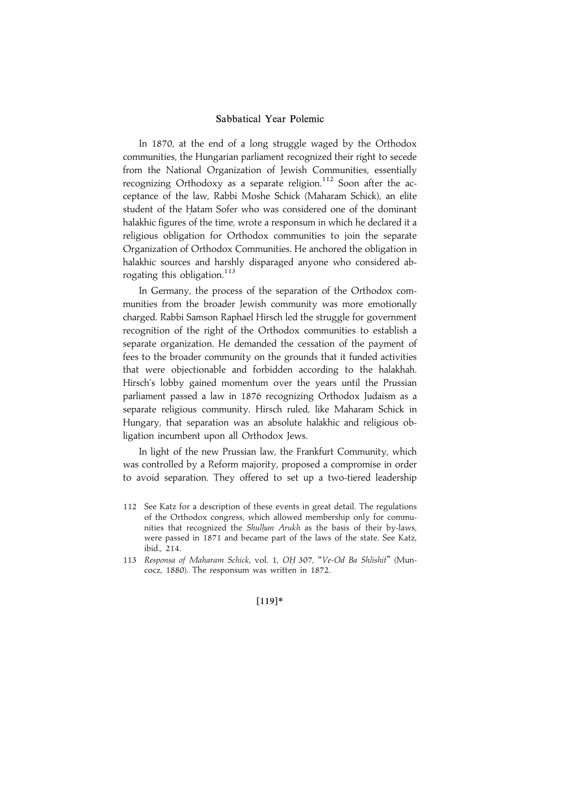In 1870, at the end of a long struggle waged by the Orthodox communities, the Hungarian parliament recognized their right to secede from the National Organization of Jewish Communities, essentially recognizing Orthodoxy as a separate religion.<sup>112</sup> Soon after the acceptance of the law, Rabbi Moshe Schick (Maharam Schick), an elite student of the Hatam Sofer who was considered one of the dominant halakhic figures of the time, wrote a responsum in which he declared it a religious obligation for Orthodox communities to join the separate Organization of Orthodox Communities. He anchored the obligation in halakhic sources and harshly disparaged anyone who considered abrogating this obligation.<sup>113</sup>

In Germany, the process of the separation of the Orthodox communities from the broader Jewish community was more emotionally charged. Rabbi Samson Raphael Hirsch led the struggle for government recognition of the right of the Orthodox communities to establish a separate organization. He demanded the cessation of the payment of fees to the broader community on the grounds that it funded activities that were objectionable and forbidden according to the halakhah. Hirsch's lobby gained momentum over the years until the Prussian parliament passed a law in 1876 recognizing Orthodox Judaism as a separate religious community. Hirsch ruled, like Maharam Schick in Hungary, that separation was an absolute halakhic and religious obligation incumbent upon all Orthodox Jews.

In light of the new Prussian law, the Frankfurt Community, which was controlled by a Reform majority, proposed a compromise in order to avoid separation. They offered to set up a two-tiered leadership

- 112 See Katz for a description of these events in great detail. The regulations of the Orthodox congress, which allowed membership only for communities that recognized the Shulhan Arukh as the basis of their by-laws, were passed in 1871 and became part of the laws of the state. See Katz, ibid., 214.
- 113 Responsa of Maharam Schick, vol. 1, OH. 307, ''Ve-Od Ba Shlishit'' (Muncocz, 1880). The responsum was written in 1872.

#### $[119]*$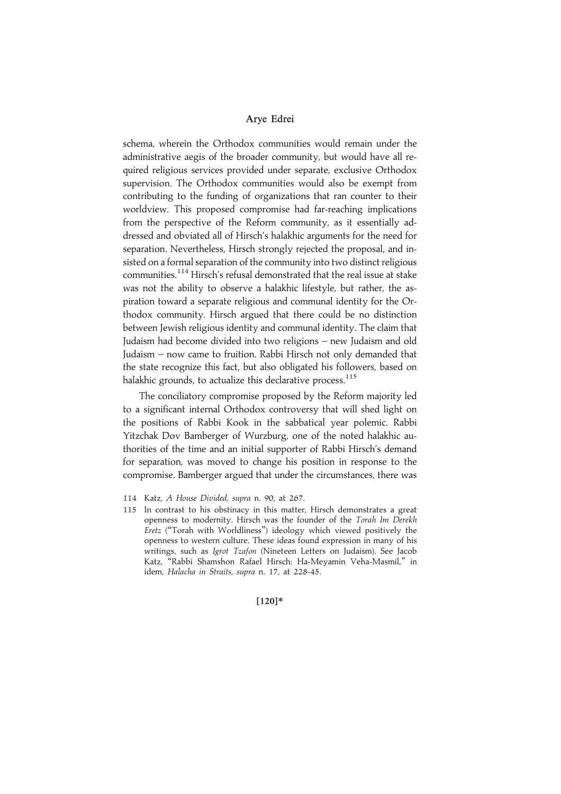schema, wherein the Orthodox communities would remain under the administrative aegis of the broader community, but would have all required religious services provided under separate, exclusive Orthodox supervision. The Orthodox communities would also be exempt from contributing to the funding of organizations that ran counter to their worldview. This proposed compromise had far-reaching implications from the perspective of the Reform community, as it essentially addressed and obviated all of Hirsch's halakhic arguments for the need for separation. Nevertheless, Hirsch strongly rejected the proposal, and insisted on a formal separation of the community into two distinct religious communities.114 Hirsch's refusal demonstrated that the real issue at stake was not the ability to observe a halakhic lifestyle, but rather, the aspiration toward a separate religious and communal identity for the Orthodox community. Hirsch argued that there could be no distinction between Jewish religious identity and communal identity. The claim that Judaism had become divided into two religions – new Judaism and old Judaism – now came to fruition. Rabbi Hirsch not only demanded that the state recognize this fact, but also obligated his followers, based on halakhic grounds, to actualize this declarative process.<sup>115</sup>

The conciliatory compromise proposed by the Reform majority led to a significant internal Orthodox controversy that will shed light on the positions of Rabbi Kook in the sabbatical year polemic. Rabbi Yitzchak Dov Bamberger of Wurzburg, one of the noted halakhic authorities of the time and an initial supporter of Rabbi Hirsch's demand for separation, was moved to change his position in response to the compromise. Bamberger argued that under the circumstances, there was

 $[120]*$ 

<sup>114</sup> Katz, A House Divided, supra n. 90, at 267.

<sup>115</sup> In contrast to his obstinacy in this matter, Hirsch demonstrates a great openness to modernity. Hirsch was the founder of the Torah Im Derekh Eretz (''Torah with Worldliness'') ideology which viewed positively the openness to western culture. These ideas found expression in many of his writings, such as Igrot Tzafon (Nineteen Letters on Judaism). See Jacob Katz, ''Rabbi Shamshon Rafael Hirsch: Ha-Meyamin Veha-Masmil,'' in idem, Halacha in Straits, supra n. 17, at 228-45.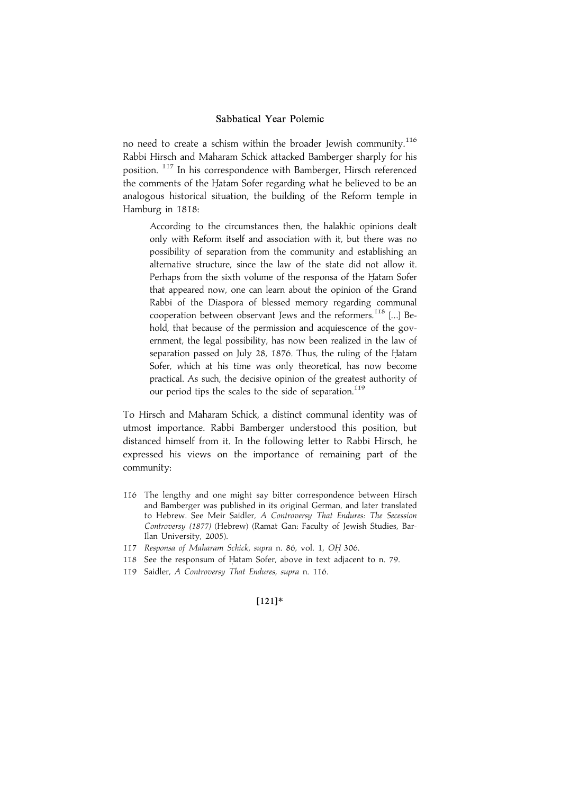no need to create a schism within the broader Jewish community.<sup>116</sup> Rabbi Hirsch and Maharam Schick attacked Bamberger sharply for his position. <sup>117</sup> In his correspondence with Bamberger, Hirsch referenced the comments of the Hatam Sofer regarding what he believed to be an analogous historical situation, the building of the Reform temple in Hamburg in 1818:

According to the circumstances then, the halakhic opinions dealt only with Reform itself and association with it, but there was no possibility of separation from the community and establishing an alternative structure, since the law of the state did not allow it. Perhaps from the sixth volume of the responsa of the Hatam Sofer that appeared now, one can learn about the opinion of the Grand Rabbi of the Diaspora of blessed memory regarding communal cooperation between observant Jews and the reformers.<sup>118</sup> [...] Behold, that because of the permission and acquiescence of the government, the legal possibility, has now been realized in the law of separation passed on July 28, 1876. Thus, the ruling of the Hatam Sofer, which at his time was only theoretical, has now become practical. As such, the decisive opinion of the greatest authority of our period tips the scales to the side of separation.<sup>119</sup>

To Hirsch and Maharam Schick, a distinct communal identity was of utmost importance. Rabbi Bamberger understood this position, but distanced himself from it. In the following letter to Rabbi Hirsch, he expressed his views on the importance of remaining part of the community:

- 116 The lengthy and one might say bitter correspondence between Hirsch and Bamberger was published in its original German, and later translated to Hebrew. See Meir Saidler, A Controversy That Endures: The Secession Controversy (1877) (Hebrew) (Ramat Gan: Faculty of Jewish Studies, Bar-Ilan University, 2005).
- 117 Responsa of Maharam Schick, supra n. 86, vol. 1, OH. 306.
- 118 See the responsum of Hatam Sofer, above in text adjacent to n. 79.
- 119 Saidler, A Controversy That Endures, supra n. 116.

## $[121]*$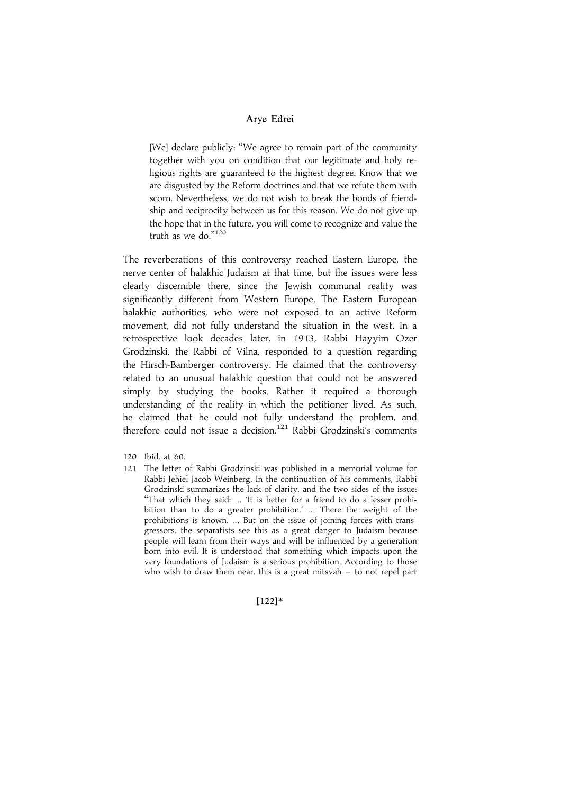[We] declare publicly: "We agree to remain part of the community together with you on condition that our legitimate and holy religious rights are guaranteed to the highest degree. Know that we are disgusted by the Reform doctrines and that we refute them with scorn. Nevertheless, we do not wish to break the bonds of friendship and reciprocity between us for this reason. We do not give up the hope that in the future, you will come to recognize and value the truth as we do."<sup>120</sup>

The reverberations of this controversy reached Eastern Europe, the nerve center of halakhic Judaism at that time, but the issues were less clearly discernible there, since the Jewish communal reality was significantly different from Western Europe. The Eastern European halakhic authorities, who were not exposed to an active Reform movement, did not fully understand the situation in the west. In a retrospective look decades later, in 1913, Rabbi Hayyim Ozer Grodzinski, the Rabbi of Vilna, responded to a question regarding the Hirsch-Bamberger controversy. He claimed that the controversy related to an unusual halakhic question that could not be answered simply by studying the books. Rather it required a thorough understanding of the reality in which the petitioner lived. As such, he claimed that he could not fully understand the problem, and therefore could not issue a decision.<sup>121</sup> Rabbi Grodzinski's comments

- 120 Ibid. at 60.
- 121 The letter of Rabbi Grodzinski was published in a memorial volume for Rabbi Jehiel Jacob Weinberg. In the continuation of his comments, Rabbi Grodzinski summarizes the lack of clarity, and the two sides of the issue: "That which they said: ... 'It is better for a friend to do a lesser prohibition than to do a greater prohibition.' ... There the weight of the prohibitions is known. ... But on the issue of joining forces with transgressors, the separatists see this as a great danger to Judaism because people will learn from their ways and will be influenced by a generation born into evil. It is understood that something which impacts upon the very foundations of Judaism is a serious prohibition. According to those who wish to draw them near, this is a great mitsvah  $-$  to not repel part

#### $[122]*$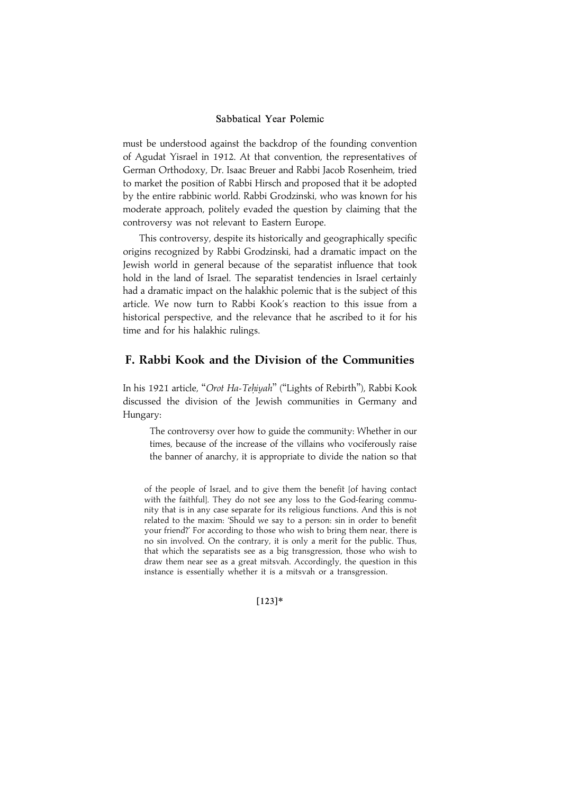must be understood against the backdrop of the founding convention of Agudat Yisrael in 1912. At that convention, the representatives of German Orthodoxy, Dr. Isaac Breuer and Rabbi Jacob Rosenheim, tried to market the position of Rabbi Hirsch and proposed that it be adopted by the entire rabbinic world. Rabbi Grodzinski, who was known for his moderate approach, politely evaded the question by claiming that the controversy was not relevant to Eastern Europe.

This controversy, despite its historically and geographically specific origins recognized by Rabbi Grodzinski, had a dramatic impact on the Jewish world in general because of the separatist influence that took hold in the land of Israel. The separatist tendencies in Israel certainly had a dramatic impact on the halakhic polemic that is the subject of this article. We now turn to Rabbi Kook's reaction to this issue from a historical perspective, and the relevance that he ascribed to it for his time and for his halakhic rulings.

# F. Rabbi Kook and the Division of the Communities

In his 1921 article, "Orot Ha-Tehiyah" ("Lights of Rebirth"), Rabbi Kook discussed the division of the Jewish communities in Germany and Hungary:

The controversy over how to guide the community: Whether in our times, because of the increase of the villains who vociferously raise the banner of anarchy, it is appropriate to divide the nation so that

of the people of Israel, and to give them the benefit [of having contact with the faithful]. They do not see any loss to the God-fearing community that is in any case separate for its religious functions. And this is not related to the maxim: 'Should we say to a person: sin in order to benefit your friend?' For according to those who wish to bring them near, there is no sin involved. On the contrary, it is only a merit for the public. Thus, that which the separatists see as a big transgression, those who wish to draw them near see as a great mitsvah. Accordingly, the question in this instance is essentially whether it is a mitsvah or a transgression.

 $[123]*$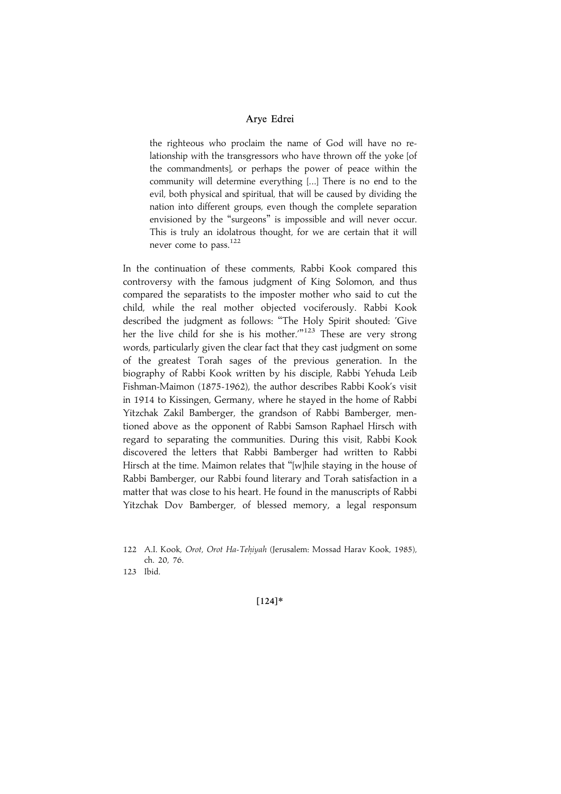the righteous who proclaim the name of God will have no relationship with the transgressors who have thrown off the yoke [of the commandments], or perhaps the power of peace within the community will determine everything [...] There is no end to the evil, both physical and spiritual, that will be caused by dividing the nation into different groups, even though the complete separation envisioned by the ''surgeons'' is impossible and will never occur. This is truly an idolatrous thought, for we are certain that it will never come to pass.<sup>122</sup>

In the continuation of these comments, Rabbi Kook compared this controversy with the famous judgment of King Solomon, and thus compared the separatists to the imposter mother who said to cut the child, while the real mother objected vociferously. Rabbi Kook described the judgment as follows: ''The Holy Spirit shouted: 'Give her the live child for she is his mother.<sup>"123</sup> These are very strong words, particularly given the clear fact that they cast judgment on some of the greatest Torah sages of the previous generation. In the biography of Rabbi Kook written by his disciple, Rabbi Yehuda Leib Fishman-Maimon (1875-1962), the author describes Rabbi Kook's visit in 1914 to Kissingen, Germany, where he stayed in the home of Rabbi Yitzchak Zakil Bamberger, the grandson of Rabbi Bamberger, mentioned above as the opponent of Rabbi Samson Raphael Hirsch with regard to separating the communities. During this visit, Rabbi Kook discovered the letters that Rabbi Bamberger had written to Rabbi Hirsch at the time. Maimon relates that ''[w]hile staying in the house of Rabbi Bamberger, our Rabbi found literary and Torah satisfaction in a matter that was close to his heart. He found in the manuscripts of Rabbi Yitzchak Dov Bamberger, of blessed memory, a legal responsum

 $[124]*$ 

<sup>122</sup> A.I. Kook, Orot, Orot Ha-Tehiyah (Jerusalem: Mossad Harav Kook, 1985), ch. 20, 76.

<sup>123</sup> Ibid.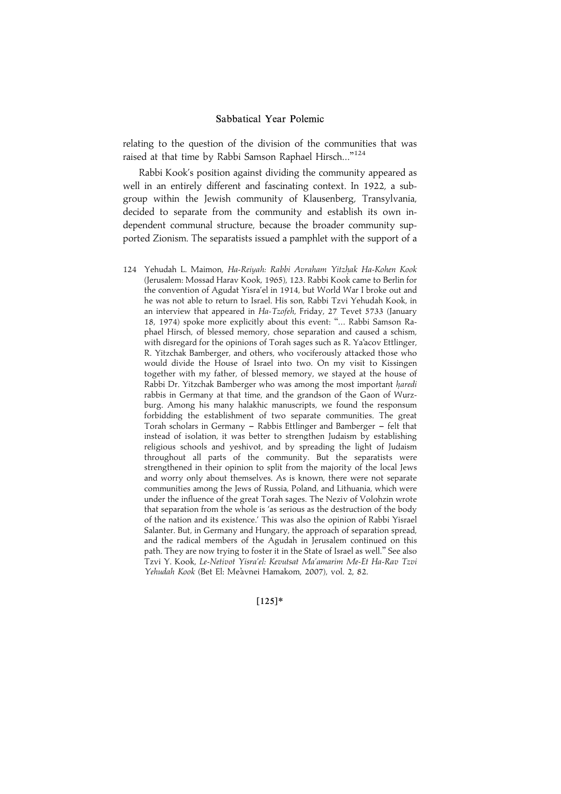relating to the question of the division of the communities that was raised at that time by Rabbi Samson Raphael Hirsch...'' 124

Rabbi Kook's position against dividing the community appeared as well in an entirely different and fascinating context. In 1922, a subgroup within the Jewish community of Klausenberg, Transylvania, decided to separate from the community and establish its own independent communal structure, because the broader community supported Zionism. The separatists issued a pamphlet with the support of a

124 Yehudah L. Maimon, Ha-Reiyah: Rabbi Avraham Yitzhak Ha-Kohen Kook (Jerusalem: Mossad Harav Kook, 1965), 123. Rabbi Kook came to Berlin for the convention of Agudat Yisra'el in 1914, but World War I broke out and he was not able to return to Israel. His son, Rabbi Tzvi Yehudah Kook, in an interview that appeared in Ha-Tzofeh, Friday, 27 Tevet 5733 (January 18, 1974) spoke more explicitly about this event: ''... Rabbi Samson Raphael Hirsch, of blessed memory, chose separation and caused a schism, with disregard for the opinions of Torah sages such as R. Ya'acov Ettlinger, R. Yitzchak Bamberger, and others, who vociferously attacked those who would divide the House of Israel into two. On my visit to Kissingen together with my father, of blessed memory, we stayed at the house of Rabbi Dr. Yitzchak Bamberger who was among the most important haredi rabbis in Germany at that time, and the grandson of the Gaon of Wurzburg. Among his many halakhic manuscripts, we found the responsum forbidding the establishment of two separate communities. The great Torah scholars in Germany - Rabbis Ettlinger and Bamberger - felt that instead of isolation, it was better to strengthen Judaism by establishing religious schools and yeshivot, and by spreading the light of Judaism throughout all parts of the community. But the separatists were strengthened in their opinion to split from the majority of the local Jews and worry only about themselves. As is known, there were not separate communities among the Jews of Russia, Poland, and Lithuania, which were under the influence of the great Torah sages. The Neziv of Volohzin wrote that separation from the whole is 'as serious as the destruction of the body of the nation and its existence.' This was also the opinion of Rabbi Yisrael Salanter. But, in Germany and Hungary, the approach of separation spread, and the radical members of the Agudah in Jerusalem continued on this path. They are now trying to foster it in the State of Israel as well.'' See also Tzvi Y. Kook, Le-Netivot Yisra'el: Kevutsat Ma'amarim Me-Et Ha-Rav Tzvi Yehudah Kook (Bet El: Me'avnei Hamakom, 2007), vol. 2, 82.

 $[125]*$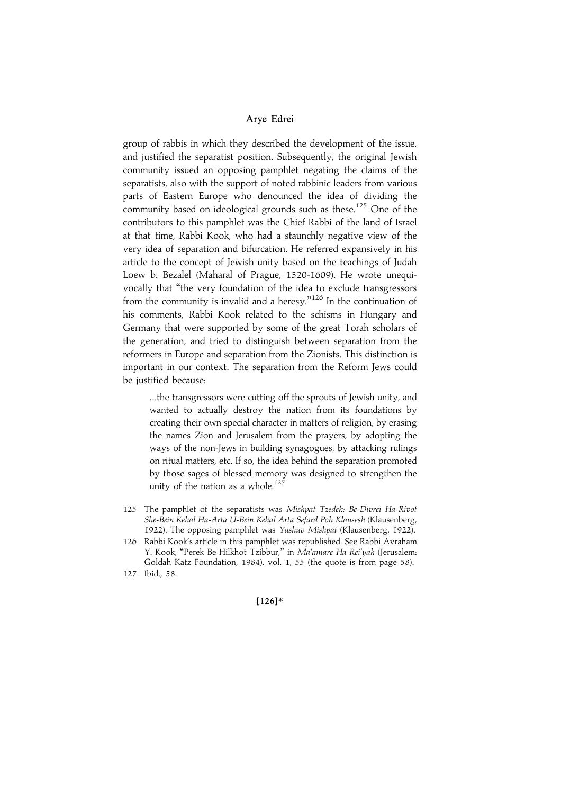group of rabbis in which they described the development of the issue, and justified the separatist position. Subsequently, the original Jewish community issued an opposing pamphlet negating the claims of the separatists, also with the support of noted rabbinic leaders from various parts of Eastern Europe who denounced the idea of dividing the community based on ideological grounds such as these.<sup>125</sup> One of the contributors to this pamphlet was the Chief Rabbi of the land of Israel at that time, Rabbi Kook, who had a staunchly negative view of the very idea of separation and bifurcation. He referred expansively in his article to the concept of Jewish unity based on the teachings of Judah Loew b. Bezalel (Maharal of Prague, 1520-1609). He wrote unequivocally that ''the very foundation of the idea to exclude transgressors from the community is invalid and a heresy."<sup>126</sup> In the continuation of his comments, Rabbi Kook related to the schisms in Hungary and Germany that were supported by some of the great Torah scholars of the generation, and tried to distinguish between separation from the reformers in Europe and separation from the Zionists. This distinction is important in our context. The separation from the Reform Jews could be justified because:

...the transgressors were cutting off the sprouts of Jewish unity, and wanted to actually destroy the nation from its foundations by creating their own special character in matters of religion, by erasing the names Zion and Jerusalem from the prayers, by adopting the ways of the non-Jews in building synagogues, by attacking rulings on ritual matters, etc. If so, the idea behind the separation promoted by those sages of blessed memory was designed to strengthen the unity of the nation as a whole. $127$ 

- 125 The pamphlet of the separatists was Mishpat Tzedek: Be-Divrei Ha-Rivot She-Bein Kehal Ha-Arta U-Bein Kehal Arta Sefard Poh Klausesh (Klausenberg, 1922). The opposing pamphlet was Yashuv Mishpat (Klausenberg, 1922).
- 126 Rabbi Kook's article in this pamphlet was republished. See Rabbi Avraham Y. Kook, "Perek Be-Hilkhot Tzibbur," in Ma'amare Ha-Rei'yah (Jerusalem: Goldah Katz Foundation, 1984), vol. 1, 55 (the quote is from page 58).
- 127 Ibid., 58.

## $[126]*$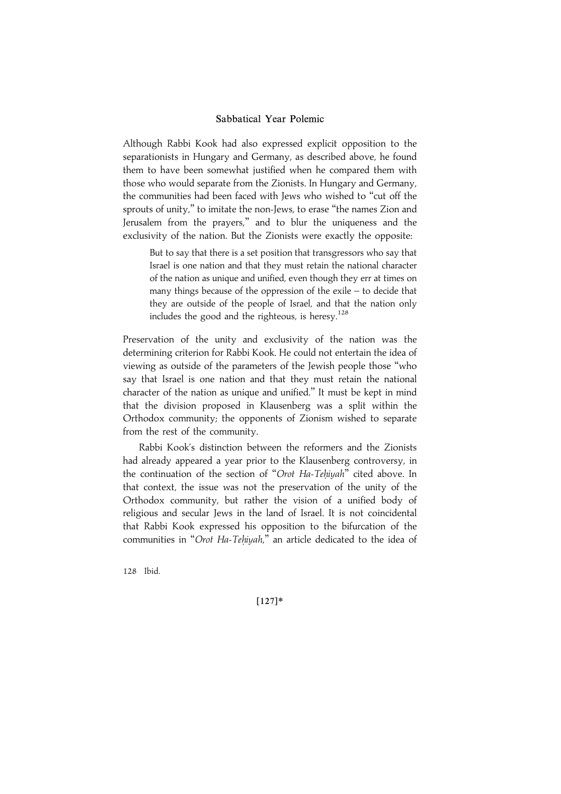Although Rabbi Kook had also expressed explicit opposition to the separationists in Hungary and Germany, as described above, he found them to have been somewhat justified when he compared them with those who would separate from the Zionists. In Hungary and Germany, the communities had been faced with Jews who wished to ''cut off the sprouts of unity," to imitate the non-Jews, to erase "the names Zion and Jerusalem from the prayers,'' and to blur the uniqueness and the exclusivity of the nation. But the Zionists were exactly the opposite:

But to say that there is a set position that transgressors who say that Israel is one nation and that they must retain the national character of the nation as unique and unified, even though they err at times on many things because of the oppression of the exile – to decide that they are outside of the people of Israel, and that the nation only includes the good and the righteous, is heresy.<sup>128</sup>

Preservation of the unity and exclusivity of the nation was the determining criterion for Rabbi Kook. He could not entertain the idea of viewing as outside of the parameters of the Jewish people those ''who say that Israel is one nation and that they must retain the national character of the nation as unique and unified.'' It must be kept in mind that the division proposed in Klausenberg was a split within the Orthodox community; the opponents of Zionism wished to separate from the rest of the community.

Rabbi Kook's distinction between the reformers and the Zionists had already appeared a year prior to the Klausenberg controversy, in the continuation of the section of "Orot Ha-Tehiyah" cited above. In that context, the issue was not the preservation of the unity of the Orthodox community, but rather the vision of a unified body of religious and secular Jews in the land of Israel. It is not coincidental that Rabbi Kook expressed his opposition to the bifurcation of the communities in "Orot Ha-Tehiyah," an article dedicated to the idea of

128 Ibid.

 $[127]*$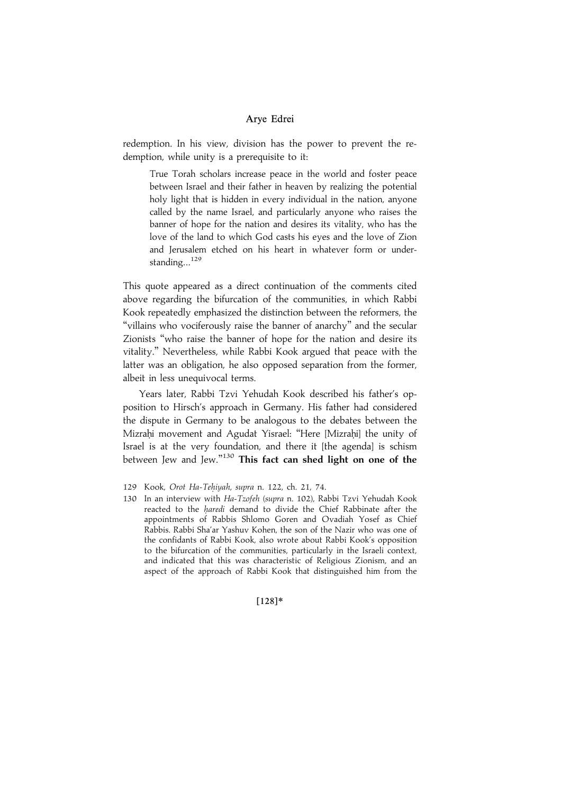redemption. In his view, division has the power to prevent the redemption, while unity is a prerequisite to it:

True Torah scholars increase peace in the world and foster peace between Israel and their father in heaven by realizing the potential holy light that is hidden in every individual in the nation, anyone called by the name Israel, and particularly anyone who raises the banner of hope for the nation and desires its vitality, who has the love of the land to which God casts his eyes and the love of Zion and Jerusalem etched on his heart in whatever form or understanding... $^{129}$ 

This quote appeared as a direct continuation of the comments cited above regarding the bifurcation of the communities, in which Rabbi Kook repeatedly emphasized the distinction between the reformers, the ''villains who vociferously raise the banner of anarchy'' and the secular Zionists ''who raise the banner of hope for the nation and desire its vitality.'' Nevertheless, while Rabbi Kook argued that peace with the latter was an obligation, he also opposed separation from the former, albeit in less unequivocal terms.

Years later, Rabbi Tzvi Yehudah Kook described his father's opposition to Hirsch's approach in Germany. His father had considered the dispute in Germany to be analogous to the debates between the Mizrahi movement and Agudat Yisrael: "Here [Mizrahi] the unity of Israel is at the very foundation, and there it [the agenda] is schism between Jew and Jew."<sup>130</sup> This fact can shed light on one of the

 $[128]*$ 

<sup>129</sup> Kook, Orot Ha-Tehiyah, supra n. 122, ch. 21, 74.

<sup>130</sup> In an interview with Ha-Tzofeh (supra n. 102), Rabbi Tzvi Yehudah Kook reacted to the haredi demand to divide the Chief Rabbinate after the appointments of Rabbis Shlomo Goren and Ovadiah Yosef as Chief Rabbis. Rabbi Sha'ar Yashuv Kohen, the son of the Nazir who was one of the confidants of Rabbi Kook, also wrote about Rabbi Kook's opposition to the bifurcation of the communities, particularly in the Israeli context, and indicated that this was characteristic of Religious Zionism, and an aspect of the approach of Rabbi Kook that distinguished him from the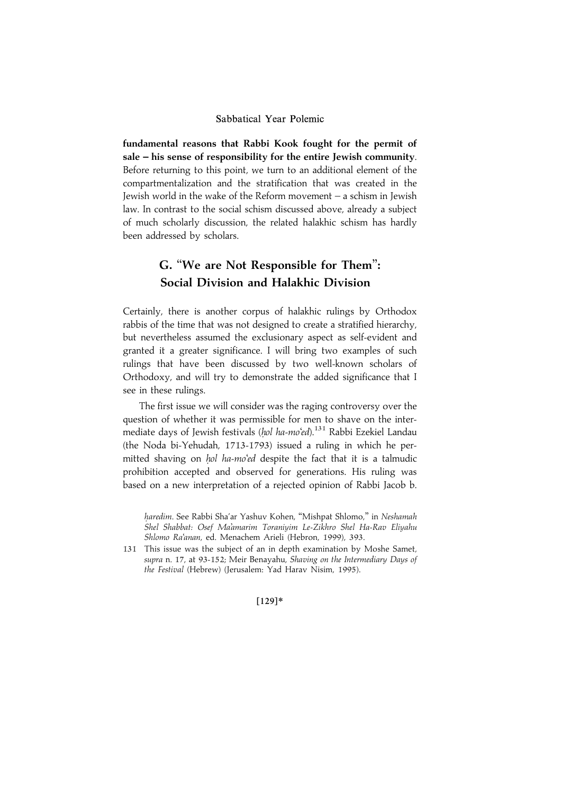fundamental reasons that Rabbi Kook fought for the permit of sale – his sense of responsibility for the entire Jewish community. Before returning to this point, we turn to an additional element of the compartmentalization and the stratification that was created in the Jewish world in the wake of the Reform movement – a schism in Jewish law. In contrast to the social schism discussed above, already a subject of much scholarly discussion, the related halakhic schism has hardly been addressed by scholars.

# G. ''We are Not Responsible for Them'': Social Division and Halakhic Division

Certainly, there is another corpus of halakhic rulings by Orthodox rabbis of the time that was not designed to create a stratified hierarchy, but nevertheless assumed the exclusionary aspect as self-evident and granted it a greater significance. I will bring two examples of such rulings that have been discussed by two well-known scholars of Orthodoxy, and will try to demonstrate the added significance that I see in these rulings.

The first issue we will consider was the raging controversy over the question of whether it was permissible for men to shave on the intermediate days of Jewish festivals (hol ha-mo'ed).<sup>131</sup> Rabbi Ezekiel Landau (the Noda bi-Yehudah, 1713-1793) issued a ruling in which he permitted shaving on hol ha-mo'ed despite the fact that it is a talmudic prohibition accepted and observed for generations. His ruling was based on a new interpretation of a rejected opinion of Rabbi Jacob b.

haredim. See Rabbi Sha'ar Yashuv Kohen, "Mishpat Shlomo," in Neshamah Shel Shabbat: Osef Ma'amarim Toraniyim Le-Zikhro Shel Ha-Rav Eliyahu Shlomo Ra'anan, ed. Menachem Arieli (Hebron, 1999), 393.

131 This issue was the subject of an in depth examination by Moshe Samet, supra n. 17, at 93-152; Meir Benayahu, Shaving on the Intermediary Days of the Festival (Hebrew) (Jerusalem: Yad Harav Nisim, 1995).

 $[129]*$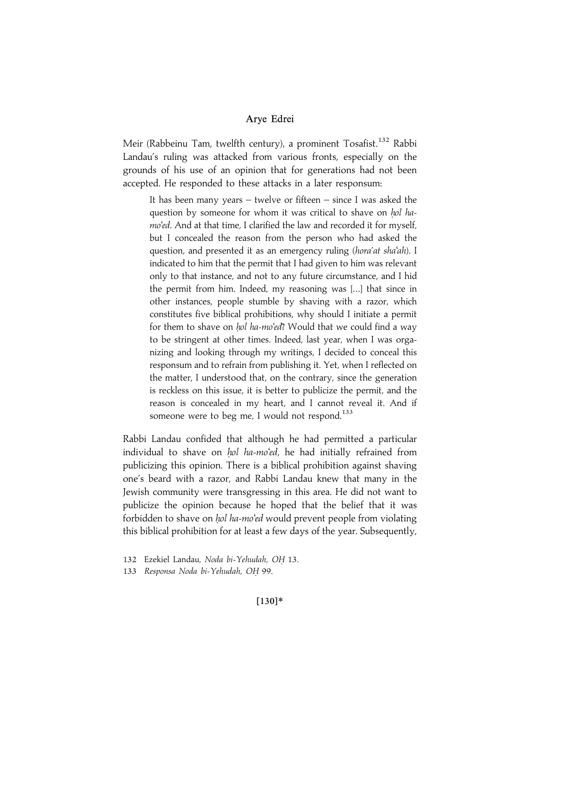Meir (Rabbeinu Tam, twelfth century), a prominent Tosafist.<sup>132</sup> Rabbi Landau's ruling was attacked from various fronts, especially on the grounds of his use of an opinion that for generations had not been accepted. He responded to these attacks in a later responsum:

It has been many years – twelve or fifteen – since I was asked the question by someone for whom it was critical to shave on hol hamo'ed. And at that time, I clarified the law and recorded it for myself, but I concealed the reason from the person who had asked the question, and presented it as an emergency ruling (hora'at sha'ah). I indicated to him that the permit that I had given to him was relevant only to that instance, and not to any future circumstance, and I hid the permit from him. Indeed, my reasoning was [...] that since in other instances, people stumble by shaving with a razor, which constitutes five biblical prohibitions, why should I initiate a permit for them to shave on hol ha-mo'ed? Would that we could find a way to be stringent at other times. Indeed, last year, when I was organizing and looking through my writings, I decided to conceal this responsum and to refrain from publishing it. Yet, when I reflected on the matter, I understood that, on the contrary, since the generation is reckless on this issue, it is better to publicize the permit, and the reason is concealed in my heart, and I cannot reveal it. And if someone were to beg me, I would not respond. $133$ 

Rabbi Landau confided that although he had permitted a particular individual to shave on hol ha-mo'ed, he had initially refrained from publicizing this opinion. There is a biblical prohibition against shaving one's beard with a razor, and Rabbi Landau knew that many in the Jewish community were transgressing in this area. He did not want to publicize the opinion because he hoped that the belief that it was forbidden to shave on hol ha-mo'ed would prevent people from violating this biblical prohibition for at least a few days of the year. Subsequently,

## $[130]*$

<sup>132</sup> Ezekiel Landau, Noda bi-Yehudah, OH 13.

<sup>133</sup> Responsa Noda bi-Yehudah, OH 99.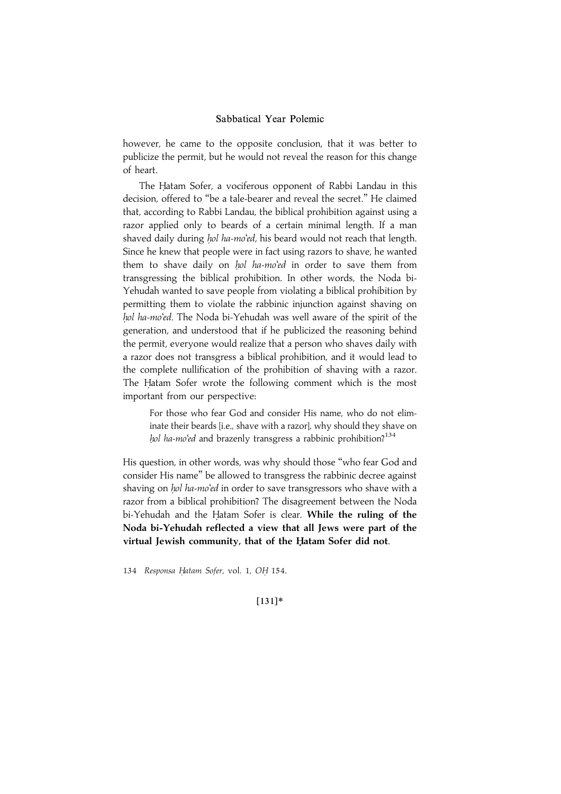however, he came to the opposite conclusion, that it was better to publicize the permit, but he would not reveal the reason for this change of heart.

The Hatam Sofer, a vociferous opponent of Rabbi Landau in this decision, offered to ''be a tale-bearer and reveal the secret.'' He claimed that, according to Rabbi Landau, the biblical prohibition against using a razor applied only to beards of a certain minimal length. If a man shaved daily during hol ha-mo'ed, his beard would not reach that length. Since he knew that people were in fact using razors to shave, he wanted them to shave daily on hol ha-mo'ed in order to save them from transgressing the biblical prohibition. In other words, the Noda bi-Yehudah wanted to save people from violating a biblical prohibition by permitting them to violate the rabbinic injunction against shaving on hol ha-mo'ed. The Noda bi-Yehudah was well aware of the spirit of the generation, and understood that if he publicized the reasoning behind the permit, everyone would realize that a person who shaves daily with a razor does not transgress a biblical prohibition, and it would lead to the complete nullification of the prohibition of shaving with a razor. The Hatam Sofer wrote the following comment which is the most important from our perspective:

For those who fear God and consider His name, who do not eliminate their beards [i.e., shave with a razor], why should they shave on hol ha-mo'ed and brazenly transgress a rabbinic prohibition?<sup>134</sup>

His question, in other words, was why should those ''who fear God and consider His name'' be allowed to transgress the rabbinic decree against shaving on hol ha-mo'ed in order to save transgressors who shave with a razor from a biblical prohibition? The disagreement between the Noda bi-Yehudah and the Hatam Sofer is clear. While the ruling of the Noda bi-Yehudah reflected a view that all Jews were part of the virtual Jewish community, that of the Hatam Sofer did not.

134 Responsa Hatam Sofer, vol. 1, OH 154.

#### |131~\*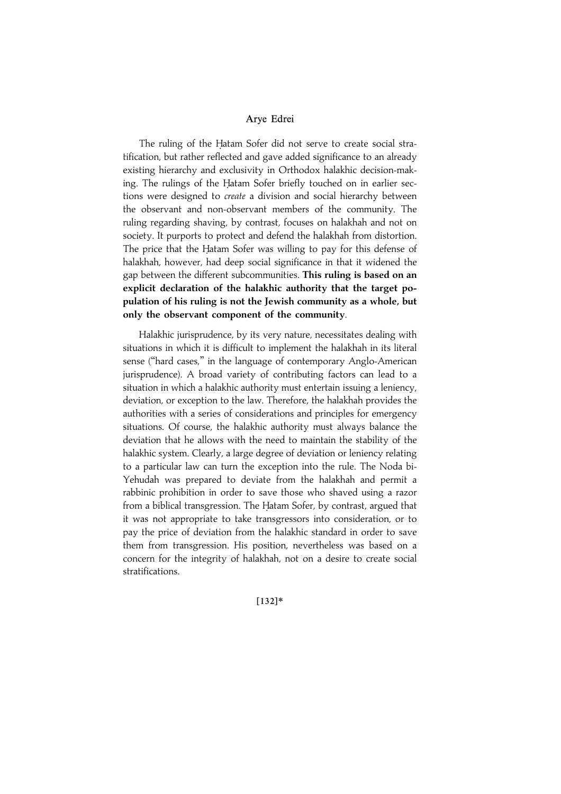The ruling of the Hatam Sofer did not serve to create social stratification, but rather reflected and gave added significance to an already existing hierarchy and exclusivity in Orthodox halakhic decision-making. The rulings of the Hatam Sofer briefly touched on in earlier sections were designed to create a division and social hierarchy between the observant and non-observant members of the community. The ruling regarding shaving, by contrast, focuses on halakhah and not on society. It purports to protect and defend the halakhah from distortion. The price that the Hatam Sofer was willing to pay for this defense of halakhah, however, had deep social significance in that it widened the gap between the different subcommunities. This ruling is based on an explicit declaration of the halakhic authority that the target population of his ruling is not the Jewish community as a whole, but only the observant component of the community.

Halakhic jurisprudence, by its very nature, necessitates dealing with situations in which it is difficult to implement the halakhah in its literal sense (''hard cases,'' in the language of contemporary Anglo-American jurisprudence). A broad variety of contributing factors can lead to a situation in which a halakhic authority must entertain issuing a leniency, deviation, or exception to the law. Therefore, the halakhah provides the authorities with a series of considerations and principles for emergency situations. Of course, the halakhic authority must always balance the deviation that he allows with the need to maintain the stability of the halakhic system. Clearly, a large degree of deviation or leniency relating to a particular law can turn the exception into the rule. The Noda bi-Yehudah was prepared to deviate from the halakhah and permit a rabbinic prohibition in order to save those who shaved using a razor from a biblical transgression. The Hatam Sofer, by contrast, argued that it was not appropriate to take transgressors into consideration, or to pay the price of deviation from the halakhic standard in order to save them from transgression. His position, nevertheless was based on a concern for the integrity of halakhah, not on a desire to create social stratifications.

 $[132]*$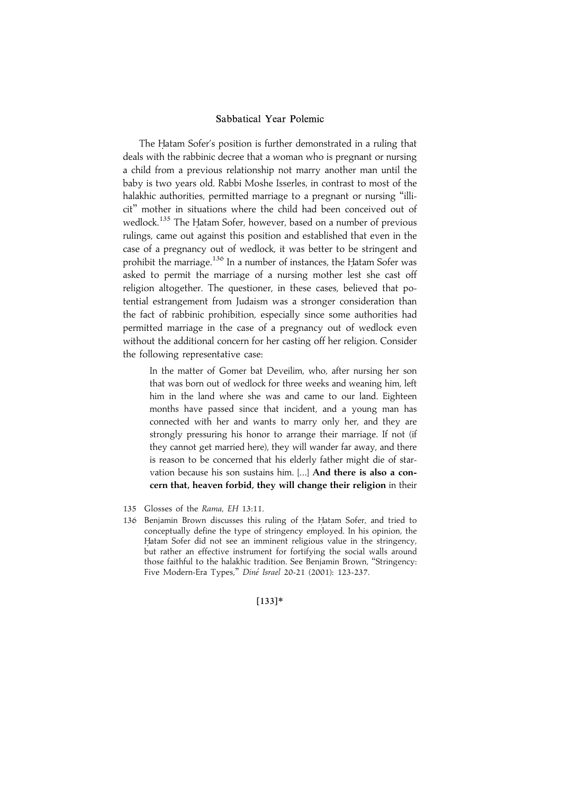The Hatam Sofer's position is further demonstrated in a ruling that deals with the rabbinic decree that a woman who is pregnant or nursing a child from a previous relationship not marry another man until the baby is two years old. Rabbi Moshe Isserles, in contrast to most of the halakhic authorities, permitted marriage to a pregnant or nursing ''illicit'' mother in situations where the child had been conceived out of wedlock.<sup>135</sup> The Hatam Sofer, however, based on a number of previous rulings, came out against this position and established that even in the case of a pregnancy out of wedlock, it was better to be stringent and prohibit the marriage.<sup>136</sup> In a number of instances, the Hatam Sofer was asked to permit the marriage of a nursing mother lest she cast off religion altogether. The questioner, in these cases, believed that potential estrangement from Judaism was a stronger consideration than the fact of rabbinic prohibition, especially since some authorities had permitted marriage in the case of a pregnancy out of wedlock even without the additional concern for her casting off her religion. Consider the following representative case:

In the matter of Gomer bat Deveilim, who, after nursing her son that was born out of wedlock for three weeks and weaning him, left him in the land where she was and came to our land. Eighteen months have passed since that incident, and a young man has connected with her and wants to marry only her, and they are strongly pressuring his honor to arrange their marriage. If not (if they cannot get married here), they will wander far away, and there is reason to be concerned that his elderly father might die of starvation because his son sustains him. [...] And there is also a concern that, heaven forbid, they will change their religion in their

- 135 Glosses of the Rama, EH 13:11.
- 136 Benjamin Brown discusses this ruling of the Hatam Sofer, and tried to conceptually define the type of stringency employed. In his opinion, the Hatam Sofer did not see an imminent religious value in the stringency, but rather an effective instrument for fortifying the social walls around those faithful to the halakhic tradition. See Benjamin Brown, ''Stringency: Five Modern-Era Types," Diné Israel 20-21 (2001): 123-237.

 $[133]*$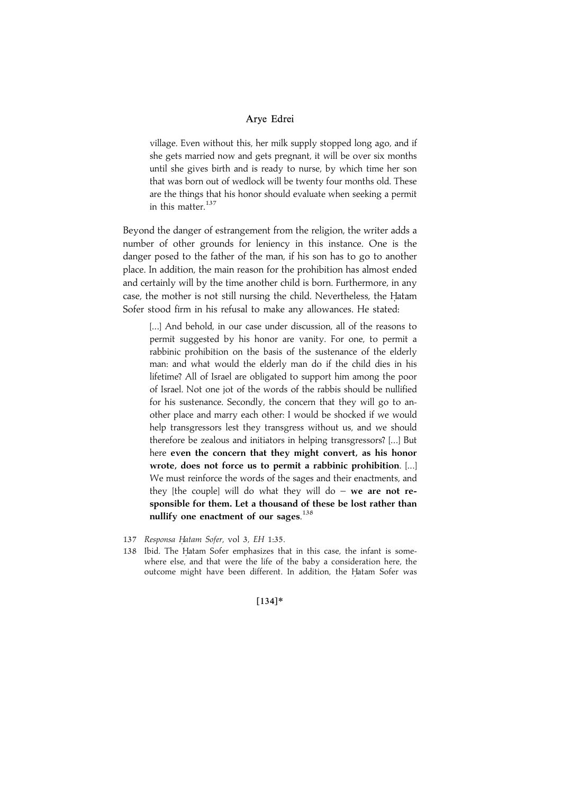village. Even without this, her milk supply stopped long ago, and if she gets married now and gets pregnant, it will be over six months until she gives birth and is ready to nurse, by which time her son that was born out of wedlock will be twenty four months old. These are the things that his honor should evaluate when seeking a permit in this matter. $137$ 

Beyond the danger of estrangement from the religion, the writer adds a number of other grounds for leniency in this instance. One is the danger posed to the father of the man, if his son has to go to another place. In addition, the main reason for the prohibition has almost ended and certainly will by the time another child is born. Furthermore, in any case, the mother is not still nursing the child. Nevertheless, the Hatam Sofer stood firm in his refusal to make any allowances. He stated:

[...] And behold, in our case under discussion, all of the reasons to permit suggested by his honor are vanity. For one, to permit a rabbinic prohibition on the basis of the sustenance of the elderly man: and what would the elderly man do if the child dies in his lifetime? All of Israel are obligated to support him among the poor of Israel. Not one jot of the words of the rabbis should be nullified for his sustenance. Secondly, the concern that they will go to another place and marry each other: I would be shocked if we would help transgressors lest they transgress without us, and we should therefore be zealous and initiators in helping transgressors? [...] But here even the concern that they might convert, as his honor wrote, does not force us to permit a rabbinic prohibition. [...] We must reinforce the words of the sages and their enactments, and they [the couple] will do what they will do – we are not responsible for them. Let a thousand of these be lost rather than nullify one enactment of our sages.<sup>138</sup>

- 137 Responsa Hatam Sofer, vol 3, EH 1:35.
- 138 Ibid. The Hatam Sofer emphasizes that in this case, the infant is somewhere else, and that were the life of the baby a consideration here, the outcome might have been different. In addition, the Hatam Sofer was

## [134]\*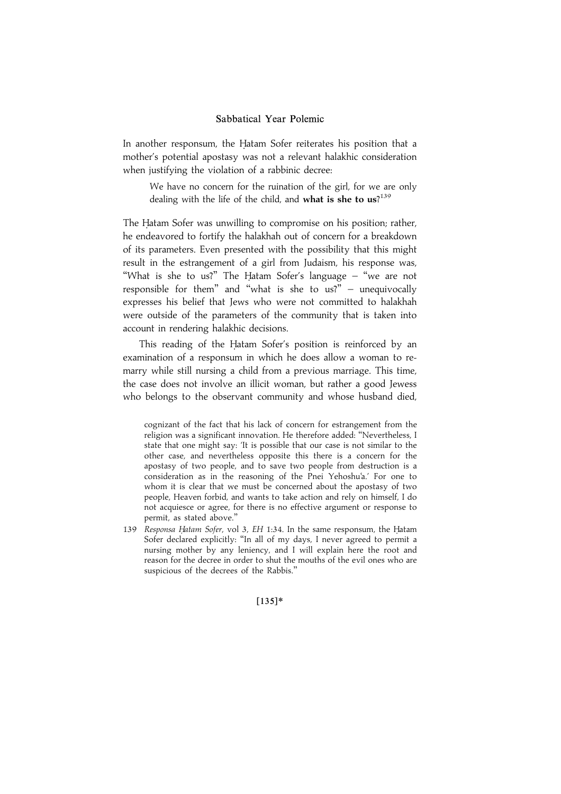In another responsum, the Hatam Sofer reiterates his position that a mother's potential apostasy was not a relevant halakhic consideration when justifying the violation of a rabbinic decree:

We have no concern for the ruination of the girl, for we are only dealing with the life of the child, and what is she to us?<sup>139</sup>

The Hatam Sofer was unwilling to compromise on his position; rather, he endeavored to fortify the halakhah out of concern for a breakdown of its parameters. Even presented with the possibility that this might result in the estrangement of a girl from Judaism, his response was, "What is she to us?" The Hatam Sofer's language  $-$  "we are not responsible for them'' and ''what is she to us?'' – unequivocally expresses his belief that Jews who were not committed to halakhah were outside of the parameters of the community that is taken into account in rendering halakhic decisions.

This reading of the Hatam Sofer's position is reinforced by an examination of a responsum in which he does allow a woman to remarry while still nursing a child from a previous marriage. This time, the case does not involve an illicit woman, but rather a good Jewess who belongs to the observant community and whose husband died,

cognizant of the fact that his lack of concern for estrangement from the religion was a significant innovation. He therefore added: ''Nevertheless, I state that one might say: 'It is possible that our case is not similar to the other case, and nevertheless opposite this there is a concern for the apostasy of two people, and to save two people from destruction is a consideration as in the reasoning of the Pnei Yehoshu'a.' For one to whom it is clear that we must be concerned about the apostasy of two people, Heaven forbid, and wants to take action and rely on himself, I do not acquiesce or agree, for there is no effective argument or response to permit, as stated above.''

139 Responsa Hatam Sofer, vol 3, EH 1:34. In the same responsum, the Hatam Sofer declared explicitly: ''In all of my days, I never agreed to permit a nursing mother by any leniency, and I will explain here the root and reason for the decree in order to shut the mouths of the evil ones who are suspicious of the decrees of the Rabbis.''

 $[135]*$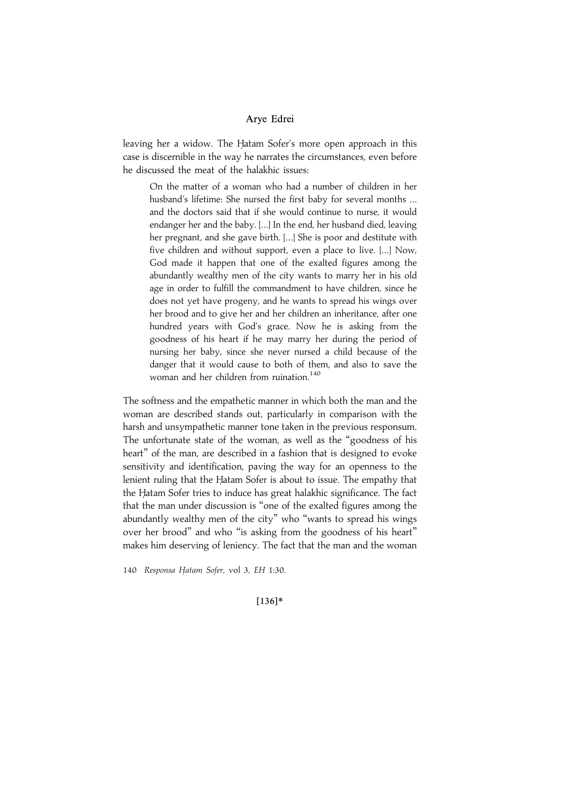leaving her a widow. The Hatam Sofer's more open approach in this case is discernible in the way he narrates the circumstances, even before he discussed the meat of the halakhic issues:

On the matter of a woman who had a number of children in her husband's lifetime: She nursed the first baby for several months ... and the doctors said that if she would continue to nurse, it would endanger her and the baby. [...] In the end, her husband died, leaving her pregnant, and she gave birth. [...] She is poor and destitute with five children and without support, even a place to live. [...] Now, God made it happen that one of the exalted figures among the abundantly wealthy men of the city wants to marry her in his old age in order to fulfill the commandment to have children, since he does not yet have progeny, and he wants to spread his wings over her brood and to give her and her children an inheritance, after one hundred years with God's grace. Now he is asking from the goodness of his heart if he may marry her during the period of nursing her baby, since she never nursed a child because of the danger that it would cause to both of them, and also to save the woman and her children from ruination.<sup>140</sup>

The softness and the empathetic manner in which both the man and the woman are described stands out, particularly in comparison with the harsh and unsympathetic manner tone taken in the previous responsum. The unfortunate state of the woman, as well as the ''goodness of his heart'' of the man, are described in a fashion that is designed to evoke sensitivity and identification, paving the way for an openness to the lenient ruling that the Hatam Sofer is about to issue. The empathy that the Hatam Sofer tries to induce has great halakhic significance. The fact that the man under discussion is ''one of the exalted figures among the abundantly wealthy men of the city'' who ''wants to spread his wings over her brood'' and who ''is asking from the goodness of his heart'' makes him deserving of leniency. The fact that the man and the woman

140 Responsa Hatam Sofer, vol 3, EH 1:30.

#### $[136]*$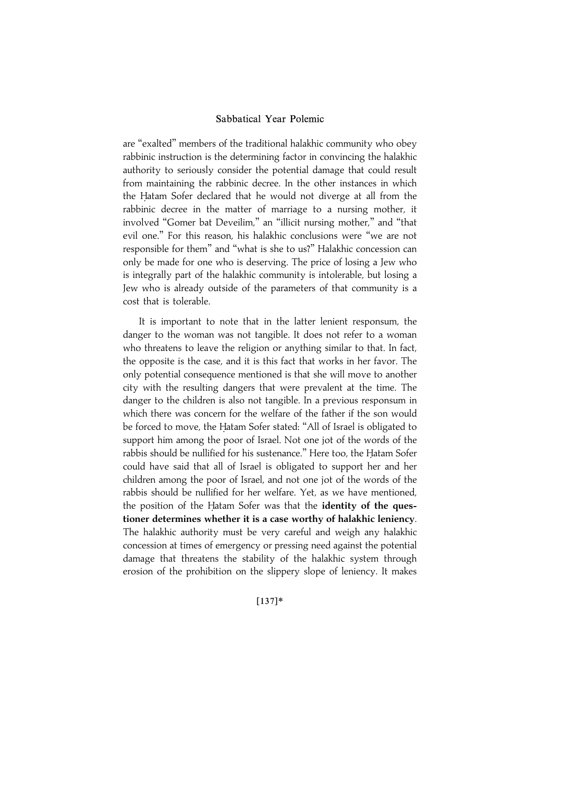are ''exalted'' members of the traditional halakhic community who obey rabbinic instruction is the determining factor in convincing the halakhic authority to seriously consider the potential damage that could result from maintaining the rabbinic decree. In the other instances in which the Hatam Sofer declared that he would not diverge at all from the rabbinic decree in the matter of marriage to a nursing mother, it involved ''Gomer bat Deveilim,'' an ''illicit nursing mother,'' and ''that evil one.'' For this reason, his halakhic conclusions were ''we are not responsible for them'' and ''what is she to us?'' Halakhic concession can only be made for one who is deserving. The price of losing a Jew who is integrally part of the halakhic community is intolerable, but losing a Jew who is already outside of the parameters of that community is a cost that is tolerable.

It is important to note that in the latter lenient responsum, the danger to the woman was not tangible. It does not refer to a woman who threatens to leave the religion or anything similar to that. In fact, the opposite is the case, and it is this fact that works in her favor. The only potential consequence mentioned is that she will move to another city with the resulting dangers that were prevalent at the time. The danger to the children is also not tangible. In a previous responsum in which there was concern for the welfare of the father if the son would be forced to move, the Hatam Sofer stated: "All of Israel is obligated to support him among the poor of Israel. Not one jot of the words of the rabbis should be nullified for his sustenance." Here too, the Hatam Sofer could have said that all of Israel is obligated to support her and her children among the poor of Israel, and not one jot of the words of the rabbis should be nullified for her welfare. Yet, as we have mentioned, the position of the Hatam Sofer was that the identity of the questioner determines whether it is a case worthy of halakhic leniency. The halakhic authority must be very careful and weigh any halakhic concession at times of emergency or pressing need against the potential damage that threatens the stability of the halakhic system through erosion of the prohibition on the slippery slope of leniency. It makes

#### |137~\*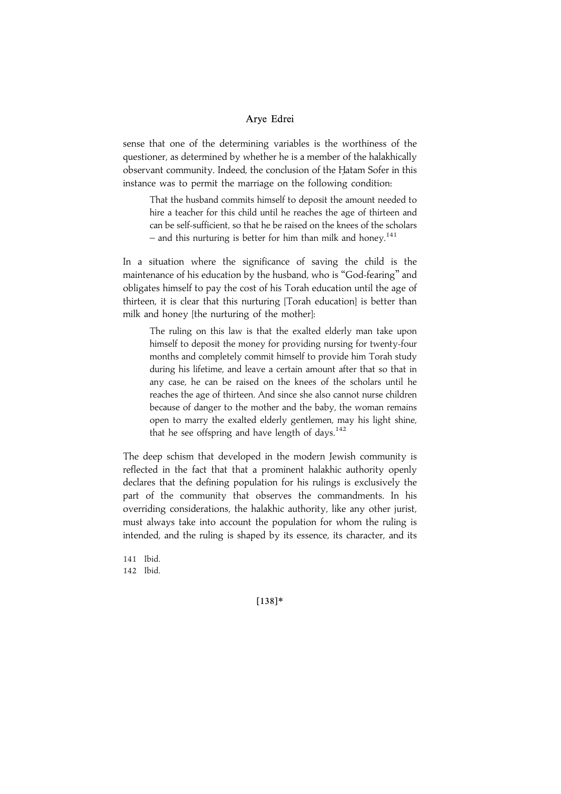sense that one of the determining variables is the worthiness of the questioner, as determined by whether he is a member of the halakhically observant community. Indeed, the conclusion of the Hatam Sofer in this instance was to permit the marriage on the following condition:

That the husband commits himself to deposit the amount needed to hire a teacher for this child until he reaches the age of thirteen and can be self-sufficient, so that he be raised on the knees of the scholars – and this nurturing is better for him than milk and honey.<sup>141</sup>

In a situation where the significance of saving the child is the maintenance of his education by the husband, who is ''God-fearing'' and obligates himself to pay the cost of his Torah education until the age of thirteen, it is clear that this nurturing [Torah education] is better than milk and honey [the nurturing of the mother]:

The ruling on this law is that the exalted elderly man take upon himself to deposit the money for providing nursing for twenty-four months and completely commit himself to provide him Torah study during his lifetime, and leave a certain amount after that so that in any case, he can be raised on the knees of the scholars until he reaches the age of thirteen. And since she also cannot nurse children because of danger to the mother and the baby, the woman remains open to marry the exalted elderly gentlemen, may his light shine, that he see offspring and have length of days.<sup>142</sup>

The deep schism that developed in the modern Jewish community is reflected in the fact that that a prominent halakhic authority openly declares that the defining population for his rulings is exclusively the part of the community that observes the commandments. In his overriding considerations, the halakhic authority, like any other jurist, must always take into account the population for whom the ruling is intended, and the ruling is shaped by its essence, its character, and its

141 Ibid. 142 Ibid.

 $[138]*$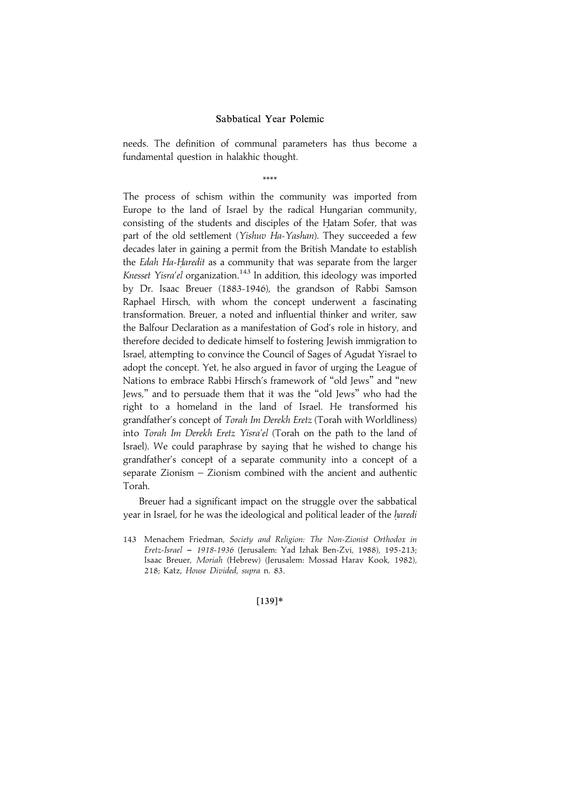needs. The definition of communal parameters has thus become a fundamental question in halakhic thought.

\*\*\*\*

The process of schism within the community was imported from Europe to the land of Israel by the radical Hungarian community, consisting of the students and disciples of the Hatam Sofer, that was part of the old settlement (Yishuv Ha-Yashan). They succeeded a few decades later in gaining a permit from the British Mandate to establish the Edah Ha-Haredit as a community that was separate from the larger Knesset Yisra'el organization.<sup>143</sup> In addition, this ideology was imported by Dr. Isaac Breuer (1883-1946), the grandson of Rabbi Samson Raphael Hirsch, with whom the concept underwent a fascinating transformation. Breuer, a noted and influential thinker and writer, saw the Balfour Declaration as a manifestation of God's role in history, and therefore decided to dedicate himself to fostering Jewish immigration to Israel, attempting to convince the Council of Sages of Agudat Yisrael to adopt the concept. Yet, he also argued in favor of urging the League of Nations to embrace Rabbi Hirsch's framework of ''old Jews'' and ''new Jews,'' and to persuade them that it was the ''old Jews'' who had the right to a homeland in the land of Israel. He transformed his grandfather's concept of Torah Im Derekh Eretz (Torah with Worldliness) into Torah Im Derekh Eretz Yisra'el (Torah on the path to the land of Israel). We could paraphrase by saying that he wished to change his grandfather's concept of a separate community into a concept of a separate Zionism – Zionism combined with the ancient and authentic Torah.

Breuer had a significant impact on the struggle over the sabbatical year in Israel, for he was the ideological and political leader of the haredi

[139]\*

<sup>143</sup> Menachem Friedman, Society and Religion: The Non-Zionist Orthodox in Eretz-Israel { 1918-1936 (Jerusalem: Yad Izhak Ben-Zvi, 1988), 195-213; Isaac Breuer, Moriah (Hebrew) (Jerusalem: Mossad Harav Kook, 1982), 218; Katz, House Divided, supra n. 83.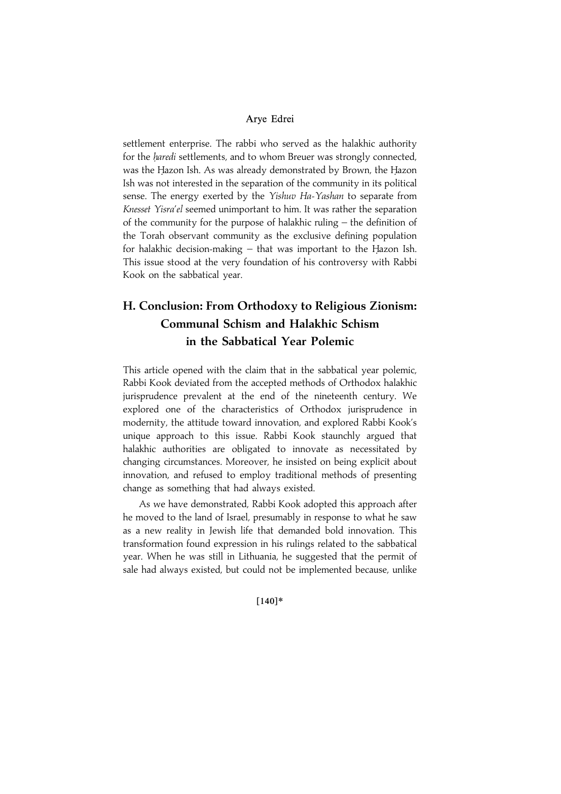settlement enterprise. The rabbi who served as the halakhic authority for the *haredi* settlements, and to whom Breuer was strongly connected, was the Hazon Ish. As was already demonstrated by Brown, the Hazon Ish was not interested in the separation of the community in its political sense. The energy exerted by the Yishuv Ha-Yashan to separate from Knesset Yisra'el seemed unimportant to him. It was rather the separation of the community for the purpose of halakhic ruling – the definition of the Torah observant community as the exclusive defining population for halakhic decision-making  $-$  that was important to the Hazon Ish. This issue stood at the very foundation of his controversy with Rabbi Kook on the sabbatical year.

# H. Conclusion: From Orthodoxy to Religious Zionism: Communal Schism and Halakhic Schism in the Sabbatical Year Polemic

This article opened with the claim that in the sabbatical year polemic, Rabbi Kook deviated from the accepted methods of Orthodox halakhic jurisprudence prevalent at the end of the nineteenth century. We explored one of the characteristics of Orthodox jurisprudence in modernity, the attitude toward innovation, and explored Rabbi Kook's unique approach to this issue. Rabbi Kook staunchly argued that halakhic authorities are obligated to innovate as necessitated by changing circumstances. Moreover, he insisted on being explicit about innovation, and refused to employ traditional methods of presenting change as something that had always existed.

As we have demonstrated, Rabbi Kook adopted this approach after he moved to the land of Israel, presumably in response to what he saw as a new reality in Jewish life that demanded bold innovation. This transformation found expression in his rulings related to the sabbatical year. When he was still in Lithuania, he suggested that the permit of sale had always existed, but could not be implemented because, unlike

 $[140]*$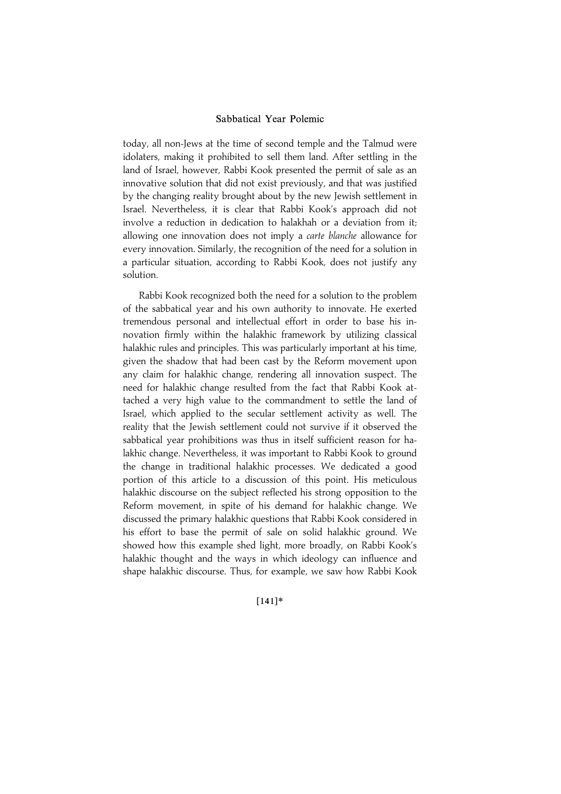today, all non-Jews at the time of second temple and the Talmud were idolaters, making it prohibited to sell them land. After settling in the land of Israel, however, Rabbi Kook presented the permit of sale as an innovative solution that did not exist previously, and that was justified by the changing reality brought about by the new Jewish settlement in Israel. Nevertheless, it is clear that Rabbi Kook's approach did not involve a reduction in dedication to halakhah or a deviation from it; allowing one innovation does not imply a carte blanche allowance for every innovation. Similarly, the recognition of the need for a solution in a particular situation, according to Rabbi Kook, does not justify any solution.

Rabbi Kook recognized both the need for a solution to the problem of the sabbatical year and his own authority to innovate. He exerted tremendous personal and intellectual effort in order to base his innovation firmly within the halakhic framework by utilizing classical halakhic rules and principles. This was particularly important at his time, given the shadow that had been cast by the Reform movement upon any claim for halakhic change, rendering all innovation suspect. The need for halakhic change resulted from the fact that Rabbi Kook attached a very high value to the commandment to settle the land of Israel, which applied to the secular settlement activity as well. The reality that the Jewish settlement could not survive if it observed the sabbatical year prohibitions was thus in itself sufficient reason for halakhic change. Nevertheless, it was important to Rabbi Kook to ground the change in traditional halakhic processes. We dedicated a good portion of this article to a discussion of this point. His meticulous halakhic discourse on the subject reflected his strong opposition to the Reform movement, in spite of his demand for halakhic change. We discussed the primary halakhic questions that Rabbi Kook considered in his effort to base the permit of sale on solid halakhic ground. We showed how this example shed light, more broadly, on Rabbi Kook's halakhic thought and the ways in which ideology can influence and shape halakhic discourse. Thus, for example, we saw how Rabbi Kook

#### $[141]*$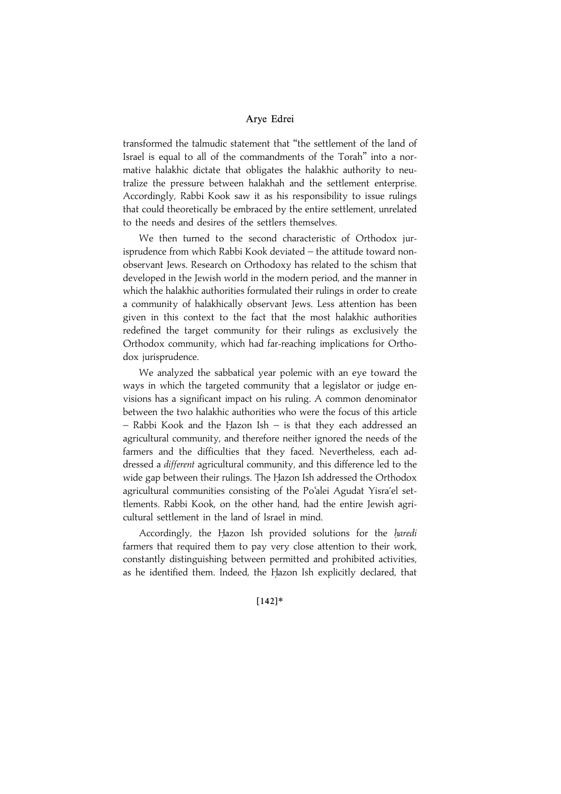transformed the talmudic statement that ''the settlement of the land of Israel is equal to all of the commandments of the Torah'' into a normative halakhic dictate that obligates the halakhic authority to neutralize the pressure between halakhah and the settlement enterprise. Accordingly, Rabbi Kook saw it as his responsibility to issue rulings that could theoretically be embraced by the entire settlement, unrelated to the needs and desires of the settlers themselves.

We then turned to the second characteristic of Orthodox jurisprudence from which Rabbi Kook deviated – the attitude toward nonobservant Jews. Research on Orthodoxy has related to the schism that developed in the Jewish world in the modern period, and the manner in which the halakhic authorities formulated their rulings in order to create a community of halakhically observant Jews. Less attention has been given in this context to the fact that the most halakhic authorities redefined the target community for their rulings as exclusively the Orthodox community, which had far-reaching implications for Orthodox jurisprudence.

We analyzed the sabbatical year polemic with an eye toward the ways in which the targeted community that a legislator or judge envisions has a significant impact on his ruling. A common denominator between the two halakhic authorities who were the focus of this article  $-$  Rabbi Kook and the Hazon Ish  $-$  is that they each addressed an agricultural community, and therefore neither ignored the needs of the farmers and the difficulties that they faced. Nevertheless, each addressed a different agricultural community, and this difference led to the wide gap between their rulings. The Hazon Ish addressed the Orthodox agricultural communities consisting of the Po'alei Agudat Yisra'el settlements. Rabbi Kook, on the other hand, had the entire Jewish agricultural settlement in the land of Israel in mind.

Accordingly, the Hazon Ish provided solutions for the haredi farmers that required them to pay very close attention to their work, constantly distinguishing between permitted and prohibited activities, as he identified them. Indeed, the Hazon Ish explicitly declared, that

#### $[142]*$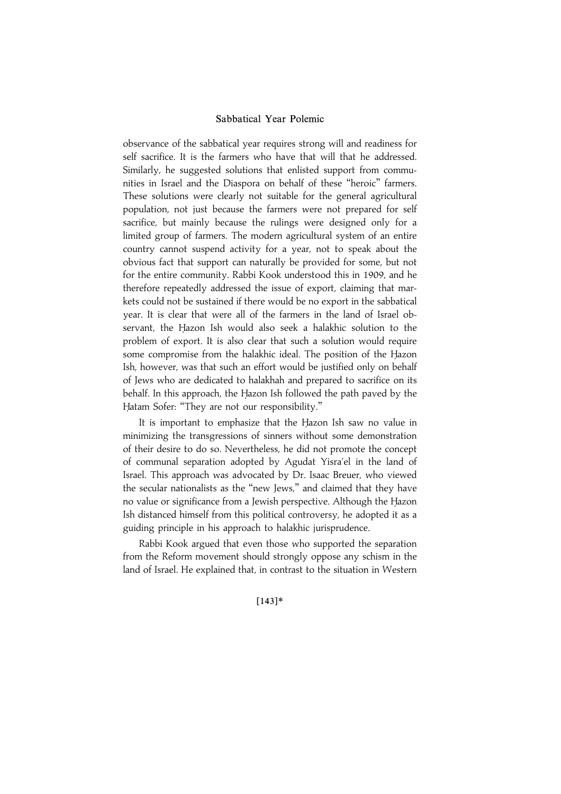observance of the sabbatical year requires strong will and readiness for self sacrifice. It is the farmers who have that will that he addressed. Similarly, he suggested solutions that enlisted support from communities in Israel and the Diaspora on behalf of these ''heroic'' farmers. These solutions were clearly not suitable for the general agricultural population, not just because the farmers were not prepared for self sacrifice, but mainly because the rulings were designed only for a limited group of farmers. The modern agricultural system of an entire country cannot suspend activity for a year, not to speak about the obvious fact that support can naturally be provided for some, but not for the entire community. Rabbi Kook understood this in 1909, and he therefore repeatedly addressed the issue of export, claiming that markets could not be sustained if there would be no export in the sabbatical year. It is clear that were all of the farmers in the land of Israel observant, the Hazon Ish would also seek a halakhic solution to the problem of export. It is also clear that such a solution would require some compromise from the halakhic ideal. The position of the Hazon Ish, however, was that such an effort would be justified only on behalf of Jews who are dedicated to halakhah and prepared to sacrifice on its behalf. In this approach, the Hazon Ish followed the path paved by the Hatam Sofer: "They are not our responsibility."

It is important to emphasize that the Hazon Ish saw no value in minimizing the transgressions of sinners without some demonstration of their desire to do so. Nevertheless, he did not promote the concept of communal separation adopted by Agudat Yisra'el in the land of Israel. This approach was advocated by Dr. Isaac Breuer, who viewed the secular nationalists as the ''new Jews,'' and claimed that they have no value or significance from a Jewish perspective. Although the Hazon Ish distanced himself from this political controversy, he adopted it as a guiding principle in his approach to halakhic jurisprudence.

Rabbi Kook argued that even those who supported the separation from the Reform movement should strongly oppose any schism in the land of Israel. He explained that, in contrast to the situation in Western

#### $[143]*$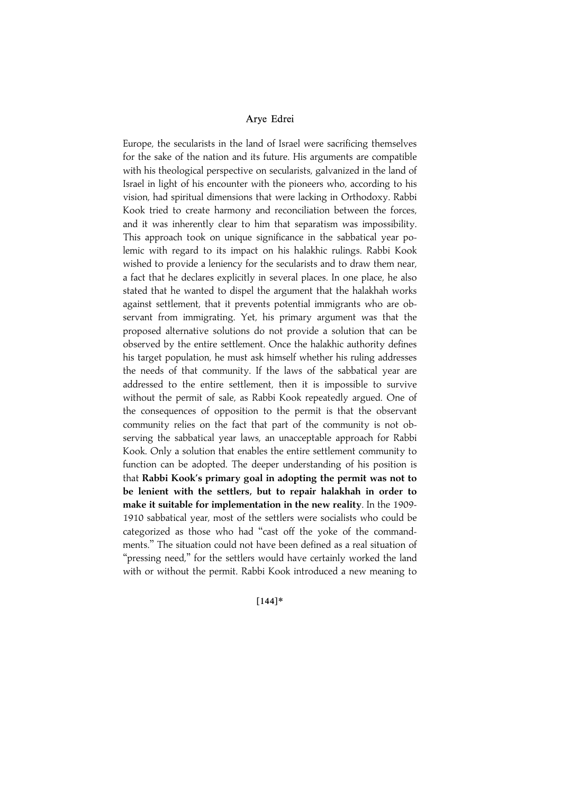Europe, the secularists in the land of Israel were sacrificing themselves for the sake of the nation and its future. His arguments are compatible with his theological perspective on secularists, galvanized in the land of Israel in light of his encounter with the pioneers who, according to his vision, had spiritual dimensions that were lacking in Orthodoxy. Rabbi Kook tried to create harmony and reconciliation between the forces, and it was inherently clear to him that separatism was impossibility. This approach took on unique significance in the sabbatical year polemic with regard to its impact on his halakhic rulings. Rabbi Kook wished to provide a leniency for the secularists and to draw them near, a fact that he declares explicitly in several places. In one place, he also stated that he wanted to dispel the argument that the halakhah works against settlement, that it prevents potential immigrants who are observant from immigrating. Yet, his primary argument was that the proposed alternative solutions do not provide a solution that can be observed by the entire settlement. Once the halakhic authority defines his target population, he must ask himself whether his ruling addresses the needs of that community. If the laws of the sabbatical year are addressed to the entire settlement, then it is impossible to survive without the permit of sale, as Rabbi Kook repeatedly argued. One of the consequences of opposition to the permit is that the observant community relies on the fact that part of the community is not observing the sabbatical year laws, an unacceptable approach for Rabbi Kook. Only a solution that enables the entire settlement community to function can be adopted. The deeper understanding of his position is that Rabbi Kook's primary goal in adopting the permit was not to be lenient with the settlers, but to repair halakhah in order to make it suitable for implementation in the new reality. In the 1909- 1910 sabbatical year, most of the settlers were socialists who could be categorized as those who had ''cast off the yoke of the commandments.'' The situation could not have been defined as a real situation of "pressing need," for the settlers would have certainly worked the land with or without the permit. Rabbi Kook introduced a new meaning to

 $[144]*$